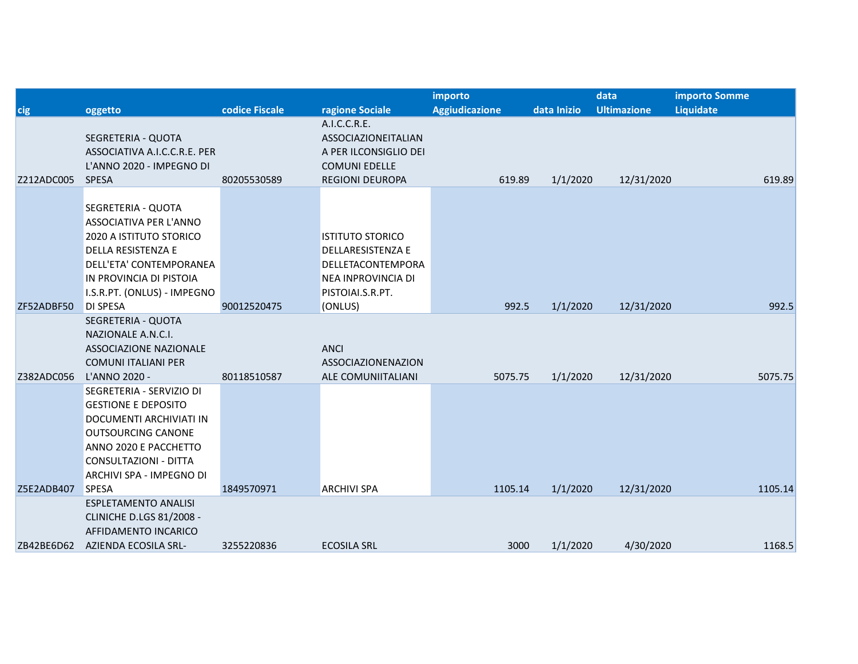|            |                                                                                                                                                                                                       |                |                                                                                                                               | importo               |             | data               | <b>importo Somme</b> |         |
|------------|-------------------------------------------------------------------------------------------------------------------------------------------------------------------------------------------------------|----------------|-------------------------------------------------------------------------------------------------------------------------------|-----------------------|-------------|--------------------|----------------------|---------|
| cig        | oggetto                                                                                                                                                                                               | codice Fiscale | ragione Sociale                                                                                                               | <b>Aggiudicazione</b> | data Inizio | <b>Ultimazione</b> | Liquidate            |         |
| Z212ADC005 | SEGRETERIA - QUOTA<br>ASSOCIATIVA A.I.C.C.R.E. PER<br>L'ANNO 2020 - IMPEGNO DI<br><b>SPESA</b>                                                                                                        | 80205530589    | A.I.C.C.R.E.<br>ASSOCIAZIONEITALIAN<br>A PER ILCONSIGLIO DEI<br><b>COMUNI EDELLE</b><br><b>REGIONI DEUROPA</b>                | 619.89                | 1/1/2020    | 12/31/2020         |                      | 619.89  |
| ZF52ADBF50 | SEGRETERIA - QUOTA<br>ASSOCIATIVA PER L'ANNO<br>2020 A ISTITUTO STORICO<br>DELLA RESISTENZA E<br>DELL'ETA' CONTEMPORANEA<br>IN PROVINCIA DI PISTOIA<br>I.S.R.PT. (ONLUS) - IMPEGNO<br><b>DI SPESA</b> | 90012520475    | <b>ISTITUTO STORICO</b><br>DELLARESISTENZA E<br>DELLETACONTEMPORA<br><b>NEA INPROVINCIA DI</b><br>PISTOIAI.S.R.PT.<br>(ONLUS) | 992.5                 | 1/1/2020    | 12/31/2020         |                      | 992.5   |
|            | SEGRETERIA - QUOTA                                                                                                                                                                                    |                |                                                                                                                               |                       |             |                    |                      |         |
|            | NAZIONALE A.N.C.I.<br>ASSOCIAZIONE NAZIONALE<br><b>COMUNI ITALIANI PER</b>                                                                                                                            |                | <b>ANCI</b><br>ASSOCIAZIONENAZION                                                                                             |                       |             |                    |                      |         |
| Z382ADC056 | L'ANNO 2020 -                                                                                                                                                                                         | 80118510587    | ALE COMUNIITALIANI                                                                                                            | 5075.75               | 1/1/2020    | 12/31/2020         |                      | 5075.75 |
|            | SEGRETERIA - SERVIZIO DI<br><b>GESTIONE E DEPOSITO</b><br>DOCUMENTI ARCHIVIATI IN<br><b>OUTSOURCING CANONE</b><br>ANNO 2020 E PACCHETTO<br>CONSULTAZIONI - DITTA<br>ARCHIVI SPA - IMPEGNO DI          |                |                                                                                                                               |                       |             |                    |                      |         |
| Z5E2ADB407 | <b>SPESA</b>                                                                                                                                                                                          | 1849570971     | <b>ARCHIVI SPA</b>                                                                                                            | 1105.14               | 1/1/2020    | 12/31/2020         |                      | 1105.14 |
|            | <b>ESPLETAMENTO ANALISI</b><br><b>CLINICHE D.LGS 81/2008 -</b><br>AFFIDAMENTO INCARICO                                                                                                                |                |                                                                                                                               |                       |             |                    |                      |         |
| ZB42BE6D62 | AZIENDA ECOSILA SRL-                                                                                                                                                                                  | 3255220836     | <b>ECOSILA SRL</b>                                                                                                            | 3000                  | 1/1/2020    | 4/30/2020          |                      | 1168.5  |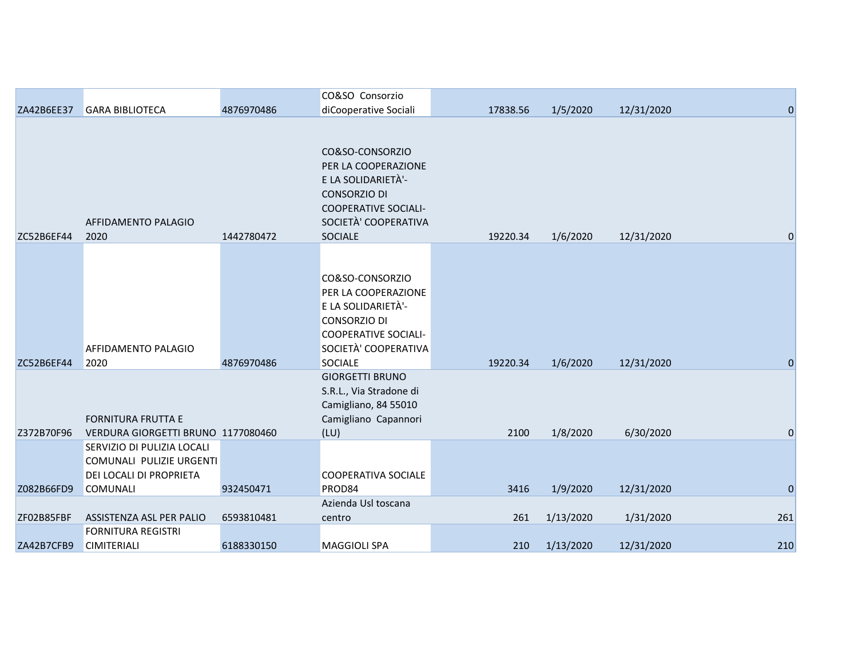| ZA42B6EE37 | <b>GARA BIBLIOTECA</b>                                                                               | 4876970486 | CO&SO Consorzio<br>diCooperative Sociali                                                                                                                     | 17838.56 | 1/5/2020  | 12/31/2020 | $\mathbf{0}$ |
|------------|------------------------------------------------------------------------------------------------------|------------|--------------------------------------------------------------------------------------------------------------------------------------------------------------|----------|-----------|------------|--------------|
| ZC52B6EF44 | AFFIDAMENTO PALAGIO<br>2020                                                                          | 1442780472 | CO&SO-CONSORZIO<br>PER LA COOPERAZIONE<br>E LA SOLIDARIETÀ'-<br><b>CONSORZIO DI</b><br><b>COOPERATIVE SOCIALI-</b><br>SOCIETÀ' COOPERATIVA<br>SOCIALE        | 19220.34 | 1/6/2020  | 12/31/2020 | $\Omega$     |
| ZC52B6EF44 | AFFIDAMENTO PALAGIO<br>2020                                                                          | 4876970486 | CO&SO-CONSORZIO<br>PER LA COOPERAZIONE<br>E LA SOLIDARIETÀ'-<br><b>CONSORZIO DI</b><br><b>COOPERATIVE SOCIALI-</b><br>SOCIETÀ' COOPERATIVA<br><b>SOCIALE</b> | 19220.34 | 1/6/2020  | 12/31/2020 | $\Omega$     |
| Z372B70F96 | <b>FORNITURA FRUTTA E</b><br>VERDURA GIORGETTI BRUNO 1177080460                                      |            | <b>GIORGETTI BRUNO</b><br>S.R.L., Via Stradone di<br>Camigliano, 84 55010<br>Camigliano Capannori<br>(LU)                                                    | 2100     | 1/8/2020  | 6/30/2020  | $\mathbf 0$  |
| Z082B66FD9 | SERVIZIO DI PULIZIA LOCALI<br>COMUNALI PULIZIE URGENTI<br>DEI LOCALI DI PROPRIETA<br><b>COMUNALI</b> | 932450471  | <b>COOPERATIVA SOCIALE</b><br>PROD84<br>Azienda Usl toscana                                                                                                  | 3416     | 1/9/2020  | 12/31/2020 | $\mathbf{0}$ |
| ZF02B85FBF | ASSISTENZA ASL PER PALIO                                                                             | 6593810481 | centro                                                                                                                                                       | 261      | 1/13/2020 | 1/31/2020  | 261          |
| ZA42B7CFB9 | <b>FORNITURA REGISTRI</b><br><b>CIMITERIALI</b>                                                      | 6188330150 | <b>MAGGIOLI SPA</b>                                                                                                                                          | 210      | 1/13/2020 | 12/31/2020 | 210          |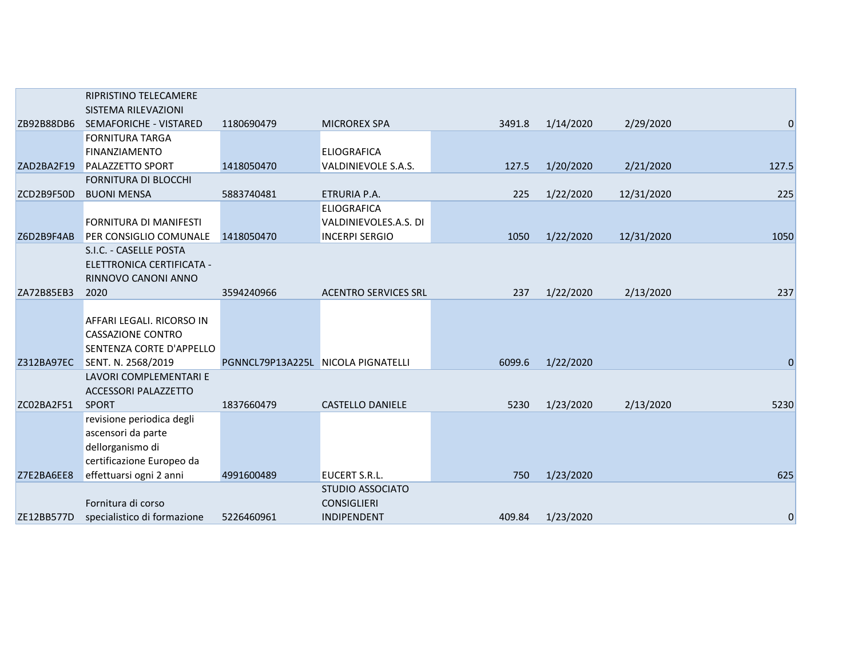|            | <b>RIPRISTINO TELECAMERE</b>  |                                    |                             |        |           |            |                  |
|------------|-------------------------------|------------------------------------|-----------------------------|--------|-----------|------------|------------------|
|            | SISTEMA RILEVAZIONI           |                                    |                             |        |           |            |                  |
| ZB92B88DB6 | SEMAFORICHE - VISTARED        | 1180690479                         | <b>MICROREX SPA</b>         | 3491.8 | 1/14/2020 | 2/29/2020  | 0                |
|            | <b>FORNITURA TARGA</b>        |                                    |                             |        |           |            |                  |
|            | <b>FINANZIAMENTO</b>          |                                    | <b>ELIOGRAFICA</b>          |        |           |            |                  |
| ZAD2BA2F19 | <b>PALAZZETTO SPORT</b>       | 1418050470                         | VALDINIEVOLE S.A.S.         | 127.5  | 1/20/2020 | 2/21/2020  | 127.5            |
|            | <b>FORNITURA DI BLOCCHI</b>   |                                    |                             |        |           |            |                  |
| ZCD2B9F50D | <b>BUONI MENSA</b>            | 5883740481                         | ETRURIA P.A.                | 225    | 1/22/2020 | 12/31/2020 | 225              |
|            |                               |                                    | <b>ELIOGRAFICA</b>          |        |           |            |                  |
|            | <b>FORNITURA DI MANIFESTI</b> |                                    | VALDINIEVOLES.A.S. DI       |        |           |            |                  |
| Z6D2B9F4AB | PER CONSIGLIO COMUNALE        | 1418050470                         | <b>INCERPI SERGIO</b>       | 1050   | 1/22/2020 | 12/31/2020 | 1050             |
|            | S.I.C. - CASELLE POSTA        |                                    |                             |        |           |            |                  |
|            | ELETTRONICA CERTIFICATA -     |                                    |                             |        |           |            |                  |
| ZA72B85EB3 | RINNOVO CANONI ANNO<br>2020   |                                    |                             | 237    |           |            |                  |
|            |                               | 3594240966                         | <b>ACENTRO SERVICES SRL</b> |        | 1/22/2020 | 2/13/2020  | 237              |
|            | AFFARI LEGALI. RICORSO IN     |                                    |                             |        |           |            |                  |
|            | <b>CASSAZIONE CONTRO</b>      |                                    |                             |        |           |            |                  |
|            | SENTENZA CORTE D'APPELLO      |                                    |                             |        |           |            |                  |
| Z312BA97EC | SENT. N. 2568/2019            | PGNNCL79P13A225L NICOLA PIGNATELLI |                             | 6099.6 | 1/22/2020 |            | $\boldsymbol{0}$ |
|            | LAVORI COMPLEMENTARI E        |                                    |                             |        |           |            |                  |
|            | <b>ACCESSORI PALAZZETTO</b>   |                                    |                             |        |           |            |                  |
| ZC02BA2F51 | <b>SPORT</b>                  | 1837660479                         | <b>CASTELLO DANIELE</b>     | 5230   | 1/23/2020 | 2/13/2020  | 5230             |
|            | revisione periodica degli     |                                    |                             |        |           |            |                  |
|            | ascensori da parte            |                                    |                             |        |           |            |                  |
|            | dellorganismo di              |                                    |                             |        |           |            |                  |
|            | certificazione Europeo da     |                                    |                             |        |           |            |                  |
| Z7E2BA6EE8 | effettuarsi ogni 2 anni       | 4991600489                         | <b>EUCERT S.R.L.</b>        | 750    | 1/23/2020 |            | 625              |
|            |                               |                                    | <b>STUDIO ASSOCIATO</b>     |        |           |            |                  |
|            | Fornitura di corso            |                                    | <b>CONSIGLIERI</b>          |        |           |            |                  |
| ZE12BB577D | specialistico di formazione   | 5226460961                         | <b>INDIPENDENT</b>          | 409.84 | 1/23/2020 |            | $\mathbf 0$      |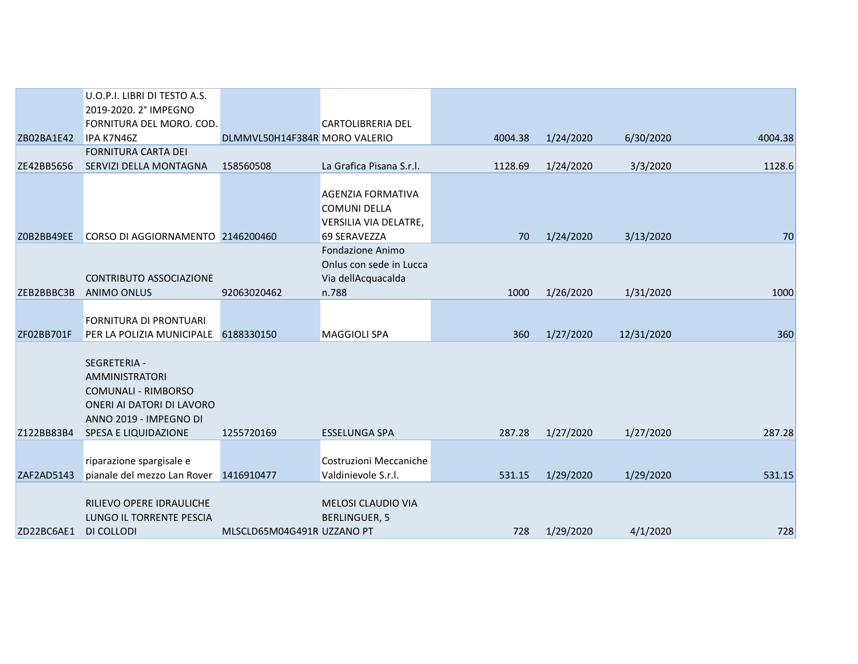|            | U.O.P.I. LIBRI DI TESTO A.S.                                                                                                                |                               |                                                                          |         |           |            |         |
|------------|---------------------------------------------------------------------------------------------------------------------------------------------|-------------------------------|--------------------------------------------------------------------------|---------|-----------|------------|---------|
|            | 2019-2020. 2° IMPEGNO                                                                                                                       |                               |                                                                          |         |           |            |         |
|            | FORNITURA DEL MORO. COD.                                                                                                                    |                               | <b>CARTOLIBRERIA DEL</b>                                                 |         |           |            |         |
| ZB02BA1E42 | IPA K7N46Z                                                                                                                                  | DLMMVL50H14F384R MORO VALERIO |                                                                          | 4004.38 | 1/24/2020 | 6/30/2020  | 4004.38 |
|            | <b>FORNITURA CARTA DEI</b>                                                                                                                  |                               |                                                                          |         |           |            |         |
| ZE42BB5656 | SERVIZI DELLA MONTAGNA                                                                                                                      | 158560508                     | La Grafica Pisana S.r.l.                                                 | 1128.69 | 1/24/2020 | 3/3/2020   | 1128.6  |
|            |                                                                                                                                             |                               | <b>AGENZIA FORMATIVA</b><br><b>COMUNI DELLA</b><br>VERSILIA VIA DELATRE, |         |           |            |         |
| Z0B2BB49EE | CORSO DI AGGIORNAMENTO 2146200460                                                                                                           |                               | 69 SERAVEZZA                                                             | 70      | 1/24/2020 | 3/13/2020  | 70      |
|            | <b>CONTRIBUTO ASSOCIAZIONE</b>                                                                                                              |                               | <b>Fondazione Animo</b><br>Onlus con sede in Lucca<br>Via dellAcquacalda |         |           |            |         |
| ZEB2BBBC3B | <b>ANIMO ONLUS</b>                                                                                                                          | 92063020462                   | n.788                                                                    | 1000    | 1/26/2020 | 1/31/2020  | 1000    |
| ZF02BB701F | FORNITURA DI PRONTUARI<br>PER LA POLIZIA MUNICIPALE 6188330150                                                                              |                               | <b>MAGGIOLI SPA</b>                                                      | 360     | 1/27/2020 | 12/31/2020 | 360     |
| Z122BB83B4 | SEGRETERIA -<br>AMMINISTRATORI<br><b>COMUNALI - RIMBORSO</b><br>ONERI AI DATORI DI LAVORO<br>ANNO 2019 - IMPEGNO DI<br>SPESA E LIQUIDAZIONE | 1255720169                    | <b>ESSELUNGA SPA</b>                                                     | 287.28  | 1/27/2020 | 1/27/2020  | 287.28  |
|            |                                                                                                                                             |                               |                                                                          |         |           |            |         |
| ZAF2AD5143 | riparazione spargisale e<br>pianale del mezzo Lan Rover 1416910477                                                                          |                               | Costruzioni Meccaniche<br>Valdinievole S.r.l.                            | 531.15  | 1/29/2020 | 1/29/2020  | 531.15  |
| ZD22BC6AE1 | RILIEVO OPERE IDRAULICHE<br>LUNGO IL TORRENTE PESCIA<br>DI COLLODI                                                                          | MLSCLD65M04G491R UZZANO PT    | <b>MELOSI CLAUDIO VIA</b><br><b>BERLINGUER, 5</b>                        | 728     | 1/29/2020 | 4/1/2020   | 728     |
|            |                                                                                                                                             |                               |                                                                          |         |           |            |         |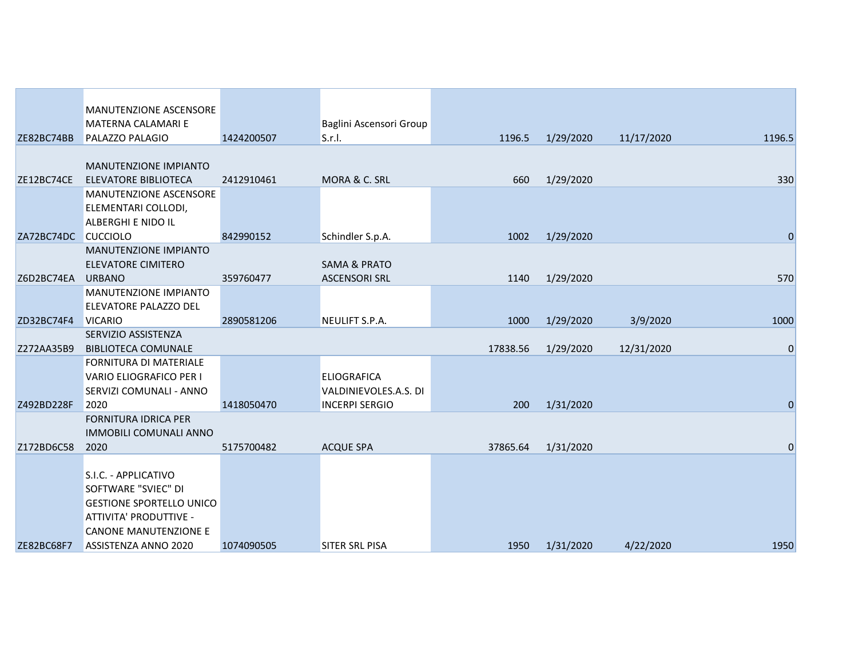|            | MANUTENZIONE ASCENSORE          |            |                         |          |           |            |             |
|------------|---------------------------------|------------|-------------------------|----------|-----------|------------|-------------|
|            | <b>MATERNA CALAMARI E</b>       |            | Baglini Ascensori Group |          |           |            |             |
| ZE82BC74BB | PALAZZO PALAGIO                 | 1424200507 | S.r.I.                  | 1196.5   | 1/29/2020 | 11/17/2020 | 1196.5      |
|            |                                 |            |                         |          |           |            |             |
|            | MANUTENZIONE IMPIANTO           |            |                         |          |           |            |             |
| ZE12BC74CE | <b>ELEVATORE BIBLIOTECA</b>     | 2412910461 | MORA & C. SRL           | 660      | 1/29/2020 |            | 330         |
|            | MANUTENZIONE ASCENSORE          |            |                         |          |           |            |             |
|            | ELEMENTARI COLLODI,             |            |                         |          |           |            |             |
|            | <b>ALBERGHI E NIDO IL</b>       |            |                         |          |           |            |             |
| ZA72BC74DC | <b>CUCCIOLO</b>                 | 842990152  | Schindler S.p.A.        | 1002     | 1/29/2020 |            | $\mathbf 0$ |
|            | MANUTENZIONE IMPIANTO           |            |                         |          |           |            |             |
|            | <b>ELEVATORE CIMITERO</b>       |            | <b>SAMA &amp; PRATO</b> |          |           |            |             |
| Z6D2BC74EA | <b>URBANO</b>                   | 359760477  | <b>ASCENSORI SRL</b>    | 1140     | 1/29/2020 |            | 570         |
|            | <b>MANUTENZIONE IMPIANTO</b>    |            |                         |          |           |            |             |
|            | ELEVATORE PALAZZO DEL           |            |                         |          |           |            |             |
| ZD32BC74F4 | <b>VICARIO</b>                  | 2890581206 | NEULIFT S.P.A.          | 1000     | 1/29/2020 | 3/9/2020   | 1000        |
|            | SERVIZIO ASSISTENZA             |            |                         |          |           |            |             |
| Z272AA35B9 | <b>BIBLIOTECA COMUNALE</b>      |            |                         | 17838.56 | 1/29/2020 | 12/31/2020 | 0           |
|            | <b>FORNITURA DI MATERIALE</b>   |            |                         |          |           |            |             |
|            | VARIO ELIOGRAFICO PER I         |            | <b>ELIOGRAFICA</b>      |          |           |            |             |
|            | SERVIZI COMUNALI - ANNO         |            | VALDINIEVOLES.A.S. DI   |          |           |            |             |
| Z492BD228F | 2020                            | 1418050470 | <b>INCERPI SERGIO</b>   | 200      | 1/31/2020 |            | $\mathbf 0$ |
|            | <b>FORNITURA IDRICA PER</b>     |            |                         |          |           |            |             |
|            | <b>IMMOBILI COMUNALI ANNO</b>   |            |                         |          |           |            |             |
| Z172BD6C58 | 2020                            | 5175700482 | <b>ACQUE SPA</b>        | 37865.64 | 1/31/2020 |            | $\mathbf 0$ |
|            |                                 |            |                         |          |           |            |             |
|            | S.I.C. - APPLICATIVO            |            |                         |          |           |            |             |
|            | SOFTWARE "SVIEC" DI             |            |                         |          |           |            |             |
|            | <b>GESTIONE SPORTELLO UNICO</b> |            |                         |          |           |            |             |
|            | ATTIVITA' PRODUTTIVE -          |            |                         |          |           |            |             |
|            | <b>CANONE MANUTENZIONE E</b>    |            |                         |          |           |            |             |
| ZE82BC68F7 | ASSISTENZA ANNO 2020            | 1074090505 | SITER SRL PISA          | 1950     | 1/31/2020 | 4/22/2020  | 1950        |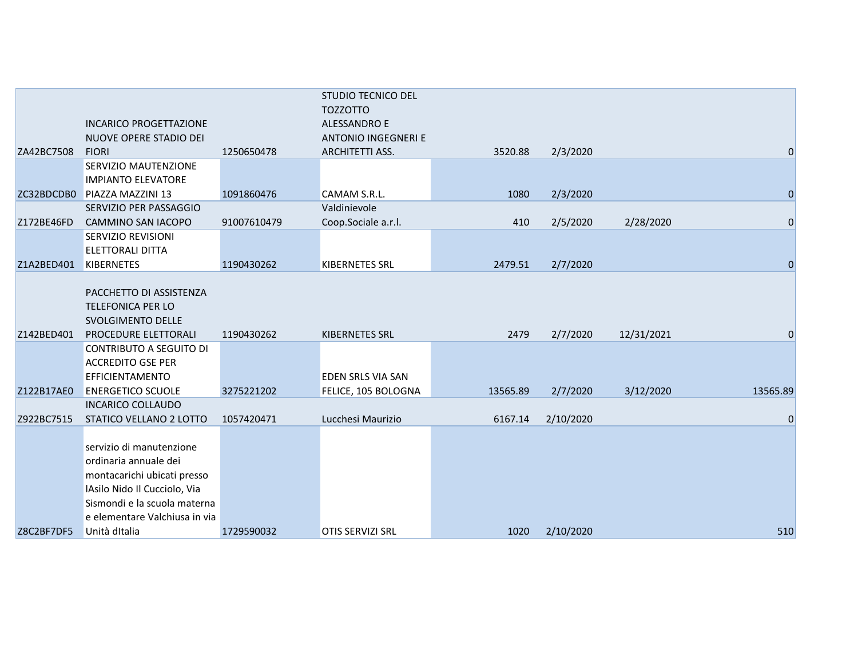|            |                                |             | <b>STUDIO TECNICO DEL</b>  |          |           |            |                |
|------------|--------------------------------|-------------|----------------------------|----------|-----------|------------|----------------|
|            |                                |             | <b>TOZZOTTO</b>            |          |           |            |                |
|            | <b>INCARICO PROGETTAZIONE</b>  |             | <b>ALESSANDRO E</b>        |          |           |            |                |
|            | NUOVE OPERE STADIO DEI         |             | <b>ANTONIO INGEGNERI E</b> |          |           |            |                |
| ZA42BC7508 | <b>FIORI</b>                   | 1250650478  | ARCHITETTI ASS.            | 3520.88  | 2/3/2020  |            | $\mathbf 0$    |
|            | <b>SERVIZIO MAUTENZIONE</b>    |             |                            |          |           |            |                |
|            | <b>IMPIANTO ELEVATORE</b>      |             |                            |          |           |            |                |
| ZC32BDCDB0 | <b>PIAZZA MAZZINI 13</b>       | 1091860476  | <b>CAMAM S.R.L.</b>        | 1080     | 2/3/2020  |            | $\mathbf 0$    |
|            | SERVIZIO PER PASSAGGIO         |             | Valdinievole               |          |           |            |                |
| Z172BE46FD | <b>CAMMINO SAN IACOPO</b>      | 91007610479 | Coop.Sociale a.r.l.        | 410      | 2/5/2020  | 2/28/2020  | $\mathbf 0$    |
|            | SERVIZIO REVISIONI             |             |                            |          |           |            |                |
|            | <b>ELETTORALI DITTA</b>        |             |                            |          |           |            |                |
| Z1A2BED401 | <b>KIBERNETES</b>              | 1190430262  | <b>KIBERNETES SRL</b>      | 2479.51  | 2/7/2020  |            | $\overline{0}$ |
|            |                                |             |                            |          |           |            |                |
|            | PACCHETTO DI ASSISTENZA        |             |                            |          |           |            |                |
|            | <b>TELEFONICA PER LO</b>       |             |                            |          |           |            |                |
|            | SVOLGIMENTO DELLE              |             |                            |          |           |            |                |
| Z142BED401 | PROCEDURE ELETTORALI           | 1190430262  | <b>KIBERNETES SRL</b>      | 2479     | 2/7/2020  | 12/31/2021 | 0              |
|            | <b>CONTRIBUTO A SEGUITO DI</b> |             |                            |          |           |            |                |
|            | <b>ACCREDITO GSE PER</b>       |             |                            |          |           |            |                |
|            | <b>EFFICIENTAMENTO</b>         |             | <b>EDEN SRLS VIA SAN</b>   |          |           |            |                |
| Z122B17AE0 | <b>ENERGETICO SCUOLE</b>       | 3275221202  | FELICE, 105 BOLOGNA        | 13565.89 | 2/7/2020  | 3/12/2020  | 13565.89       |
|            | <b>INCARICO COLLAUDO</b>       |             |                            |          |           |            |                |
| Z922BC7515 | STATICO VELLANO 2 LOTTO        | 1057420471  | Lucchesi Maurizio          | 6167.14  | 2/10/2020 |            | $\mathbf 0$    |
|            |                                |             |                            |          |           |            |                |
|            | servizio di manutenzione       |             |                            |          |           |            |                |
|            | ordinaria annuale dei          |             |                            |          |           |            |                |
|            | montacarichi ubicati presso    |             |                            |          |           |            |                |
|            | IAsilo Nido Il Cucciolo, Via   |             |                            |          |           |            |                |
|            | Sismondi e la scuola materna   |             |                            |          |           |            |                |
|            | e elementare Valchiusa in via  |             |                            |          |           |            |                |
| Z8C2BF7DF5 | Unità ditalia                  | 1729590032  | <b>OTIS SERVIZI SRL</b>    | 1020     | 2/10/2020 |            | 510            |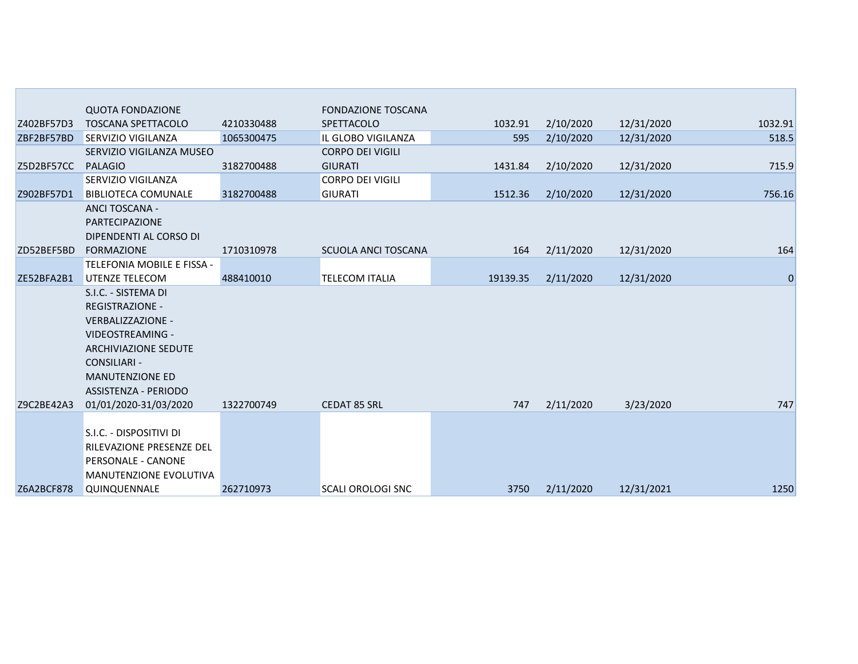|            | <b>QUOTA FONDAZIONE</b>         |            | <b>FONDAZIONE TOSCANA</b> |          |           |            |             |
|------------|---------------------------------|------------|---------------------------|----------|-----------|------------|-------------|
| Z402BF57D3 | <b>TOSCANA SPETTACOLO</b>       | 4210330488 | <b>SPETTACOLO</b>         | 1032.91  | 2/10/2020 | 12/31/2020 | 1032.91     |
| ZBF2BF57BD | <b>SERVIZIO VIGILANZA</b>       | 1065300475 | IL GLOBO VIGILANZA        | 595      | 2/10/2020 | 12/31/2020 | 518.5       |
|            | SERVIZIO VIGILANZA MUSEO        |            | <b>CORPO DEI VIGILI</b>   |          |           |            |             |
| Z5D2BF57CC | <b>PALAGIO</b>                  | 3182700488 | <b>GIURATI</b>            | 1431.84  | 2/10/2020 | 12/31/2020 | 715.9       |
|            | SERVIZIO VIGILANZA              |            | <b>CORPO DEI VIGILI</b>   |          |           |            |             |
| Z902BF57D1 | <b>BIBLIOTECA COMUNALE</b>      | 3182700488 | <b>GIURATI</b>            | 1512.36  | 2/10/2020 | 12/31/2020 | 756.16      |
|            | <b>ANCI TOSCANA -</b>           |            |                           |          |           |            |             |
|            | PARTECIPAZIONE                  |            |                           |          |           |            |             |
|            | DIPENDENTI AL CORSO DI          |            |                           |          |           |            |             |
| ZD52BEF5BD | <b>FORMAZIONE</b>               | 1710310978 | SCUOLA ANCI TOSCANA       | 164      | 2/11/2020 | 12/31/2020 | 164         |
|            | TELEFONIA MOBILE E FISSA -      |            |                           |          |           |            |             |
| ZE52BFA2B1 | <b>UTENZE TELECOM</b>           | 488410010  | <b>TELECOM ITALIA</b>     | 19139.35 | 2/11/2020 | 12/31/2020 | $\mathbf 0$ |
|            | S.I.C. - SISTEMA DI             |            |                           |          |           |            |             |
|            | <b>REGISTRAZIONE -</b>          |            |                           |          |           |            |             |
|            | VERBALIZZAZIONE -               |            |                           |          |           |            |             |
|            | VIDEOSTREAMING -                |            |                           |          |           |            |             |
|            | <b>ARCHIVIAZIONE SEDUTE</b>     |            |                           |          |           |            |             |
|            | <b>CONSILIARI -</b>             |            |                           |          |           |            |             |
|            | <b>MANUTENZIONE ED</b>          |            |                           |          |           |            |             |
|            | ASSISTENZA - PERIODO            |            |                           |          |           |            |             |
| Z9C2BE42A3 | 01/01/2020-31/03/2020           | 1322700749 | <b>CEDAT 85 SRL</b>       | 747      | 2/11/2020 | 3/23/2020  | 747         |
|            |                                 |            |                           |          |           |            |             |
|            | S.I.C. - DISPOSITIVI DI         |            |                           |          |           |            |             |
|            | <b>RILEVAZIONE PRESENZE DEL</b> |            |                           |          |           |            |             |
|            | <b>PERSONALE - CANONE</b>       |            |                           |          |           |            |             |
|            | <b>MANUTENZIONE EVOLUTIVA</b>   |            |                           |          |           |            |             |
| Z6A2BCF878 | QUINQUENNALE                    | 262710973  | <b>SCALI OROLOGI SNC</b>  | 3750     | 2/11/2020 | 12/31/2021 | 1250        |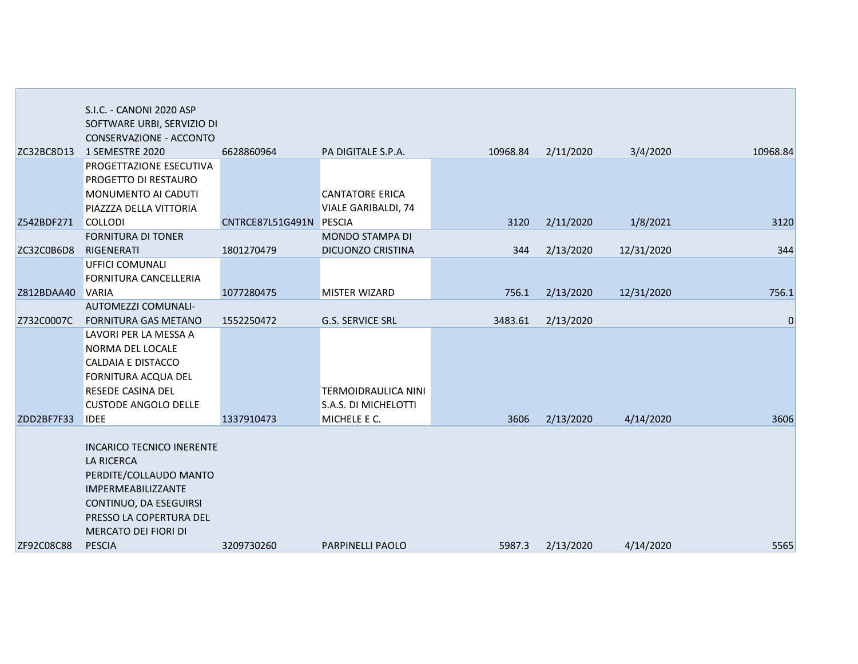|                  | S.I.C. - CANONI 2020 ASP                         |                  |                                                           |          |           |            |          |
|------------------|--------------------------------------------------|------------------|-----------------------------------------------------------|----------|-----------|------------|----------|
|                  | SOFTWARE URBI, SERVIZIO DI                       |                  |                                                           |          |           |            |          |
|                  | CONSERVAZIONE - ACCONTO                          |                  |                                                           |          |           |            |          |
| ZC32BC8D13       | 1 SEMESTRE 2020                                  | 6628860964       | PA DIGITALE S.P.A.                                        | 10968.84 | 2/11/2020 | 3/4/2020   | 10968.84 |
|                  | PROGETTAZIONE ESECUTIVA                          |                  |                                                           |          |           |            |          |
|                  | PROGETTO DI RESTAURO                             |                  |                                                           |          |           |            |          |
|                  | MONUMENTO AI CADUTI                              |                  | <b>CANTATORE ERICA</b>                                    |          |           |            |          |
|                  | PIAZZZA DELLA VITTORIA                           |                  | VIALE GARIBALDI, 74                                       |          |           |            |          |
| Z542BDF271       | <b>COLLODI</b>                                   | CNTRCE87L51G491N | <b>PESCIA</b>                                             | 3120     | 2/11/2020 | 1/8/2021   | 3120     |
|                  | <b>FORNITURA DI TONER</b>                        |                  | MONDO STAMPA DI                                           |          |           |            |          |
| ZC32C0B6D8       | RIGENERATI                                       | 1801270479       | DICUONZO CRISTINA                                         | 344      | 2/13/2020 | 12/31/2020 | 344      |
|                  | UFFICI COMUNALI                                  |                  |                                                           |          |           |            |          |
|                  | FORNITURA CANCELLERIA                            |                  |                                                           |          |           |            |          |
| Z812BDAA40 VARIA |                                                  | 1077280475       | <b>MISTER WIZARD</b>                                      | 756.1    | 2/13/2020 | 12/31/2020 | 756.1    |
|                  | AUTOMEZZI COMUNALI-                              |                  |                                                           |          |           |            |          |
| Z732C0007C       | <b>FORNITURA GAS METANO</b>                      | 1552250472       | G.S. SERVICE SRL                                          | 3483.61  | 2/13/2020 |            | 0        |
|                  | LAVORI PER LA MESSA A                            |                  |                                                           |          |           |            |          |
|                  | NORMA DEL LOCALE                                 |                  |                                                           |          |           |            |          |
|                  | <b>CALDAIA E DISTACCO</b>                        |                  |                                                           |          |           |            |          |
|                  | FORNITURA ACQUA DEL                              |                  |                                                           |          |           |            |          |
|                  | RESEDE CASINA DEL<br><b>CUSTODE ANGOLO DELLE</b> |                  | <b>TERMOIDRAULICA NINI</b><br><b>S.A.S. DI MICHELOTTI</b> |          |           |            |          |
| ZDD2BF7F33       | <b>IDEE</b>                                      | 1337910473       | MICHELE E C.                                              | 3606     | 2/13/2020 | 4/14/2020  | 3606     |
|                  |                                                  |                  |                                                           |          |           |            |          |
|                  | <b>INCARICO TECNICO INERENTE</b>                 |                  |                                                           |          |           |            |          |
|                  | <b>LA RICERCA</b>                                |                  |                                                           |          |           |            |          |
|                  | PERDITE/COLLAUDO MANTO                           |                  |                                                           |          |           |            |          |
|                  | IMPERMEABILIZZANTE                               |                  |                                                           |          |           |            |          |
|                  | CONTINUO, DA ESEGUIRSI                           |                  |                                                           |          |           |            |          |
|                  | PRESSO LA COPERTURA DEL                          |                  |                                                           |          |           |            |          |
|                  | MERCATO DEI FIORI DI                             |                  |                                                           |          |           |            |          |
| ZF92C08C88       | <b>PESCIA</b>                                    | 3209730260       | PARPINELLI PAOLO                                          | 5987.3   | 2/13/2020 | 4/14/2020  | 5565     |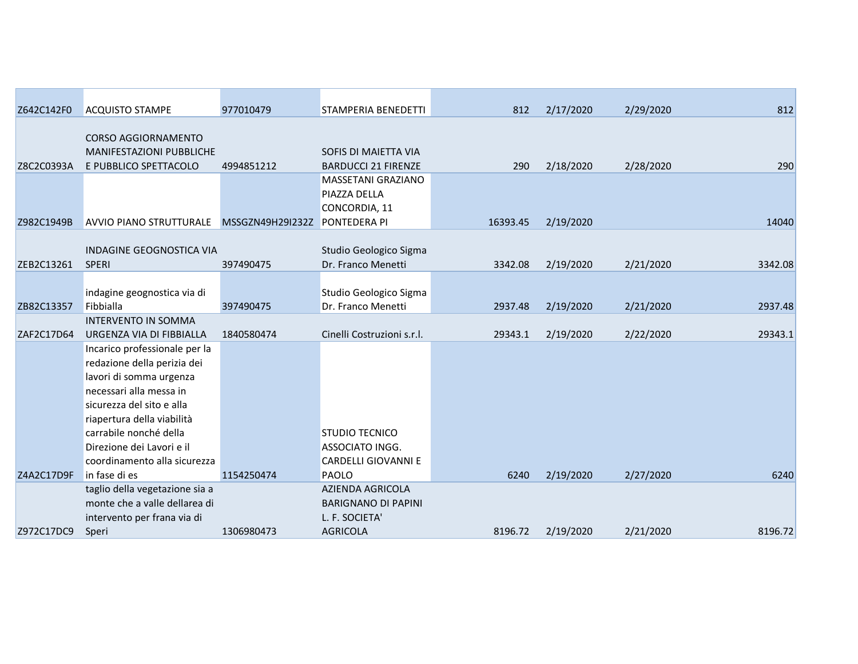| Z642C142F0 | <b>ACQUISTO STAMPE</b>         | 977010479        | STAMPERIA BENEDETTI        | 812      | 2/17/2020 | 2/29/2020 | 812     |
|------------|--------------------------------|------------------|----------------------------|----------|-----------|-----------|---------|
|            | <b>CORSO AGGIORNAMENTO</b>     |                  |                            |          |           |           |         |
|            | MANIFESTAZIONI PUBBLICHE       |                  | SOFIS DI MAIETTA VIA       |          |           |           |         |
| Z8C2C0393A | E PUBBLICO SPETTACOLO          | 4994851212       | <b>BARDUCCI 21 FIRENZE</b> | 290      | 2/18/2020 | 2/28/2020 | 290     |
|            |                                |                  | MASSETANI GRAZIANO         |          |           |           |         |
|            |                                |                  | PIAZZA DELLA               |          |           |           |         |
|            |                                |                  | CONCORDIA, 11              |          |           |           |         |
| Z982C1949B | <b>AVVIO PIANO STRUTTURALE</b> | MSSGZN49H29I232Z | <b>PONTEDERA PI</b>        | 16393.45 | 2/19/2020 |           | 14040   |
|            |                                |                  |                            |          |           |           |         |
|            | INDAGINE GEOGNOSTICA VIA       |                  | Studio Geologico Sigma     |          |           |           |         |
| ZEB2C13261 | <b>SPERI</b>                   | 397490475        | Dr. Franco Menetti         | 3342.08  | 2/19/2020 | 2/21/2020 | 3342.08 |
|            |                                |                  |                            |          |           |           |         |
|            | indagine geognostica via di    |                  | Studio Geologico Sigma     |          |           |           |         |
| ZB82C13357 | Fibbialla                      | 397490475        | Dr. Franco Menetti         | 2937.48  | 2/19/2020 | 2/21/2020 | 2937.48 |
|            | <b>INTERVENTO IN SOMMA</b>     |                  |                            |          |           |           |         |
| ZAF2C17D64 | URGENZA VIA DI FIBBIALLA       | 1840580474       | Cinelli Costruzioni s.r.l. | 29343.1  | 2/19/2020 | 2/22/2020 | 29343.1 |
|            | Incarico professionale per la  |                  |                            |          |           |           |         |
|            | redazione della perizia dei    |                  |                            |          |           |           |         |
|            | lavori di somma urgenza        |                  |                            |          |           |           |         |
|            | necessari alla messa in        |                  |                            |          |           |           |         |
|            | sicurezza del sito e alla      |                  |                            |          |           |           |         |
|            | riapertura della viabilità     |                  |                            |          |           |           |         |
|            | carrabile nonché della         |                  | <b>STUDIO TECNICO</b>      |          |           |           |         |
|            | Direzione dei Lavori e il      |                  | ASSOCIATO INGG.            |          |           |           |         |
|            | coordinamento alla sicurezza   |                  | <b>CARDELLI GIOVANNI E</b> |          |           |           |         |
| Z4A2C17D9F | in fase di es                  | 1154250474       | <b>PAOLO</b>               | 6240     | 2/19/2020 | 2/27/2020 | 6240    |
|            | taglio della vegetazione sia a |                  | AZIENDA AGRICOLA           |          |           |           |         |
|            | monte che a valle dellarea di  |                  | <b>BARIGNANO DI PAPINI</b> |          |           |           |         |
|            | intervento per frana via di    |                  | L. F. SOCIETA'             |          |           |           |         |
| Z972C17DC9 | Speri                          | 1306980473       | <b>AGRICOLA</b>            | 8196.72  | 2/19/2020 | 2/21/2020 | 8196.72 |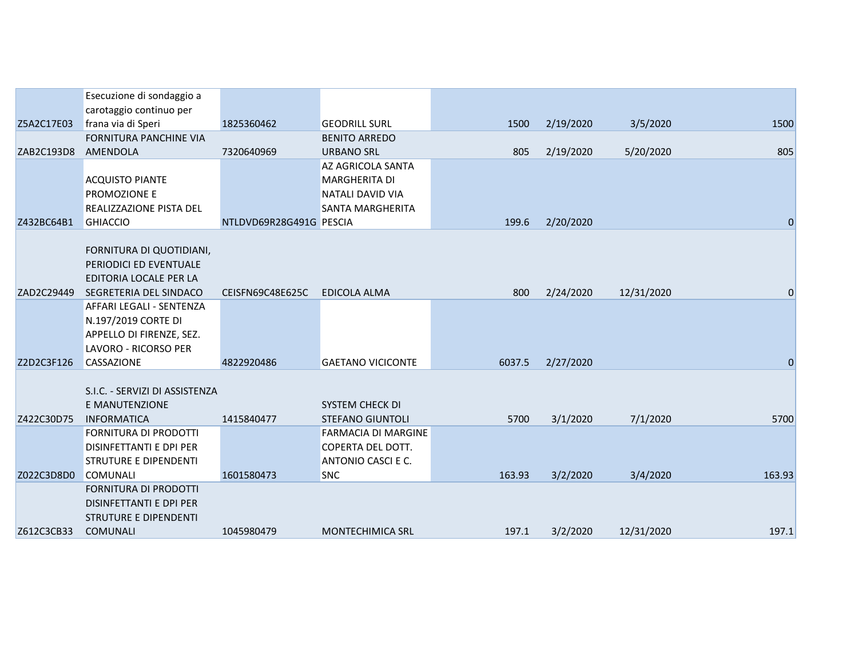|            | Esecuzione di sondaggio a                                                                           |                         |                                                                       |        |           |            |             |
|------------|-----------------------------------------------------------------------------------------------------|-------------------------|-----------------------------------------------------------------------|--------|-----------|------------|-------------|
|            | carotaggio continuo per                                                                             |                         |                                                                       |        |           |            |             |
| Z5A2C17E03 | frana via di Speri                                                                                  | 1825360462              | <b>GEODRILL SURL</b>                                                  | 1500   | 2/19/2020 | 3/5/2020   | 1500        |
|            | FORNITURA PANCHINE VIA                                                                              |                         | <b>BENITO ARREDO</b>                                                  |        |           |            |             |
| ZAB2C193D8 | AMENDOLA                                                                                            | 7320640969              | <b>URBANO SRL</b>                                                     | 805    | 2/19/2020 | 5/20/2020  | 805         |
|            |                                                                                                     |                         | AZ AGRICOLA SANTA                                                     |        |           |            |             |
|            | <b>ACQUISTO PIANTE</b>                                                                              |                         | <b>MARGHERITA DI</b>                                                  |        |           |            |             |
|            | PROMOZIONE E                                                                                        |                         | NATALI DAVID VIA                                                      |        |           |            |             |
|            | REALIZZAZIONE PISTA DEL                                                                             |                         | SANTA MARGHERITA                                                      |        |           |            |             |
| Z432BC64B1 | <b>GHIACCIO</b>                                                                                     | NTLDVD69R28G491G PESCIA |                                                                       | 199.6  | 2/20/2020 |            | $\mathbf 0$ |
|            | FORNITURA DI QUOTIDIANI,<br>PERIODICI ED EVENTUALE<br>EDITORIA LOCALE PER LA                        |                         |                                                                       |        |           |            |             |
| ZAD2C29449 | SEGRETERIA DEL SINDACO                                                                              | CEISFN69C48E625C        | EDICOLA ALMA                                                          | 800    | 2/24/2020 | 12/31/2020 | 0           |
|            | AFFARI LEGALI - SENTENZA<br>N.197/2019 CORTE DI<br>APPELLO DI FIRENZE, SEZ.<br>LAVORO - RICORSO PER |                         |                                                                       |        |           |            |             |
| Z2D2C3F126 | CASSAZIONE                                                                                          | 4822920486              | <b>GAETANO VICICONTE</b>                                              | 6037.5 | 2/27/2020 |            | $\pmb{0}$   |
|            | S.I.C. - SERVIZI DI ASSISTENZA<br>E MANUTENZIONE                                                    |                         | SYSTEM CHECK DI                                                       |        |           |            |             |
| Z422C30D75 | <b>INFORMATICA</b>                                                                                  | 1415840477              | <b>STEFANO GIUNTOLI</b>                                               | 5700   | 3/1/2020  | 7/1/2020   | 5700        |
|            | FORNITURA DI PRODOTTI<br>DISINFETTANTI E DPI PER<br>STRUTURE E DIPENDENTI                           |                         | <b>FARMACIA DI MARGINE</b><br>COPERTA DEL DOTT.<br>ANTONIO CASCI E C. |        |           |            |             |
| Z022C3D8D0 | <b>COMUNALI</b>                                                                                     | 1601580473              | <b>SNC</b>                                                            | 163.93 | 3/2/2020  | 3/4/2020   | 163.93      |
|            | <b>FORNITURA DI PRODOTTI</b><br><b>DISINFETTANTI E DPI PER</b><br>STRUTURE E DIPENDENTI             |                         |                                                                       |        |           |            |             |
| Z612C3CB33 | <b>COMUNALI</b>                                                                                     | 1045980479              | <b>MONTECHIMICA SRL</b>                                               | 197.1  | 3/2/2020  | 12/31/2020 | 197.1       |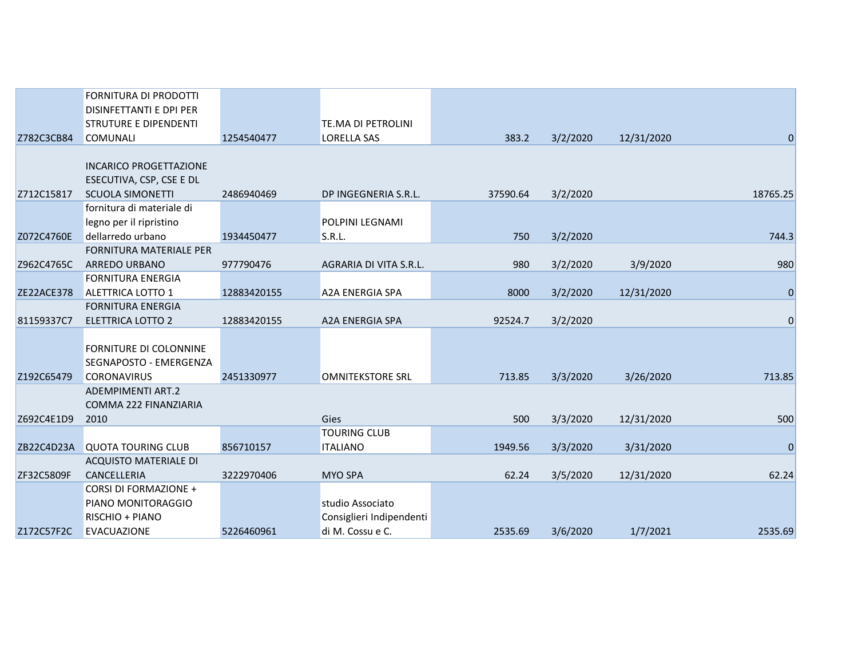|            | FORNITURA DI PRODOTTI          |             |                           |          |          |            |                  |
|------------|--------------------------------|-------------|---------------------------|----------|----------|------------|------------------|
|            | DISINFETTANTI E DPI PER        |             |                           |          |          |            |                  |
|            | <b>STRUTURE E DIPENDENTI</b>   |             | <b>TE.MA DI PETROLINI</b> |          |          |            |                  |
| Z782C3CB84 | <b>COMUNALI</b>                | 1254540477  | <b>LORELLA SAS</b>        | 383.2    | 3/2/2020 | 12/31/2020 | $\overline{0}$   |
|            |                                |             |                           |          |          |            |                  |
|            | <b>INCARICO PROGETTAZIONE</b>  |             |                           |          |          |            |                  |
|            | ESECUTIVA, CSP, CSE E DL       |             |                           |          |          |            |                  |
| Z712C15817 | <b>SCUOLA SIMONETTI</b>        | 2486940469  | DP INGEGNERIA S.R.L.      | 37590.64 | 3/2/2020 |            | 18765.25         |
|            | fornitura di materiale di      |             |                           |          |          |            |                  |
|            | legno per il ripristino        |             | <b>POLPINI LEGNAMI</b>    |          |          |            |                  |
| Z072C4760E | dellarredo urbano              | 1934450477  | S.R.L.                    | 750      | 3/2/2020 |            | 744.3            |
|            | <b>FORNITURA MATERIALE PER</b> |             |                           |          |          |            |                  |
| Z962C4765C | <b>ARREDO URBANO</b>           | 977790476   | AGRARIA DI VITA S.R.L.    | 980      | 3/2/2020 | 3/9/2020   | 980              |
|            | <b>FORNITURA ENERGIA</b>       |             |                           |          |          |            |                  |
| ZE22ACE378 | <b>ALETTRICA LOTTO 1</b>       | 12883420155 | <b>A2A ENERGIA SPA</b>    | 8000     | 3/2/2020 | 12/31/2020 | $\boldsymbol{0}$ |
|            | <b>FORNITURA ENERGIA</b>       |             |                           |          |          |            |                  |
| 81159337C7 | <b>ELETTRICA LOTTO 2</b>       | 12883420155 | <b>A2A ENERGIA SPA</b>    | 92524.7  | 3/2/2020 |            | $\mathbf 0$      |
|            |                                |             |                           |          |          |            |                  |
|            | FORNITURE DI COLONNINE         |             |                           |          |          |            |                  |
|            | SEGNAPOSTO - EMERGENZA         |             |                           |          |          |            |                  |
| Z192C65479 | <b>CORONAVIRUS</b>             | 2451330977  | <b>OMNITEKSTORE SRL</b>   | 713.85   | 3/3/2020 | 3/26/2020  | 713.85           |
|            | <b>ADEMPIMENTI ART.2</b>       |             |                           |          |          |            |                  |
|            | <b>COMMA 222 FINANZIARIA</b>   |             |                           |          |          |            |                  |
| Z692C4E1D9 | 2010                           |             | Gies                      | 500      | 3/3/2020 | 12/31/2020 | 500              |
|            |                                |             | <b>TOURING CLUB</b>       |          |          |            |                  |
| ZB22C4D23A | <b>QUOTA TOURING CLUB</b>      | 856710157   | <b>ITALIANO</b>           | 1949.56  | 3/3/2020 | 3/31/2020  | $\mathbf 0$      |
|            | ACQUISTO MATERIALE DI          |             |                           |          |          |            |                  |
| ZF32C5809F | CANCELLERIA                    | 3222970406  | <b>MYO SPA</b>            | 62.24    | 3/5/2020 | 12/31/2020 | 62.24            |
|            | <b>CORSI DI FORMAZIONE +</b>   |             |                           |          |          |            |                  |
|            | PIANO MONITORAGGIO             |             | studio Associato          |          |          |            |                  |
|            | RISCHIO + PIANO                |             | Consiglieri Indipendenti  |          |          |            |                  |
| Z172C57F2C | <b>EVACUAZIONE</b>             | 5226460961  | di M. Cossu e C.          | 2535.69  | 3/6/2020 | 1/7/2021   | 2535.69          |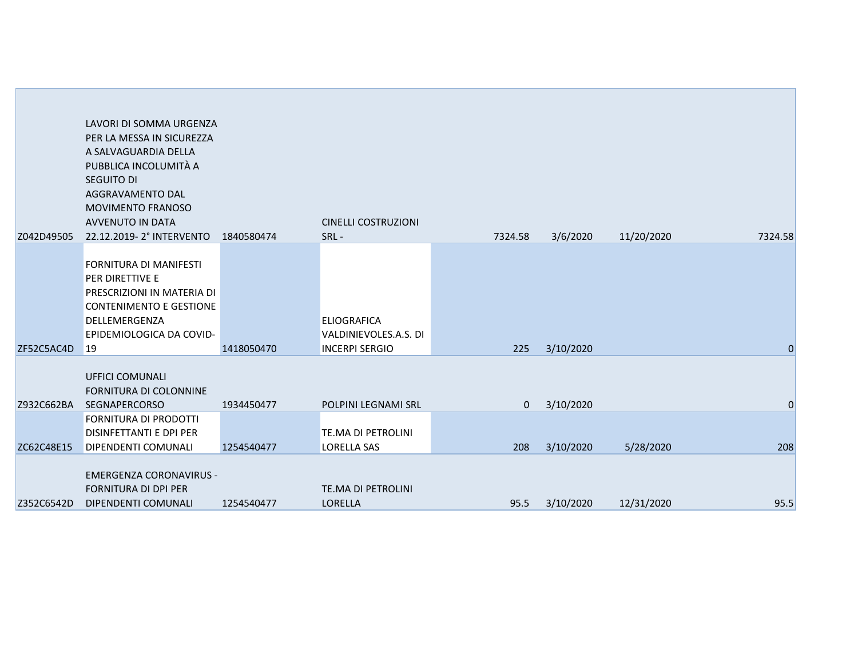| Z042D49505 | LAVORI DI SOMMA URGENZA<br>PER LA MESSA IN SICUREZZA<br>A SALVAGUARDIA DELLA<br>PUBBLICA INCOLUMITÀ A<br>SEGUITO DI<br>AGGRAVAMENTO DAL<br><b>MOVIMENTO FRANOSO</b><br><b>AVVENUTO IN DATA</b><br>22.12.2019-2° INTERVENTO | 1840580474 | <b>CINELLI COSTRUZIONI</b><br>SRL-                                   | 7324.58  | 3/6/2020  | 11/20/2020 | 7324.58      |
|------------|----------------------------------------------------------------------------------------------------------------------------------------------------------------------------------------------------------------------------|------------|----------------------------------------------------------------------|----------|-----------|------------|--------------|
|            |                                                                                                                                                                                                                            |            |                                                                      |          |           |            |              |
| ZF52C5AC4D | FORNITURA DI MANIFESTI<br>PER DIRETTIVE E<br>PRESCRIZIONI IN MATERIA DI<br><b>CONTENIMENTO E GESTIONE</b><br>DELLEMERGENZA<br>EPIDEMIOLOGICA DA COVID-<br><sup>19</sup>                                                    | 1418050470 | <b>ELIOGRAFICA</b><br>VALDINIEVOLES.A.S. DI<br><b>INCERPI SERGIO</b> | 225      | 3/10/2020 |            | $\mathbf{0}$ |
| Z932C662BA | UFFICI COMUNALI<br>FORNITURA DI COLONNINE<br><b>SEGNAPERCORSO</b>                                                                                                                                                          | 1934450477 | POLPINI LEGNAMI SRL                                                  | $\Omega$ | 3/10/2020 |            | $\mathbf{0}$ |
| ZC62C48E15 | <b>FORNITURA DI PRODOTTI</b><br>DISINFETTANTI E DPI PER<br>DIPENDENTI COMUNALI                                                                                                                                             | 1254540477 | <b>TE.MA DI PETROLINI</b><br><b>LORELLA SAS</b>                      | 208      | 3/10/2020 | 5/28/2020  | 208          |
| Z352C6542D | <b>EMERGENZA CORONAVIRUS -</b><br><b>FORNITURA DI DPI PER</b><br>DIPENDENTI COMUNALI                                                                                                                                       | 1254540477 | TE.MA DI PETROLINI<br><b>LORELLA</b>                                 | 95.5     | 3/10/2020 | 12/31/2020 | 95.5         |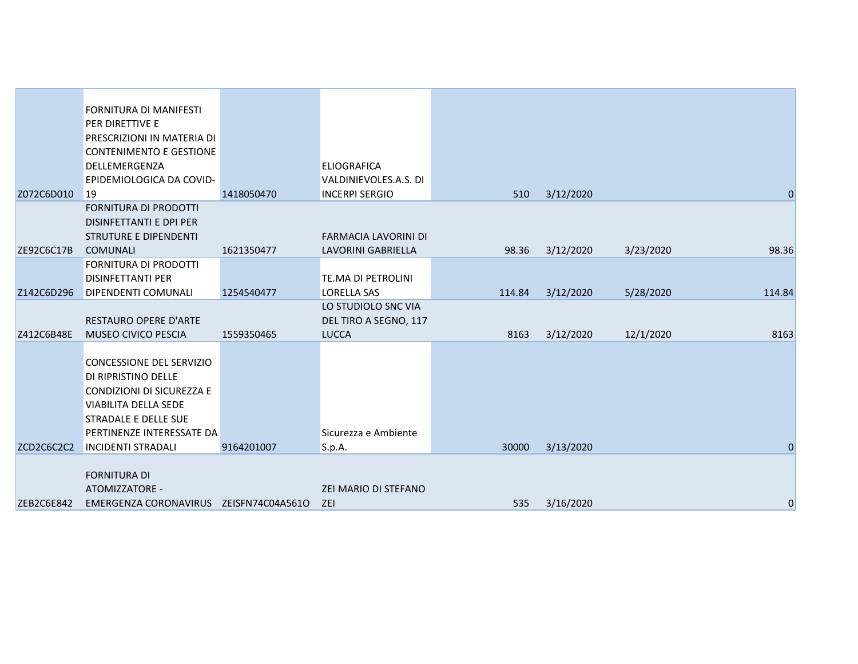|            | <b>FORNITURA DI MANIFESTI</b>          |            |                           |        |           |           |                |
|------------|----------------------------------------|------------|---------------------------|--------|-----------|-----------|----------------|
|            | PER DIRETTIVE E                        |            |                           |        |           |           |                |
|            | PRESCRIZIONI IN MATERIA DI             |            |                           |        |           |           |                |
|            | <b>CONTENIMENTO E GESTIONE</b>         |            |                           |        |           |           |                |
|            | DELLEMERGENZA                          |            | <b>ELIOGRAFICA</b>        |        |           |           |                |
|            | EPIDEMIOLOGICA DA COVID-               |            | VALDINIEVOLES.A.S. DI     |        |           |           |                |
| Z072C6D010 | <sup>19</sup>                          | 1418050470 | <b>INCERPI SERGIO</b>     | 510    | 3/12/2020 |           | $\overline{0}$ |
|            | FORNITURA DI PRODOTTI                  |            |                           |        |           |           |                |
|            | DISINFETTANTI E DPI PER                |            |                           |        |           |           |                |
|            | <b>STRUTURE E DIPENDENTI</b>           |            | FARMACIA LAVORINI DI      |        |           |           |                |
| ZE92C6C17B | <b>COMUNALI</b>                        | 1621350477 | <b>LAVORINI GABRIELLA</b> | 98.36  | 3/12/2020 | 3/23/2020 | 98.36          |
|            | <b>FORNITURA DI PRODOTTI</b>           |            |                           |        |           |           |                |
|            | <b>DISINFETTANTI PER</b>               |            | TE.MA DI PETROLINI        |        |           |           |                |
| Z142C6D296 | <b>DIPENDENTI COMUNALI</b>             | 1254540477 | <b>LORELLA SAS</b>        | 114.84 | 3/12/2020 | 5/28/2020 | 114.84         |
|            |                                        |            | LO STUDIOLO SNC VIA       |        |           |           |                |
|            | RESTAURO OPERE D'ARTE                  |            | DEL TIRO A SEGNO, 117     |        |           |           |                |
| Z412C6B48E | MUSEO CIVICO PESCIA                    | 1559350465 | <b>LUCCA</b>              | 8163   | 3/12/2020 | 12/1/2020 | 8163           |
|            |                                        |            |                           |        |           |           |                |
|            | CONCESSIONE DEL SERVIZIO               |            |                           |        |           |           |                |
|            | DI RIPRISTINO DELLE                    |            |                           |        |           |           |                |
|            | CONDIZIONI DI SICUREZZA E              |            |                           |        |           |           |                |
|            | <b>VIABILITA DELLA SEDE</b>            |            |                           |        |           |           |                |
|            | STRADALE E DELLE SUE                   |            |                           |        |           |           |                |
|            | PERTINENZE INTERESSATE DA              |            | Sicurezza e Ambiente      |        |           |           |                |
| ZCD2C6C2C2 | <b>INCIDENTI STRADALI</b>              | 9164201007 | S.p.A.                    | 30000  | 3/13/2020 |           | $\mathbf 0$    |
|            |                                        |            |                           |        |           |           |                |
|            | <b>FORNITURA DI</b>                    |            |                           |        |           |           |                |
|            | ATOMIZZATORE -                         |            | ZEI MARIO DI STEFANO      |        |           |           |                |
| ZEB2C6E842 | EMERGENZA CORONAVIRUS ZEISFN74C04A561O |            | ZEI                       | 535    | 3/16/2020 |           | $\overline{0}$ |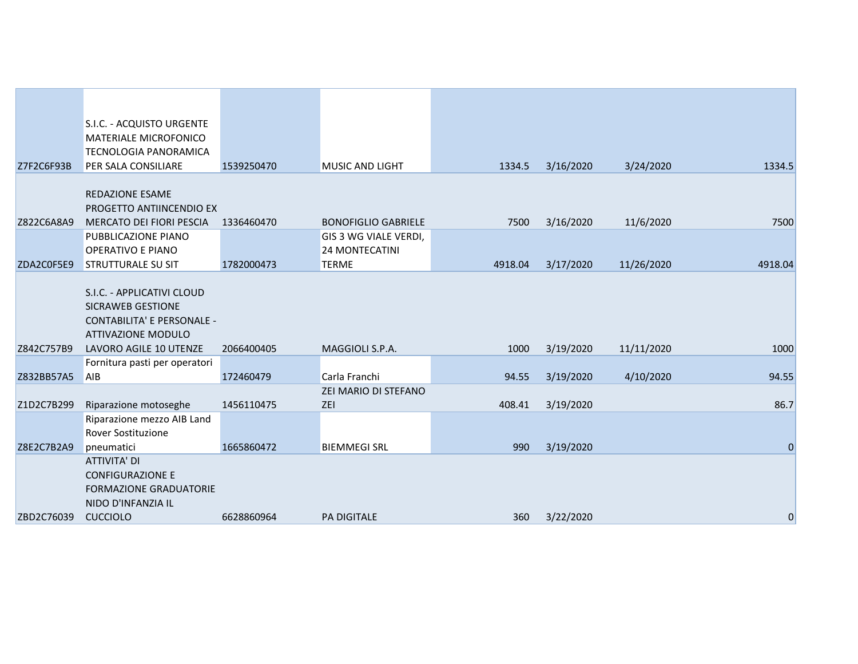|            | S.I.C. - ACQUISTO URGENTE                              |            |                            |         |           |            |             |
|------------|--------------------------------------------------------|------------|----------------------------|---------|-----------|------------|-------------|
|            | MATERIALE MICROFONICO                                  |            |                            |         |           |            |             |
|            | <b>TECNOLOGIA PANORAMICA</b>                           |            |                            |         |           |            |             |
| Z7F2C6F93B | PER SALA CONSILIARE                                    | 1539250470 | <b>MUSIC AND LIGHT</b>     | 1334.5  | 3/16/2020 | 3/24/2020  | 1334.5      |
|            | REDAZIONE ESAME                                        |            |                            |         |           |            |             |
|            | PROGETTO ANTIINCENDIO EX                               |            |                            |         |           |            |             |
| Z822C6A8A9 | MERCATO DEI FIORI PESCIA                               | 1336460470 | <b>BONOFIGLIO GABRIELE</b> | 7500    | 3/16/2020 | 11/6/2020  | 7500        |
|            | PUBBLICAZIONE PIANO                                    |            | GIS 3 WG VIALE VERDI,      |         |           |            |             |
|            | <b>OPERATIVO E PIANO</b>                               |            | 24 MONTECATINI             |         |           |            |             |
| ZDA2C0F5E9 | <b>STRUTTURALE SU SIT</b>                              | 1782000473 | <b>TERME</b>               | 4918.04 | 3/17/2020 | 11/26/2020 | 4918.04     |
|            |                                                        |            |                            |         |           |            |             |
|            | S.I.C. - APPLICATIVI CLOUD<br><b>SICRAWEB GESTIONE</b> |            |                            |         |           |            |             |
|            | <b>CONTABILITA' E PERSONALE -</b>                      |            |                            |         |           |            |             |
|            | <b>ATTIVAZIONE MODULO</b>                              |            |                            |         |           |            |             |
| Z842C757B9 | LAVORO AGILE 10 UTENZE                                 | 2066400405 | MAGGIOLI S.P.A.            | 1000    | 3/19/2020 | 11/11/2020 | 1000        |
|            | Fornitura pasti per operatori                          |            |                            |         |           |            |             |
| Z832BB57A5 | <b>AIB</b>                                             | 172460479  | Carla Franchi              | 94.55   | 3/19/2020 | 4/10/2020  | 94.55       |
|            |                                                        |            | ZEI MARIO DI STEFANO       |         |           |            |             |
| Z1D2C7B299 | Riparazione motoseghe                                  | 1456110475 | ZEI                        | 408.41  | 3/19/2020 |            | 86.7        |
|            | Riparazione mezzo AIB Land                             |            |                            |         |           |            |             |
| Z8E2C7B2A9 | Rover Sostituzione<br>pneumatici                       | 1665860472 | <b>BIEMMEGI SRL</b>        | 990     | 3/19/2020 |            | $\mathbf 0$ |
|            | <b>ATTIVITA' DI</b>                                    |            |                            |         |           |            |             |
|            | <b>CONFIGURAZIONE E</b>                                |            |                            |         |           |            |             |
|            | <b>FORMAZIONE GRADUATORIE</b>                          |            |                            |         |           |            |             |
|            | NIDO D'INFANZIA IL                                     |            |                            |         |           |            |             |
| ZBD2C76039 | <b>CUCCIOLO</b>                                        | 6628860964 | <b>PA DIGITALE</b>         | 360     | 3/22/2020 |            | 0           |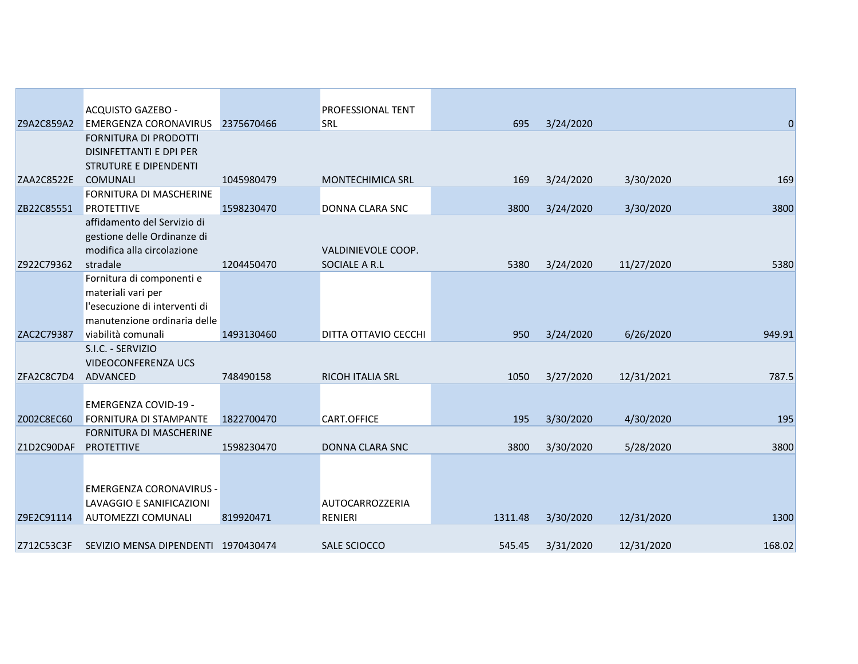|            | <b>ACQUISTO GAZEBO -</b>                                        |            | <b>PROFESSIONAL TENT</b> |         |           |            |        |
|------------|-----------------------------------------------------------------|------------|--------------------------|---------|-----------|------------|--------|
| Z9A2C859A2 | <b>EMERGENZA CORONAVIRUS</b>                                    | 2375670466 | <b>SRL</b>               | 695     | 3/24/2020 |            | 0      |
|            | FORNITURA DI PRODOTTI                                           |            |                          |         |           |            |        |
|            | DISINFETTANTI E DPI PER                                         |            |                          |         |           |            |        |
|            | <b>STRUTURE E DIPENDENTI</b>                                    |            |                          |         |           |            |        |
| ZAA2C8522E | <b>COMUNALI</b>                                                 | 1045980479 | <b>MONTECHIMICA SRL</b>  | 169     | 3/24/2020 | 3/30/2020  | 169    |
|            | FORNITURA DI MASCHERINE                                         |            |                          |         |           |            |        |
| ZB22C85551 | <b>PROTETTIVE</b>                                               | 1598230470 | DONNA CLARA SNC          | 3800    | 3/24/2020 | 3/30/2020  | 3800   |
|            | affidamento del Servizio di                                     |            |                          |         |           |            |        |
|            | gestione delle Ordinanze di                                     |            |                          |         |           |            |        |
|            | modifica alla circolazione                                      |            | VALDINIEVOLE COOP.       |         |           |            |        |
| Z922C79362 | stradale<br>Fornitura di componenti e                           | 1204450470 | SOCIALE A R.L            | 5380    | 3/24/2020 | 11/27/2020 | 5380   |
|            | materiali vari per                                              |            |                          |         |           |            |        |
|            | l'esecuzione di interventi di                                   |            |                          |         |           |            |        |
|            | manutenzione ordinaria delle                                    |            |                          |         |           |            |        |
| ZAC2C79387 | viabilità comunali                                              | 1493130460 | DITTA OTTAVIO CECCHI     | 950     | 3/24/2020 | 6/26/2020  | 949.91 |
|            | S.I.C. - SERVIZIO                                               |            |                          |         |           |            |        |
|            | <b>VIDEOCONFERENZA UCS</b>                                      |            |                          |         |           |            |        |
| ZFA2C8C7D4 | ADVANCED                                                        | 748490158  | RICOH ITALIA SRL         | 1050    | 3/27/2020 | 12/31/2021 | 787.5  |
|            |                                                                 |            |                          |         |           |            |        |
|            | EMERGENZA COVID-19 -                                            |            |                          |         |           |            |        |
| Z002C8EC60 | <b>FORNITURA DI STAMPANTE</b><br><b>FORNITURA DI MASCHERINE</b> | 1822700470 | <b>CART.OFFICE</b>       | 195     | 3/30/2020 | 4/30/2020  | 195    |
| Z1D2C90DAF | <b>PROTETTIVE</b>                                               | 1598230470 | DONNA CLARA SNC          | 3800    | 3/30/2020 | 5/28/2020  | 3800   |
|            |                                                                 |            |                          |         |           |            |        |
|            |                                                                 |            |                          |         |           |            |        |
|            | EMERGENZA CORONAVIRUS -                                         |            |                          |         |           |            |        |
|            | LAVAGGIO E SANIFICAZIONI                                        |            | <b>AUTOCARROZZERIA</b>   |         |           |            |        |
| Z9E2C91114 | <b>AUTOMEZZI COMUNALI</b>                                       | 819920471  | RENIERI                  | 1311.48 | 3/30/2020 | 12/31/2020 | 1300   |
|            |                                                                 |            |                          |         |           |            |        |
| Z712C53C3F | SEVIZIO MENSA DIPENDENTI 1970430474                             |            | SALE SCIOCCO             | 545.45  | 3/31/2020 | 12/31/2020 | 168.02 |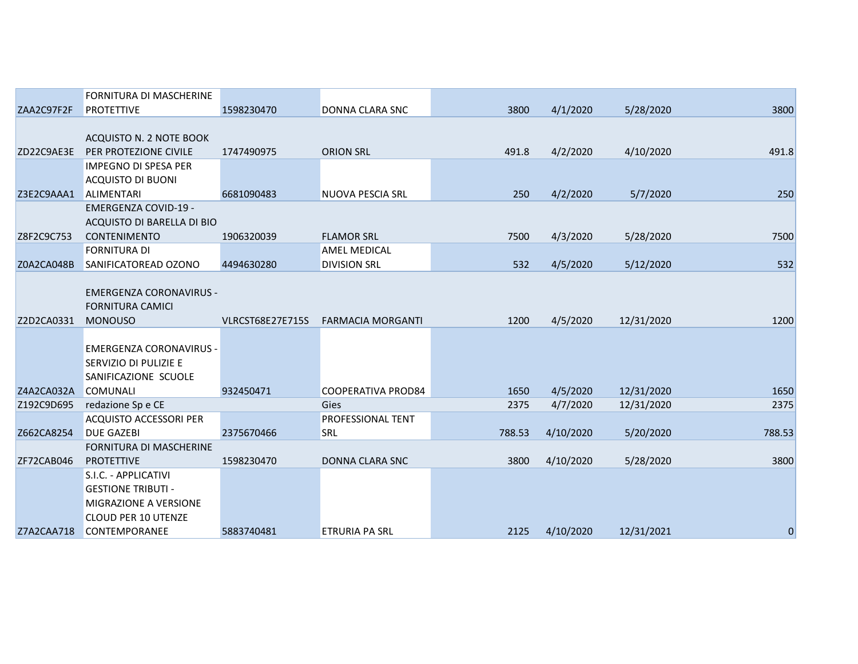|            | FORNITURA DI MASCHERINE        |                  |                           |        |           |            |             |
|------------|--------------------------------|------------------|---------------------------|--------|-----------|------------|-------------|
| ZAA2C97F2F | <b>PROTETTIVE</b>              | 1598230470       | DONNA CLARA SNC           | 3800   | 4/1/2020  | 5/28/2020  | 3800        |
|            |                                |                  |                           |        |           |            |             |
|            | ACQUISTO N. 2 NOTE BOOK        |                  |                           |        |           |            |             |
| ZD22C9AE3E | PER PROTEZIONE CIVILE          | 1747490975       | <b>ORION SRL</b>          | 491.8  | 4/2/2020  | 4/10/2020  | 491.8       |
|            | <b>IMPEGNO DI SPESA PER</b>    |                  |                           |        |           |            |             |
|            | <b>ACQUISTO DI BUONI</b>       |                  |                           |        |           |            |             |
| Z3E2C9AAA1 | <b>ALIMENTARI</b>              | 6681090483       | NUOVA PESCIA SRL          | 250    | 4/2/2020  | 5/7/2020   | 250         |
|            | <b>EMERGENZA COVID-19 -</b>    |                  |                           |        |           |            |             |
|            | ACQUISTO DI BARELLA DI BIO     |                  |                           |        |           |            |             |
| Z8F2C9C753 | <b>CONTENIMENTO</b>            | 1906320039       | <b>FLAMOR SRL</b>         | 7500   | 4/3/2020  | 5/28/2020  | 7500        |
|            | <b>FORNITURA DI</b>            |                  | <b>AMEL MEDICAL</b>       |        |           |            |             |
| Z0A2CA048B | SANIFICATOREAD OZONO           | 4494630280       | <b>DIVISION SRL</b>       | 532    | 4/5/2020  | 5/12/2020  | 532         |
|            |                                |                  |                           |        |           |            |             |
|            | <b>EMERGENZA CORONAVIRUS -</b> |                  |                           |        |           |            |             |
|            | <b>FORNITURA CAMICI</b>        |                  |                           |        |           |            |             |
| Z2D2CA0331 | <b>MONOUSO</b>                 | VLRCST68E27E715S | <b>FARMACIA MORGANTI</b>  | 1200   | 4/5/2020  | 12/31/2020 | 1200        |
|            | <b>EMERGENZA CORONAVIRUS -</b> |                  |                           |        |           |            |             |
|            | <b>SERVIZIO DI PULIZIE E</b>   |                  |                           |        |           |            |             |
|            | SANIFICAZIONE SCUOLE           |                  |                           |        |           |            |             |
| Z4A2CA032A | <b>COMUNALI</b>                | 932450471        | <b>COOPERATIVA PROD84</b> | 1650   | 4/5/2020  | 12/31/2020 | 1650        |
| Z192C9D695 | redazione Sp e CE              |                  | <b>Gies</b>               | 2375   | 4/7/2020  | 12/31/2020 | 2375        |
|            | <b>ACQUISTO ACCESSORI PER</b>  |                  | PROFESSIONAL TENT         |        |           |            |             |
| Z662CA8254 | <b>DUE GAZEBI</b>              | 2375670466       | <b>SRL</b>                | 788.53 | 4/10/2020 | 5/20/2020  | 788.53      |
|            | FORNITURA DI MASCHERINE        |                  |                           |        |           |            |             |
| ZF72CAB046 | <b>PROTETTIVE</b>              | 1598230470       | <b>DONNA CLARA SNC</b>    | 3800   | 4/10/2020 | 5/28/2020  | 3800        |
|            | S.I.C. - APPLICATIVI           |                  |                           |        |           |            |             |
|            | <b>GESTIONE TRIBUTI -</b>      |                  |                           |        |           |            |             |
|            | <b>MIGRAZIONE A VERSIONE</b>   |                  |                           |        |           |            |             |
|            | <b>CLOUD PER 10 UTENZE</b>     |                  |                           |        |           |            |             |
| Z7A2CAA718 | <b>CONTEMPORANEE</b>           | 5883740481       | <b>ETRURIA PA SRL</b>     | 2125   | 4/10/2020 | 12/31/2021 | $\mathbf 0$ |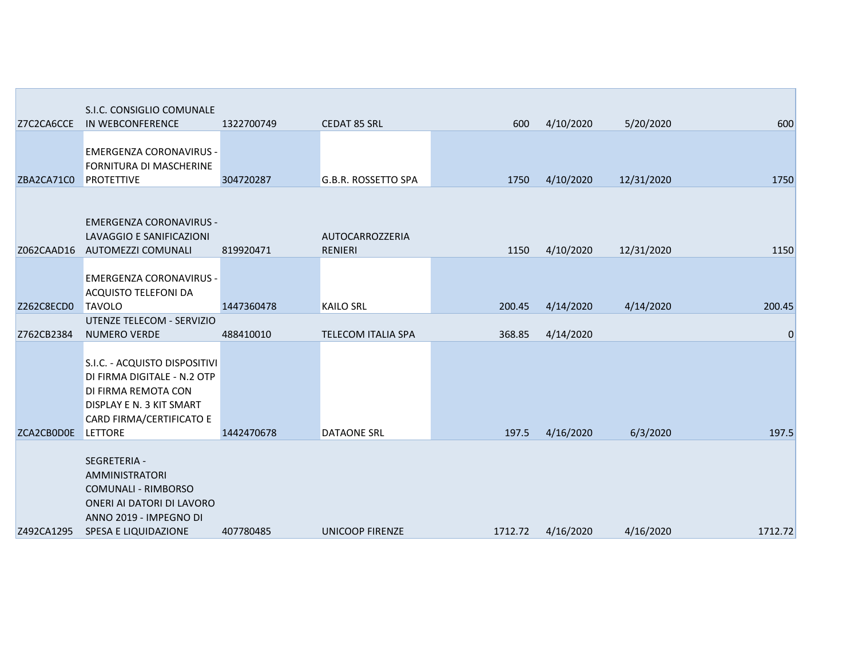|            | S.I.C. CONSIGLIO COMUNALE                                                                                                                                     |            |                                   |         |           |            |             |
|------------|---------------------------------------------------------------------------------------------------------------------------------------------------------------|------------|-----------------------------------|---------|-----------|------------|-------------|
| Z7C2CA6CCE | IN WEBCONFERENCE                                                                                                                                              | 1322700749 | <b>CEDAT 85 SRL</b>               | 600     | 4/10/2020 | 5/20/2020  | 600         |
| ZBA2CA71C0 | <b>EMERGENZA CORONAVIRUS -</b><br>FORNITURA DI MASCHERINE<br><b>PROTETTIVE</b>                                                                                | 304720287  | G.B.R. ROSSETTO SPA               | 1750    | 4/10/2020 | 12/31/2020 | 1750        |
| Z062CAAD16 | <b>EMERGENZA CORONAVIRUS -</b><br>LAVAGGIO E SANIFICAZIONI<br>AUTOMEZZI COMUNALI                                                                              | 819920471  | AUTOCARROZZERIA<br><b>RENIERI</b> | 1150    | 4/10/2020 | 12/31/2020 | 1150        |
| Z262C8ECD0 | <b>EMERGENZA CORONAVIRUS -</b><br><b>ACQUISTO TELEFONI DA</b><br><b>TAVOLO</b>                                                                                | 1447360478 | <b>KAILO SRL</b>                  | 200.45  | 4/14/2020 | 4/14/2020  | 200.45      |
| Z762CB2384 | UTENZE TELECOM - SERVIZIO<br>NUMERO VERDE                                                                                                                     | 488410010  | TELECOM ITALIA SPA                | 368.85  | 4/14/2020 |            | $\mathbf 0$ |
| ZCA2CB0D0E | S.I.C. - ACQUISTO DISPOSITIVI<br>DI FIRMA DIGITALE - N.2 OTP<br>DI FIRMA REMOTA CON<br>DISPLAY E N. 3 KIT SMART<br>CARD FIRMA/CERTIFICATO E<br><b>LETTORE</b> | 1442470678 | <b>DATAONE SRL</b>                | 197.5   | 4/16/2020 | 6/3/2020   | 197.5       |
| Z492CA1295 | SEGRETERIA -<br><b>AMMINISTRATORI</b><br><b>COMUNALI - RIMBORSO</b><br>ONERI AI DATORI DI LAVORO<br>ANNO 2019 - IMPEGNO DI<br>SPESA E LIQUIDAZIONE            | 407780485  | UNICOOP FIRENZE                   | 1712.72 | 4/16/2020 | 4/16/2020  | 1712.72     |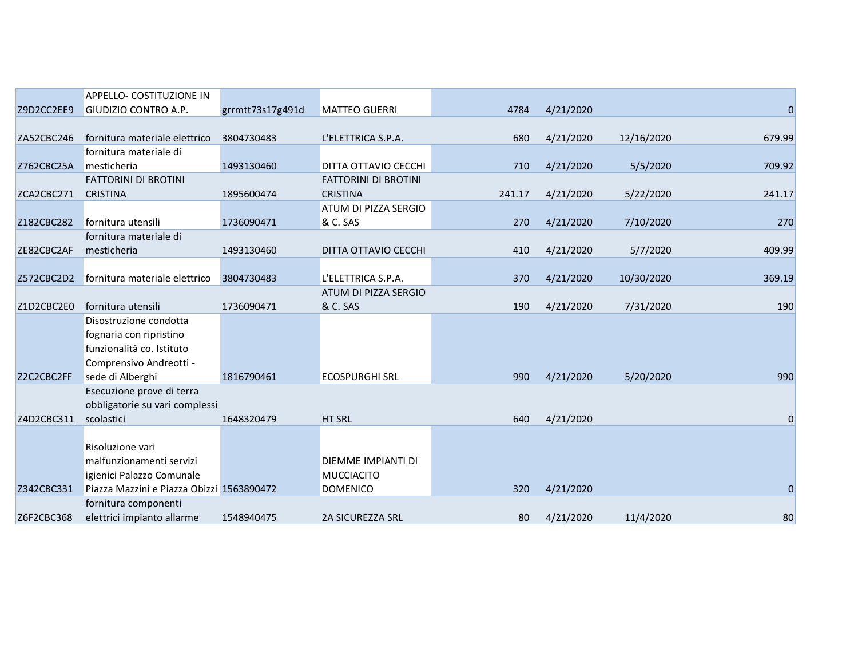|            | APPELLO- COSTITUZIONE IN                  |                  |                             |        |           |            |                |
|------------|-------------------------------------------|------------------|-----------------------------|--------|-----------|------------|----------------|
| Z9D2CC2EE9 | GIUDIZIO CONTRO A.P.                      | grrmtt73s17g491d | <b>MATTEO GUERRI</b>        | 4784   | 4/21/2020 |            | $\mathbf 0$    |
|            |                                           |                  |                             |        |           |            |                |
| ZA52CBC246 | fornitura materiale elettrico             | 3804730483       | L'ELETTRICA S.P.A.          | 680    | 4/21/2020 | 12/16/2020 | 679.99         |
|            | fornitura materiale di                    |                  |                             |        |           |            |                |
| Z762CBC25A | mesticheria                               | 1493130460       | DITTA OTTAVIO CECCHI        | 710    | 4/21/2020 | 5/5/2020   | 709.92         |
|            | <b>FATTORINI DI BROTINI</b>               |                  | <b>FATTORINI DI BROTINI</b> |        |           |            |                |
| ZCA2CBC271 | <b>CRISTINA</b>                           | 1895600474       | <b>CRISTINA</b>             | 241.17 | 4/21/2020 | 5/22/2020  | 241.17         |
|            |                                           |                  | ATUM DI PIZZA SERGIO        |        |           |            |                |
| Z182CBC282 | fornitura utensili                        | 1736090471       | & C. SAS                    | 270    | 4/21/2020 | 7/10/2020  | 270            |
|            | fornitura materiale di                    |                  |                             |        |           |            |                |
| ZE82CBC2AF | mesticheria                               | 1493130460       | DITTA OTTAVIO CECCHI        | 410    | 4/21/2020 | 5/7/2020   | 409.99         |
|            |                                           |                  |                             |        |           |            |                |
| Z572CBC2D2 | fornitura materiale elettrico             | 3804730483       | L'ELETTRICA S.P.A.          | 370    | 4/21/2020 | 10/30/2020 | 369.19         |
|            |                                           |                  | ATUM DI PIZZA SERGIO        |        |           |            |                |
| Z1D2CBC2E0 | fornitura utensili                        | 1736090471       | & C. SAS                    | 190    | 4/21/2020 | 7/31/2020  | 190            |
|            | Disostruzione condotta                    |                  |                             |        |           |            |                |
|            | fognaria con ripristino                   |                  |                             |        |           |            |                |
|            | funzionalità co. Istituto                 |                  |                             |        |           |            |                |
|            | Comprensivo Andreotti -                   |                  |                             |        |           |            |                |
| Z2C2CBC2FF | sede di Alberghi                          | 1816790461       | <b>ECOSPURGHI SRL</b>       | 990    | 4/21/2020 | 5/20/2020  | 990            |
|            | Esecuzione prove di terra                 |                  |                             |        |           |            |                |
|            | obbligatorie su vari complessi            |                  |                             |        |           |            |                |
| Z4D2CBC311 | scolastici                                | 1648320479       | <b>HT SRL</b>               | 640    | 4/21/2020 |            | $\mathbf 0$    |
|            |                                           |                  |                             |        |           |            |                |
|            | Risoluzione vari                          |                  |                             |        |           |            |                |
|            | malfunzionamenti servizi                  |                  | DIEMME IMPIANTI DI          |        |           |            |                |
|            | igienici Palazzo Comunale                 |                  | <b>MUCCIACITO</b>           |        |           |            |                |
| Z342CBC331 | Piazza Mazzini e Piazza Obizzi 1563890472 |                  | <b>DOMENICO</b>             | 320    | 4/21/2020 |            | $\overline{0}$ |
|            | fornitura componenti                      |                  |                             |        |           |            |                |
| Z6F2CBC368 | elettrici impianto allarme                | 1548940475       | <b>2A SICUREZZA SRL</b>     | 80     | 4/21/2020 | 11/4/2020  | 80             |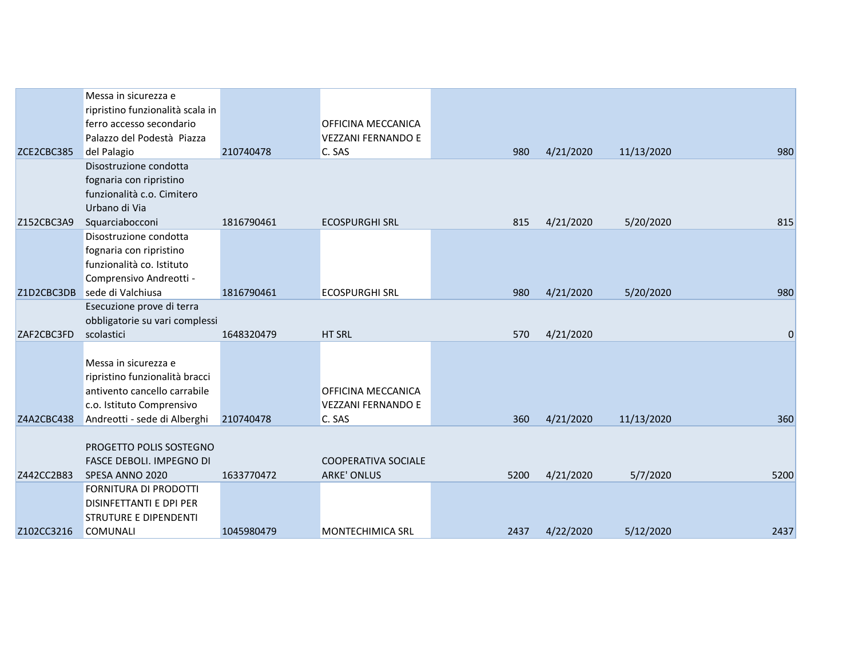|            | Messa in sicurezza e             |            |                            |      |           |            |             |
|------------|----------------------------------|------------|----------------------------|------|-----------|------------|-------------|
|            | ripristino funzionalità scala in |            |                            |      |           |            |             |
|            | ferro accesso secondario         |            | OFFICINA MECCANICA         |      |           |            |             |
|            | Palazzo del Podestà Piazza       |            | <b>VEZZANI FERNANDO E</b>  |      |           |            |             |
| ZCE2CBC385 | del Palagio                      | 210740478  | C. SAS                     | 980  | 4/21/2020 | 11/13/2020 | 980         |
|            | Disostruzione condotta           |            |                            |      |           |            |             |
|            | fognaria con ripristino          |            |                            |      |           |            |             |
|            | funzionalità c.o. Cimitero       |            |                            |      |           |            |             |
|            | Urbano di Via                    |            |                            |      |           |            |             |
| Z152CBC3A9 | Squarciabocconi                  | 1816790461 | <b>ECOSPURGHI SRL</b>      | 815  | 4/21/2020 | 5/20/2020  | 815         |
|            | Disostruzione condotta           |            |                            |      |           |            |             |
|            | fognaria con ripristino          |            |                            |      |           |            |             |
|            | funzionalità co. Istituto        |            |                            |      |           |            |             |
|            | Comprensivo Andreotti -          |            |                            |      |           |            |             |
| Z1D2CBC3DB | sede di Valchiusa                | 1816790461 | <b>ECOSPURGHI SRL</b>      | 980  | 4/21/2020 | 5/20/2020  | 980         |
|            | Esecuzione prove di terra        |            |                            |      |           |            |             |
|            | obbligatorie su vari complessi   |            |                            |      |           |            |             |
| ZAF2CBC3FD | scolastici                       | 1648320479 | HT SRL                     | 570  | 4/21/2020 |            | $\mathbf 0$ |
|            |                                  |            |                            |      |           |            |             |
|            | Messa in sicurezza e             |            |                            |      |           |            |             |
|            | ripristino funzionalità bracci   |            |                            |      |           |            |             |
|            | antivento cancello carrabile     |            | OFFICINA MECCANICA         |      |           |            |             |
|            | c.o. Istituto Comprensivo        |            | <b>VEZZANI FERNANDO E</b>  |      |           |            |             |
| Z4A2CBC438 | Andreotti - sede di Alberghi     | 210740478  | C. SAS                     | 360  | 4/21/2020 | 11/13/2020 | 360         |
|            |                                  |            |                            |      |           |            |             |
|            | PROGETTO POLIS SOSTEGNO          |            |                            |      |           |            |             |
|            | <b>FASCE DEBOLI. IMPEGNO DI</b>  |            | <b>COOPERATIVA SOCIALE</b> |      |           |            |             |
| Z442CC2B83 | SPESA ANNO 2020                  | 1633770472 | <b>ARKE' ONLUS</b>         | 5200 | 4/21/2020 | 5/7/2020   | 5200        |
|            | FORNITURA DI PRODOTTI            |            |                            |      |           |            |             |
|            | <b>DISINFETTANTI E DPI PER</b>   |            |                            |      |           |            |             |
|            | <b>STRUTURE E DIPENDENTI</b>     |            |                            |      |           |            |             |
| Z102CC3216 | <b>COMUNALI</b>                  | 1045980479 | <b>MONTECHIMICA SRL</b>    | 2437 | 4/22/2020 | 5/12/2020  | 2437        |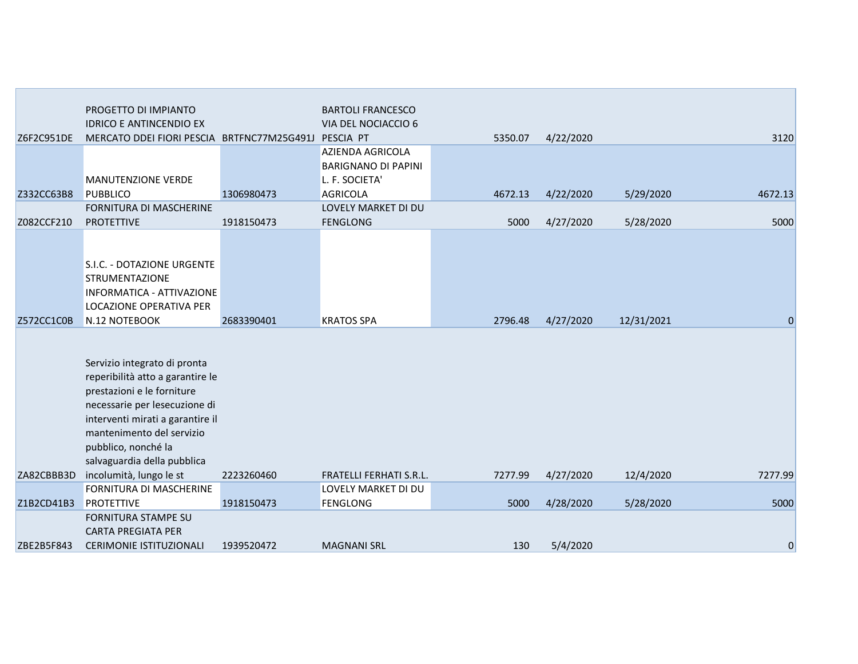|            | PROGETTO DI IMPIANTO                                 |            | <b>BARTOLI FRANCESCO</b>       |         |           |            |             |
|------------|------------------------------------------------------|------------|--------------------------------|---------|-----------|------------|-------------|
|            | <b>IDRICO E ANTINCENDIO EX</b>                       |            | VIA DEL NOCIACCIO 6            |         |           |            |             |
| Z6F2C951DE | MERCATO DDEI FIORI PESCIA BRTFNC77M25G491J PESCIA PT |            |                                | 5350.07 | 4/22/2020 |            | 3120        |
|            |                                                      |            | <b>AZIENDA AGRICOLA</b>        |         |           |            |             |
|            |                                                      |            | <b>BARIGNANO DI PAPINI</b>     |         |           |            |             |
|            | MANUTENZIONE VERDE                                   |            | L. F. SOCIETA'                 |         |           |            |             |
| Z332CC63B8 | <b>PUBBLICO</b>                                      | 1306980473 | <b>AGRICOLA</b>                | 4672.13 | 4/22/2020 | 5/29/2020  | 4672.13     |
|            | <b>FORNITURA DI MASCHERINE</b>                       |            | LOVELY MARKET DI DU            |         |           |            |             |
| Z082CCF210 | <b>PROTETTIVE</b>                                    | 1918150473 | <b>FENGLONG</b>                | 5000    | 4/27/2020 | 5/28/2020  | 5000        |
|            |                                                      |            |                                |         |           |            |             |
|            |                                                      |            |                                |         |           |            |             |
|            | S.I.C. - DOTAZIONE URGENTE                           |            |                                |         |           |            |             |
|            | <b>STRUMENTAZIONE</b>                                |            |                                |         |           |            |             |
|            | INFORMATICA - ATTIVAZIONE                            |            |                                |         |           |            |             |
|            | LOCAZIONE OPERATIVA PER                              |            |                                |         |           |            |             |
| Z572CC1C0B | N.12 NOTEBOOK                                        | 2683390401 | <b>KRATOS SPA</b>              | 2796.48 | 4/27/2020 | 12/31/2021 | $\mathbf 0$ |
|            |                                                      |            |                                |         |           |            |             |
|            |                                                      |            |                                |         |           |            |             |
|            | Servizio integrato di pronta                         |            |                                |         |           |            |             |
|            | reperibilità atto a garantire le                     |            |                                |         |           |            |             |
|            | prestazioni e le forniture                           |            |                                |         |           |            |             |
|            | necessarie per lesecuzione di                        |            |                                |         |           |            |             |
|            | interventi mirati a garantire il                     |            |                                |         |           |            |             |
|            | mantenimento del servizio                            |            |                                |         |           |            |             |
|            | pubblico, nonché la                                  |            |                                |         |           |            |             |
|            | salvaguardia della pubblica                          |            |                                |         |           |            |             |
| ZA82CBBB3D | incolumità, lungo le st                              | 2223260460 | <b>FRATELLI FERHATI S.R.L.</b> | 7277.99 | 4/27/2020 | 12/4/2020  | 7277.99     |
|            | FORNITURA DI MASCHERINE                              |            | LOVELY MARKET DI DU            |         |           |            |             |
| Z1B2CD41B3 | <b>PROTETTIVE</b>                                    | 1918150473 | <b>FENGLONG</b>                | 5000    | 4/28/2020 | 5/28/2020  | 5000        |
|            | <b>FORNITURA STAMPE SU</b>                           |            |                                |         |           |            |             |
|            | <b>CARTA PREGIATA PER</b>                            |            |                                |         |           |            |             |
| ZBE2B5F843 | <b>CERIMONIE ISTITUZIONALI</b>                       | 1939520472 | <b>MAGNANI SRL</b>             | 130     | 5/4/2020  |            | $\mathbf 0$ |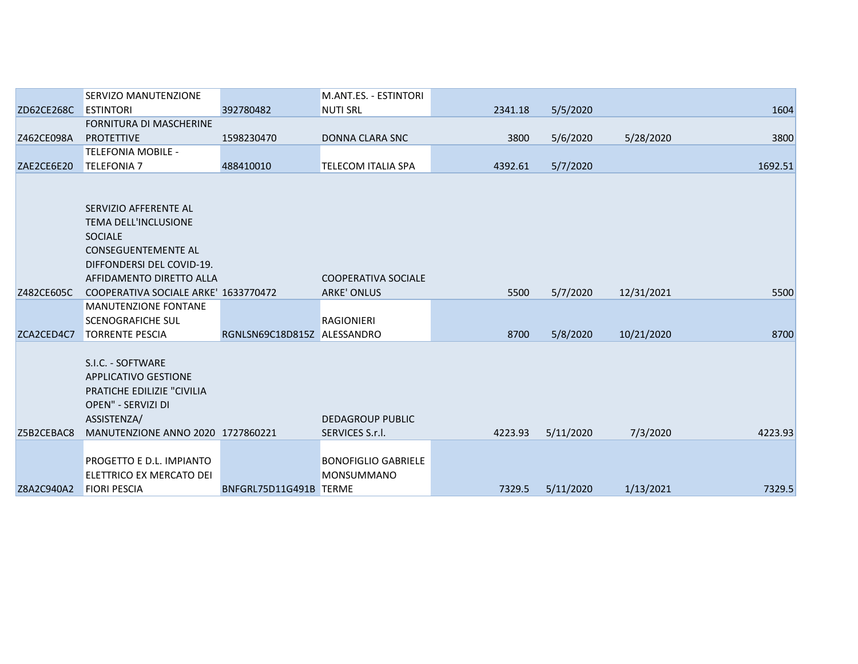|            | <b>SERVIZO MANUTENZIONE</b>          |                             | <b>M.ANT.ES. - ESTINTORI</b> |         |           |            |         |
|------------|--------------------------------------|-----------------------------|------------------------------|---------|-----------|------------|---------|
| ZD62CE268C | <b>ESTINTORI</b>                     | 392780482                   | <b>NUTI SRL</b>              | 2341.18 | 5/5/2020  |            | 1604    |
|            | <b>FORNITURA DI MASCHERINE</b>       |                             |                              |         |           |            |         |
| Z462CE098A | <b>PROTETTIVE</b>                    | 1598230470                  | DONNA CLARA SNC              | 3800    | 5/6/2020  | 5/28/2020  | 3800    |
|            | <b>TELEFONIA MOBILE -</b>            |                             |                              |         |           |            |         |
| ZAE2CE6E20 | <b>TELEFONIA 7</b>                   | 488410010                   | <b>TELECOM ITALIA SPA</b>    | 4392.61 | 5/7/2020  |            | 1692.51 |
|            |                                      |                             |                              |         |           |            |         |
|            |                                      |                             |                              |         |           |            |         |
|            | SERVIZIO AFFERENTE AL                |                             |                              |         |           |            |         |
|            | <b>TEMA DELL'INCLUSIONE</b>          |                             |                              |         |           |            |         |
|            | <b>SOCIALE</b>                       |                             |                              |         |           |            |         |
|            | <b>CONSEGUENTEMENTE AL</b>           |                             |                              |         |           |            |         |
|            | DIFFONDERSI DEL COVID-19.            |                             |                              |         |           |            |         |
|            | AFFIDAMENTO DIRETTO ALLA             |                             | <b>COOPERATIVA SOCIALE</b>   |         |           |            |         |
| Z482CE605C | COOPERATIVA SOCIALE ARKE' 1633770472 |                             | <b>ARKE' ONLUS</b>           | 5500    | 5/7/2020  | 12/31/2021 | 5500    |
|            | <b>MANUTENZIONE FONTANE</b>          |                             |                              |         |           |            |         |
|            | <b>SCENOGRAFICHE SUL</b>             |                             | RAGIONIERI                   |         |           |            |         |
| ZCA2CED4C7 | <b>TORRENTE PESCIA</b>               | RGNLSN69C18D815Z ALESSANDRO |                              | 8700    | 5/8/2020  | 10/21/2020 | 8700    |
|            |                                      |                             |                              |         |           |            |         |
|            | S.I.C. - SOFTWARE                    |                             |                              |         |           |            |         |
|            | APPLICATIVO GESTIONE                 |                             |                              |         |           |            |         |
|            | <b>PRATICHE EDILIZIE "CIVILIA</b>    |                             |                              |         |           |            |         |
|            | OPEN" - SERVIZI DI                   |                             |                              |         |           |            |         |
|            | ASSISTENZA/                          |                             | <b>DEDAGROUP PUBLIC</b>      |         |           |            |         |
| Z5B2CEBAC8 | MANUTENZIONE ANNO 2020 1727860221    |                             | SERVICES S.r.l.              | 4223.93 | 5/11/2020 | 7/3/2020   | 4223.93 |
|            |                                      |                             |                              |         |           |            |         |
|            | PROGETTO E D.L. IMPIANTO             |                             | <b>BONOFIGLIO GABRIELE</b>   |         |           |            |         |
|            | ELETTRICO EX MERCATO DEI             |                             | <b>MONSUMMANO</b>            |         |           |            |         |
| Z8A2C940A2 | <b>FIORI PESCIA</b>                  | BNFGRL75D11G491B TERME      |                              | 7329.5  | 5/11/2020 | 1/13/2021  | 7329.5  |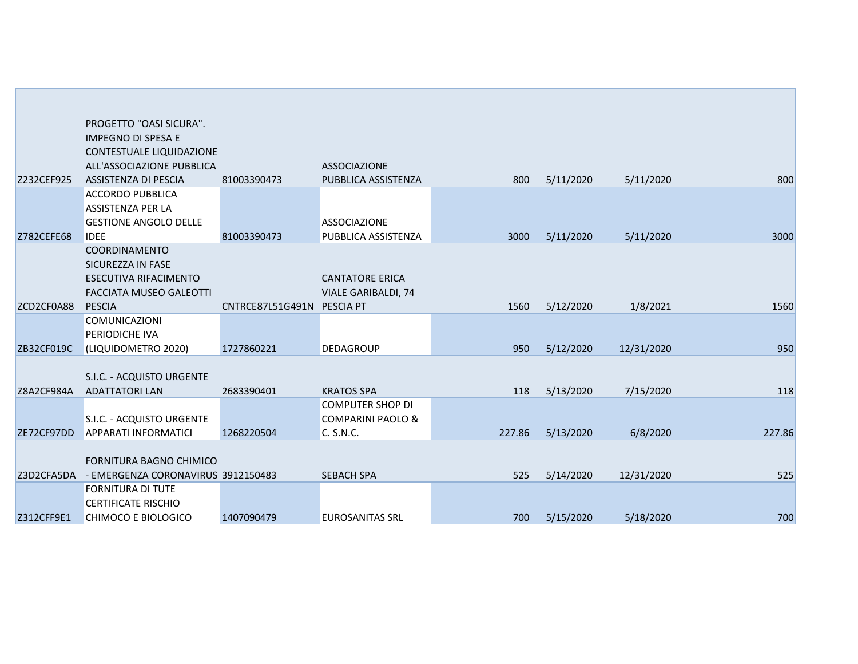|                   | PROGETTO "OASI SICURA".                                |                            |                              |        |           |            |        |
|-------------------|--------------------------------------------------------|----------------------------|------------------------------|--------|-----------|------------|--------|
|                   | <b>IMPEGNO DI SPESA E</b>                              |                            |                              |        |           |            |        |
|                   | CONTESTUALE LIQUIDAZIONE                               |                            |                              |        |           |            |        |
|                   | ALL'ASSOCIAZIONE PUBBLICA                              |                            | <b>ASSOCIAZIONE</b>          |        |           |            |        |
| Z232CEF925        | <b>ASSISTENZA DI PESCIA</b>                            | 81003390473                | PUBBLICA ASSISTENZA          | 800    | 5/11/2020 | 5/11/2020  | 800    |
|                   | <b>ACCORDO PUBBLICA</b>                                |                            |                              |        |           |            |        |
|                   | ASSISTENZA PER LA                                      |                            |                              |        |           |            |        |
|                   | <b>GESTIONE ANGOLO DELLE</b>                           |                            | <b>ASSOCIAZIONE</b>          |        |           |            |        |
| <b>Z782CEFE68</b> | <b>IDEE</b>                                            | 81003390473                | PUBBLICA ASSISTENZA          | 3000   | 5/11/2020 | 5/11/2020  | 3000   |
|                   | <b>COORDINAMENTO</b>                                   |                            |                              |        |           |            |        |
|                   | SICUREZZA IN FASE                                      |                            |                              |        |           |            |        |
|                   | <b>ESECUTIVA RIFACIMENTO</b>                           |                            | <b>CANTATORE ERICA</b>       |        |           |            |        |
|                   | <b>FACCIATA MUSEO GALEOTTI</b>                         |                            | <b>VIALE GARIBALDI, 74</b>   |        |           |            |        |
| ZCD2CF0A88        | <b>PESCIA</b>                                          | CNTRCE87L51G491N PESCIA PT |                              | 1560   | 5/12/2020 | 1/8/2021   | 1560   |
|                   | <b>COMUNICAZIONI</b>                                   |                            |                              |        |           |            |        |
|                   | PERIODICHE IVA                                         |                            |                              |        |           |            |        |
| ZB32CF019C        | (LIQUIDOMETRO 2020)                                    | 1727860221                 | <b>DEDAGROUP</b>             | 950    | 5/12/2020 | 12/31/2020 | 950    |
|                   |                                                        |                            |                              |        |           |            |        |
|                   | S.I.C. - ACQUISTO URGENTE                              |                            |                              |        |           |            |        |
| Z8A2CF984A        | <b>ADATTATORI LAN</b>                                  | 2683390401                 | <b>KRATOS SPA</b>            | 118    | 5/13/2020 | 7/15/2020  | 118    |
|                   |                                                        |                            | <b>COMPUTER SHOP DI</b>      |        |           |            |        |
|                   | S.I.C. - ACQUISTO URGENTE                              |                            | <b>COMPARINI PAOLO &amp;</b> |        |           |            |        |
| ZE72CF97DD        | <b>APPARATI INFORMATICI</b>                            | 1268220504                 | C. S.N.C.                    | 227.86 | 5/13/2020 | 6/8/2020   | 227.86 |
|                   |                                                        |                            |                              |        |           |            |        |
|                   | FORNITURA BAGNO CHIMICO                                |                            |                              |        |           |            |        |
| Z3D2CFA5DA        | - EMERGENZA CORONAVIRUS 3912150483                     |                            | <b>SEBACH SPA</b>            | 525    | 5/14/2020 | 12/31/2020 | 525    |
|                   | <b>FORNITURA DI TUTE</b><br><b>CERTIFICATE RISCHIO</b> |                            |                              |        |           |            |        |
| Z312CFF9E1        | <b>CHIMOCO E BIOLOGICO</b>                             | 1407090479                 | <b>EUROSANITAS SRL</b>       | 700    | 5/15/2020 | 5/18/2020  | 700    |
|                   |                                                        |                            |                              |        |           |            |        |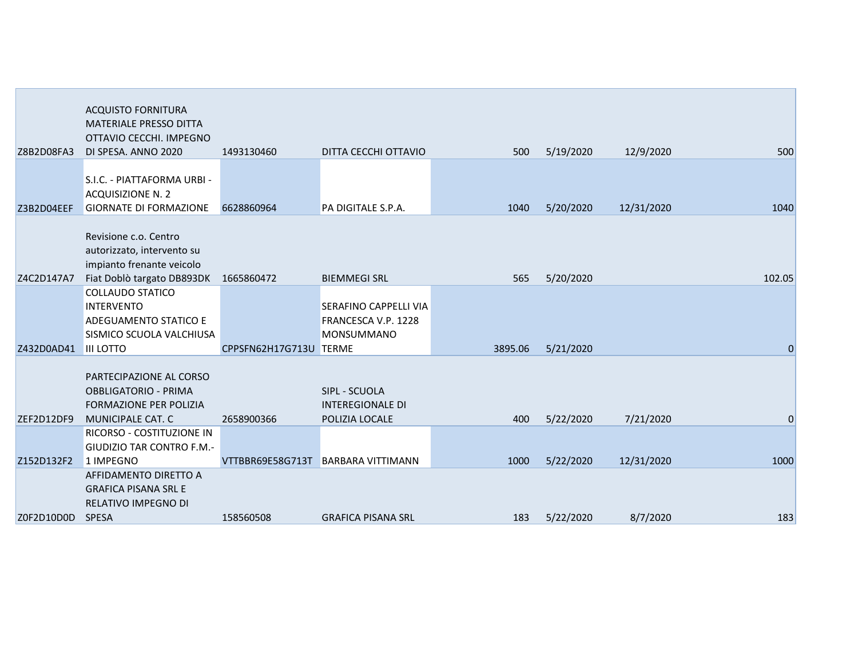|            | <b>ACQUISTO FORNITURA</b><br><b>MATERIALE PRESSO DITTA</b><br>OTTAVIO CECCHI, IMPEGNO    |                        |                                                     |         |           |            |                |
|------------|------------------------------------------------------------------------------------------|------------------------|-----------------------------------------------------|---------|-----------|------------|----------------|
| Z8B2D08FA3 | DI SPESA. ANNO 2020                                                                      | 1493130460             | DITTA CECCHI OTTAVIO                                | 500     | 5/19/2020 | 12/9/2020  | 500            |
| Z3B2D04EEF | S.I.C. - PIATTAFORMA URBI -<br><b>ACQUISIZIONE N. 2</b><br><b>GIORNATE DI FORMAZIONE</b> | 6628860964             | PA DIGITALE S.P.A.                                  | 1040    | 5/20/2020 | 12/31/2020 | 1040           |
|            |                                                                                          |                        |                                                     |         |           |            |                |
|            | Revisione c.o. Centro<br>autorizzato, intervento su<br>impianto frenante veicolo         |                        |                                                     |         |           |            |                |
| Z4C2D147A7 | Fiat Doblò targato DB893DK                                                               | 1665860472             | <b>BIEMMEGI SRL</b>                                 | 565     | 5/20/2020 |            | 102.05         |
|            | <b>COLLAUDO STATICO</b>                                                                  |                        |                                                     |         |           |            |                |
|            | <b>INTERVENTO</b><br><b>ADEGUAMENTO STATICO E</b>                                        |                        | <b>SERAFINO CAPPELLI VIA</b><br>FRANCESCA V.P. 1228 |         |           |            |                |
|            | SISMICO SCUOLA VALCHIUSA                                                                 |                        | <b>MONSUMMANO</b>                                   |         |           |            |                |
| Z432D0AD41 | <b>III LOTTO</b>                                                                         | CPPSFN62H17G713U TERME |                                                     | 3895.06 | 5/21/2020 |            | $\overline{0}$ |
|            | PARTECIPAZIONE AL CORSO<br><b>OBBLIGATORIO - PRIMA</b><br><b>FORMAZIONE PER POLIZIA</b>  |                        | SIPL - SCUOLA<br><b>INTEREGIONALE DI</b>            |         |           |            |                |
| ZEF2D12DF9 | MUNICIPALE CAT. C<br>RICORSO - COSTITUZIONE IN                                           | 2658900366             | POLIZIA LOCALE                                      | 400     | 5/22/2020 | 7/21/2020  | 0              |
| Z152D132F2 | <b>GIUDIZIO TAR CONTRO F.M.-</b><br>1 IMPEGNO                                            |                        | VTTBBR69E58G713T BARBARA VITTIMANN                  | 1000    | 5/22/2020 | 12/31/2020 | 1000           |
|            | AFFIDAMENTO DIRETTO A<br><b>GRAFICA PISANA SRL E</b><br>RELATIVO IMPEGNO DI              |                        |                                                     |         |           |            |                |
| Z0F2D10D0D | <b>SPESA</b>                                                                             | 158560508              | <b>GRAFICA PISANA SRL</b>                           | 183     | 5/22/2020 | 8/7/2020   | 183            |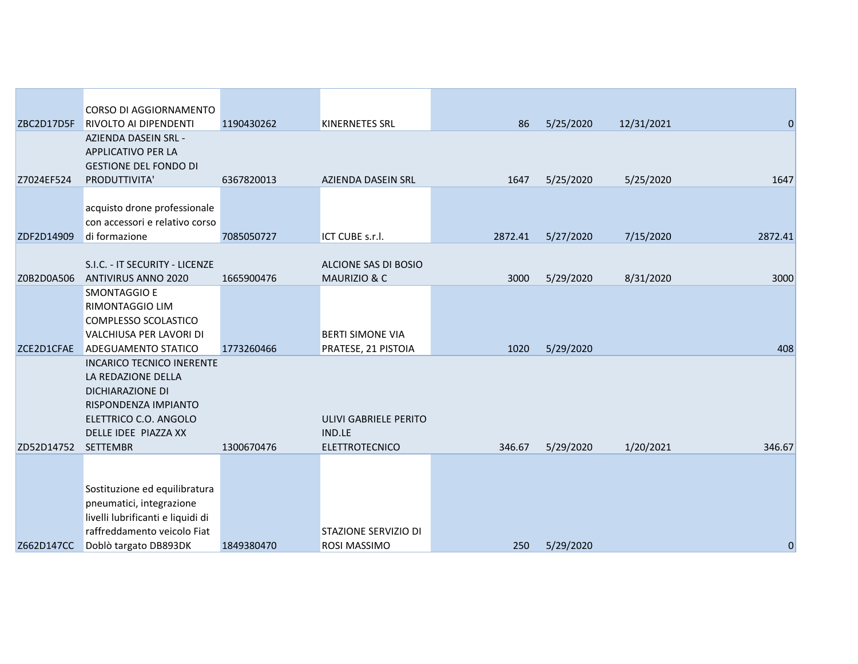|            | CORSO DI AGGIORNAMENTO                                                     |            |                         |         |           |            |              |
|------------|----------------------------------------------------------------------------|------------|-------------------------|---------|-----------|------------|--------------|
| ZBC2D17D5F | <b>RIVOLTO AI DIPENDENTI</b>                                               | 1190430262 | <b>KINERNETES SRL</b>   | 86      | 5/25/2020 | 12/31/2021 | $\mathbf{0}$ |
|            | AZIENDA DASEIN SRL -<br>APPLICATIVO PER LA<br><b>GESTIONE DEL FONDO DI</b> |            |                         |         |           |            |              |
| Z7024EF524 | PRODUTTIVITA'                                                              | 6367820013 | AZIENDA DASEIN SRL      | 1647    | 5/25/2020 | 5/25/2020  | 1647         |
|            | acquisto drone professionale<br>con accessori e relativo corso             |            |                         |         |           |            |              |
| ZDF2D14909 | di formazione                                                              | 7085050727 | ICT CUBE s.r.l.         | 2872.41 | 5/27/2020 | 7/15/2020  | 2872.41      |
|            | S.I.C. - IT SECURITY - LICENZE                                             |            | ALCIONE SAS DI BOSIO    |         |           |            |              |
| Z0B2D0A506 | ANTIVIRUS ANNO 2020                                                        | 1665900476 | MAURIZIO & C            | 3000    | 5/29/2020 | 8/31/2020  | 3000         |
|            | <b>SMONTAGGIO E</b>                                                        |            |                         |         |           |            |              |
|            | RIMONTAGGIO LIM                                                            |            |                         |         |           |            |              |
|            | COMPLESSO SCOLASTICO                                                       |            |                         |         |           |            |              |
|            | VALCHIUSA PER LAVORI DI                                                    |            | <b>BERTI SIMONE VIA</b> |         |           |            |              |
| ZCE2D1CFAE | <b>ADEGUAMENTO STATICO</b>                                                 | 1773260466 | PRATESE, 21 PISTOIA     | 1020    | 5/29/2020 |            | 408          |
|            | <b>INCARICO TECNICO INERENTE</b>                                           |            |                         |         |           |            |              |
|            | LA REDAZIONE DELLA                                                         |            |                         |         |           |            |              |
|            | <b>DICHIARAZIONE DI</b>                                                    |            |                         |         |           |            |              |
|            | RISPONDENZA IMPIANTO<br>ELETTRICO C.O. ANGOLO                              |            | ULIVI GABRIELE PERITO   |         |           |            |              |
|            | DELLE IDEE PIAZZA XX                                                       |            | IND.LE                  |         |           |            |              |
| ZD52D14752 | <b>SETTEMBR</b>                                                            | 1300670476 | <b>ELETTROTECNICO</b>   | 346.67  | 5/29/2020 | 1/20/2021  | 346.67       |
|            |                                                                            |            |                         |         |           |            |              |
|            |                                                                            |            |                         |         |           |            |              |
|            | Sostituzione ed equilibratura                                              |            |                         |         |           |            |              |
|            | pneumatici, integrazione                                                   |            |                         |         |           |            |              |
|            | livelli lubrificanti e liquidi di                                          |            |                         |         |           |            |              |
|            | raffreddamento veicolo Fiat                                                |            | STAZIONE SERVIZIO DI    |         |           |            |              |
| Z662D147CC | Doblò targato DB893DK                                                      | 1849380470 | ROSI MASSIMO            | 250     | 5/29/2020 |            | $\mathbf{0}$ |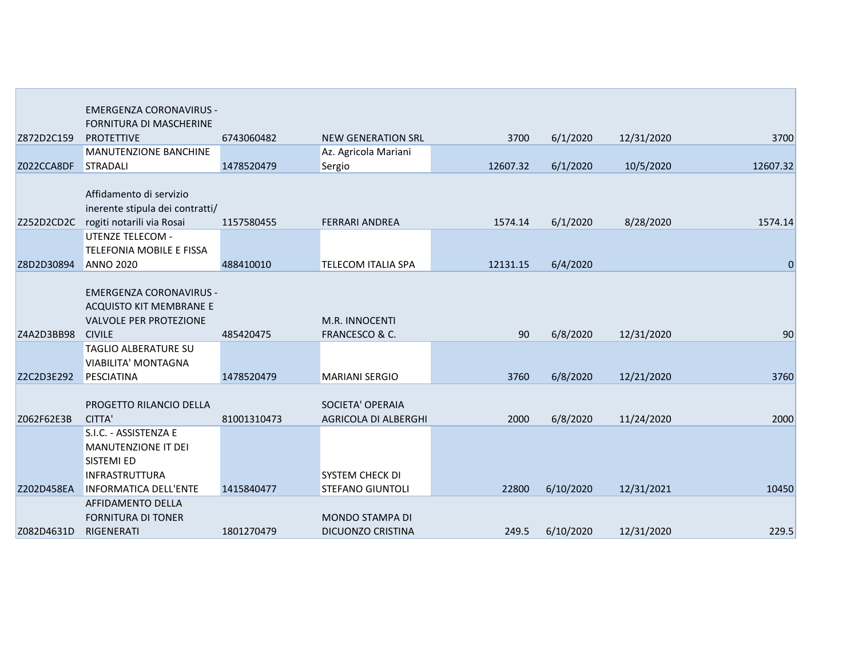|            | <b>EMERGENZA CORONAVIRUS -</b>  |             |                           |          |           |            |              |
|------------|---------------------------------|-------------|---------------------------|----------|-----------|------------|--------------|
|            | <b>FORNITURA DI MASCHERINE</b>  |             |                           |          |           |            |              |
| Z872D2C159 | <b>PROTETTIVE</b>               | 6743060482  | <b>NEW GENERATION SRL</b> | 3700     | 6/1/2020  | 12/31/2020 | 3700         |
|            | MANUTENZIONE BANCHINE           |             | Az. Agricola Mariani      |          |           |            |              |
| Z022CCA8DF | <b>STRADALI</b>                 | 1478520479  | Sergio                    | 12607.32 | 6/1/2020  | 10/5/2020  | 12607.32     |
|            |                                 |             |                           |          |           |            |              |
|            | Affidamento di servizio         |             |                           |          |           |            |              |
|            | inerente stipula dei contratti/ |             |                           |          |           |            |              |
| Z252D2CD2C | rogiti notarili via Rosai       | 1157580455  | <b>FERRARI ANDREA</b>     | 1574.14  | 6/1/2020  | 8/28/2020  | 1574.14      |
|            | <b>UTENZE TELECOM -</b>         |             |                           |          |           |            |              |
|            | TELEFONIA MOBILE E FISSA        |             |                           |          |           |            |              |
| Z8D2D30894 | <b>ANNO 2020</b>                | 488410010   | <b>TELECOM ITALIA SPA</b> | 12131.15 | 6/4/2020  |            | $\mathbf{0}$ |
|            | <b>EMERGENZA CORONAVIRUS -</b>  |             |                           |          |           |            |              |
|            | ACQUISTO KIT MEMBRANE E         |             |                           |          |           |            |              |
|            | <b>VALVOLE PER PROTEZIONE</b>   |             | M.R. INNOCENTI            |          |           |            |              |
| Z4A2D3BB98 | <b>CIVILE</b>                   | 485420475   | FRANCESCO & C.            | 90       | 6/8/2020  | 12/31/2020 | 90           |
|            | TAGLIO ALBERATURE SU            |             |                           |          |           |            |              |
|            | <b>VIABILITA' MONTAGNA</b>      |             |                           |          |           |            |              |
| Z2C2D3E292 | PESCIATINA                      | 1478520479  | <b>MARIANI SERGIO</b>     | 3760     | 6/8/2020  | 12/21/2020 | 3760         |
|            |                                 |             |                           |          |           |            |              |
|            | PROGETTO RILANCIO DELLA         |             | SOCIETA' OPERAIA          |          |           |            |              |
| Z062F62E3B | CITTA'                          | 81001310473 | AGRICOLA DI ALBERGHI      | 2000     | 6/8/2020  | 11/24/2020 | 2000         |
|            | S.I.C. - ASSISTENZA E           |             |                           |          |           |            |              |
|            | MANUTENZIONE IT DEI             |             |                           |          |           |            |              |
|            | SISTEMI ED                      |             |                           |          |           |            |              |
|            | <b>INFRASTRUTTURA</b>           |             | SYSTEM CHECK DI           |          |           |            |              |
| Z202D458EA | <b>INFORMATICA DELL'ENTE</b>    | 1415840477  | <b>STEFANO GIUNTOLI</b>   | 22800    | 6/10/2020 | 12/31/2021 | 10450        |
|            | <b>AFFIDAMENTO DELLA</b>        |             |                           |          |           |            |              |
|            | <b>FORNITURA DI TONER</b>       |             | MONDO STAMPA DI           |          |           |            |              |
| Z082D4631D | RIGENERATI                      | 1801270479  | <b>DICUONZO CRISTINA</b>  | 249.5    | 6/10/2020 | 12/31/2020 | 229.5        |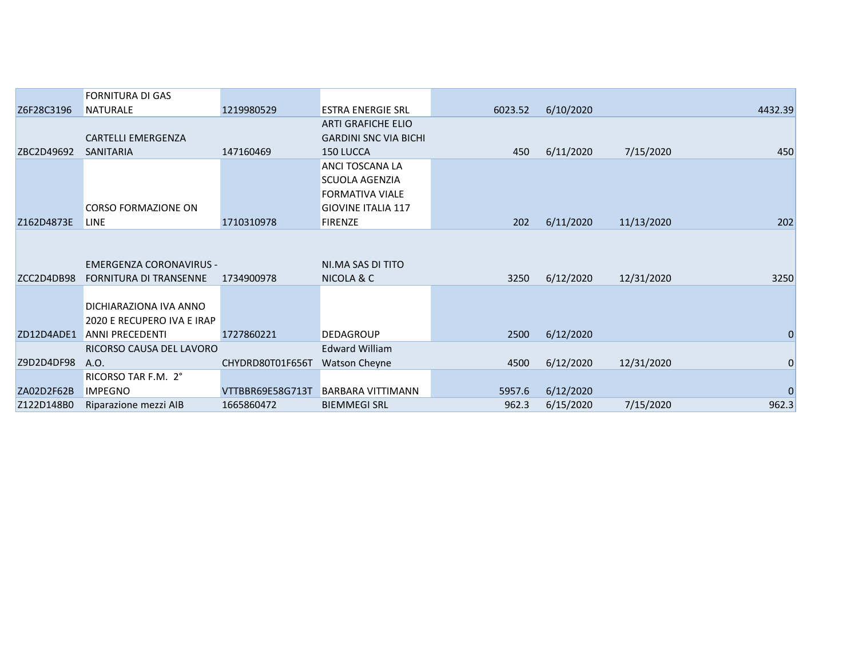|            | <b>FORNITURA DI GAS</b>        |                  |                              |         |           |            |             |
|------------|--------------------------------|------------------|------------------------------|---------|-----------|------------|-------------|
| Z6F28C3196 | <b>NATURALE</b>                | 1219980529       | <b>ESTRA ENERGIE SRL</b>     | 6023.52 | 6/10/2020 |            | 4432.39     |
|            |                                |                  | <b>ARTI GRAFICHE ELIO</b>    |         |           |            |             |
|            | <b>CARTELLI EMERGENZA</b>      |                  | <b>GARDINI SNC VIA BICHI</b> |         |           |            |             |
| ZBC2D49692 | <b>SANITARIA</b>               | 147160469        | 150 LUCCA                    | 450     | 6/11/2020 | 7/15/2020  | 450         |
|            |                                |                  | ANCI TOSCANA LA              |         |           |            |             |
|            |                                |                  | <b>SCUOLA AGENZIA</b>        |         |           |            |             |
|            |                                |                  | <b>FORMATIVA VIALE</b>       |         |           |            |             |
|            | <b>CORSO FORMAZIONE ON</b>     |                  | <b>GIOVINE ITALIA 117</b>    |         |           |            |             |
| Z162D4873E | <b>LINE</b>                    | 1710310978       | <b>FIRENZE</b>               | 202     | 6/11/2020 | 11/13/2020 | 202         |
|            |                                |                  |                              |         |           |            |             |
|            |                                |                  |                              |         |           |            |             |
|            | <b>EMERGENZA CORONAVIRUS -</b> |                  | NI.MA SAS DI TITO            |         |           |            |             |
| ZCC2D4DB98 | <b>FORNITURA DI TRANSENNE</b>  | 1734900978       | NICOLA & C                   | 3250    | 6/12/2020 | 12/31/2020 | 3250        |
|            |                                |                  |                              |         |           |            |             |
|            | DICHIARAZIONA IVA ANNO         |                  |                              |         |           |            |             |
|            | 2020 E RECUPERO IVA E IRAP     |                  |                              |         |           |            |             |
| ZD12D4ADE1 | <b>ANNI PRECEDENTI</b>         | 1727860221       | <b>DEDAGROUP</b>             | 2500    | 6/12/2020 |            | 0           |
|            | RICORSO CAUSA DEL LAVORO       |                  | <b>Edward William</b>        |         |           |            |             |
| Z9D2D4DF98 | A.O.                           | CHYDRD80T01F656T | <b>Watson Cheyne</b>         | 4500    | 6/12/2020 | 12/31/2020 | $\mathbf 0$ |
|            | RICORSO TAR F.M. 2°            |                  |                              |         |           |            |             |
| ZA02D2F62B | <b>IMPEGNO</b>                 | VTTBBR69E58G713T | <b>BARBARA VITTIMANN</b>     | 5957.6  | 6/12/2020 |            | $\Omega$    |
| Z122D148B0 | Riparazione mezzi AIB          | 1665860472       | <b>BIEMMEGI SRL</b>          | 962.3   | 6/15/2020 | 7/15/2020  | 962.3       |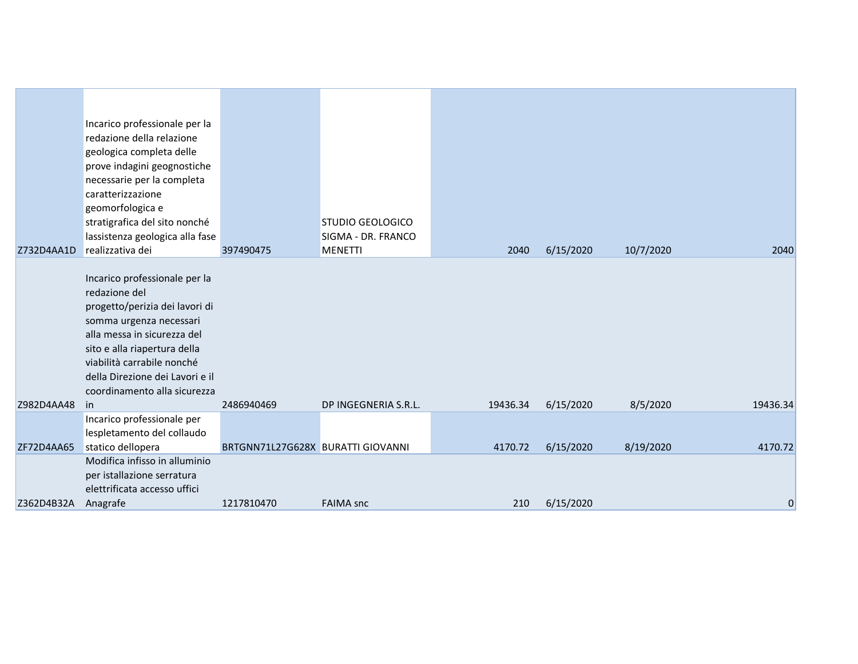|            | Incarico professionale per la<br>redazione della relazione<br>geologica completa delle<br>prove indagini geognostiche<br>necessarie per la completa<br>caratterizzazione<br>geomorfologica e<br>stratigrafica del sito nonché<br>lassistenza geologica alla fase<br>realizzativa dei |                                   | <b>STUDIO GEOLOGICO</b><br>SIGMA - DR. FRANCO |          |           |           |          |
|------------|--------------------------------------------------------------------------------------------------------------------------------------------------------------------------------------------------------------------------------------------------------------------------------------|-----------------------------------|-----------------------------------------------|----------|-----------|-----------|----------|
| Z732D4AA1D |                                                                                                                                                                                                                                                                                      | 397490475                         | <b>MENETTI</b>                                | 2040     | 6/15/2020 | 10/7/2020 | 2040     |
|            | Incarico professionale per la<br>redazione del                                                                                                                                                                                                                                       |                                   |                                               |          |           |           |          |
|            | progetto/perizia dei lavori di                                                                                                                                                                                                                                                       |                                   |                                               |          |           |           |          |
|            | somma urgenza necessari                                                                                                                                                                                                                                                              |                                   |                                               |          |           |           |          |
|            | alla messa in sicurezza del                                                                                                                                                                                                                                                          |                                   |                                               |          |           |           |          |
|            | sito e alla riapertura della<br>viabilità carrabile nonché                                                                                                                                                                                                                           |                                   |                                               |          |           |           |          |
|            | della Direzione dei Lavori e il                                                                                                                                                                                                                                                      |                                   |                                               |          |           |           |          |
|            | coordinamento alla sicurezza                                                                                                                                                                                                                                                         |                                   |                                               |          |           |           |          |
| Z982D4AA48 | -in                                                                                                                                                                                                                                                                                  | 2486940469                        | DP INGEGNERIA S.R.L.                          | 19436.34 | 6/15/2020 | 8/5/2020  | 19436.34 |
|            | Incarico professionale per                                                                                                                                                                                                                                                           |                                   |                                               |          |           |           |          |
| ZF72D4AA65 | lespletamento del collaudo<br>statico dellopera                                                                                                                                                                                                                                      | BRTGNN71L27G628X BURATTI GIOVANNI |                                               | 4170.72  | 6/15/2020 | 8/19/2020 | 4170.72  |
|            | Modifica infisso in alluminio                                                                                                                                                                                                                                                        |                                   |                                               |          |           |           |          |
|            | per istallazione serratura                                                                                                                                                                                                                                                           |                                   |                                               |          |           |           |          |
|            | elettrificata accesso uffici                                                                                                                                                                                                                                                         |                                   |                                               |          |           |           |          |
| Z362D4B32A | Anagrafe                                                                                                                                                                                                                                                                             | 1217810470                        | <b>FAIMA</b> snc                              | 210      | 6/15/2020 |           | 0        |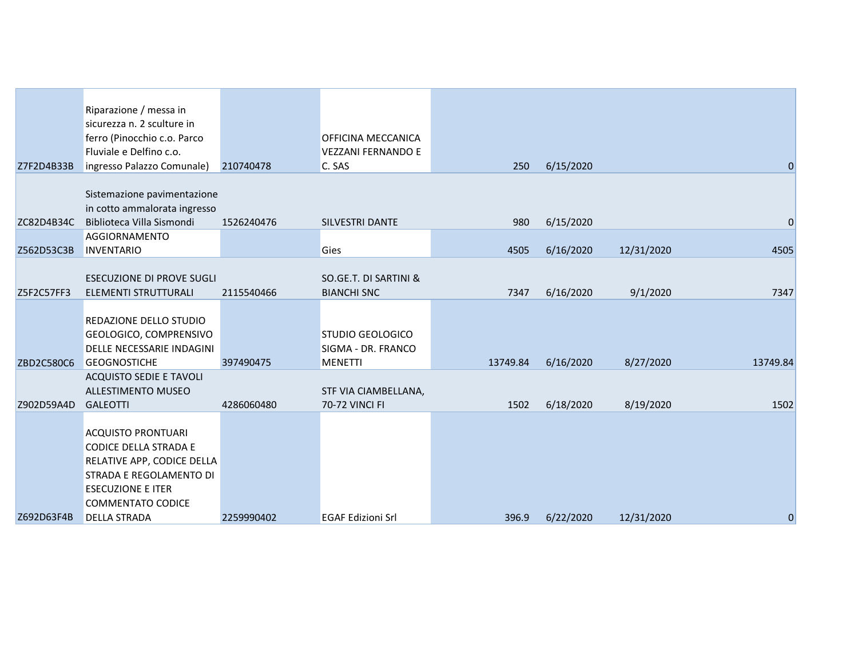|            | Riparazione / messa in<br>sicurezza n. 2 sculture in        |            |                           |          |           |            |                |
|------------|-------------------------------------------------------------|------------|---------------------------|----------|-----------|------------|----------------|
|            | ferro (Pinocchio c.o. Parco                                 |            | <b>OFFICINA MECCANICA</b> |          |           |            |                |
|            | Fluviale e Delfino c.o.                                     |            | <b>VEZZANI FERNANDO E</b> |          |           |            |                |
| Z7F2D4B33B | ingresso Palazzo Comunale)                                  | 210740478  | C. SAS                    | 250      | 6/15/2020 |            | $\overline{0}$ |
|            |                                                             |            |                           |          |           |            |                |
|            | Sistemazione pavimentazione                                 |            |                           |          |           |            |                |
|            | in cotto ammalorata ingresso                                |            |                           |          |           |            |                |
| ZC82D4B34C | Biblioteca Villa Sismondi                                   | 1526240476 | SILVESTRI DANTE           | 980      | 6/15/2020 |            | 0              |
|            | <b>AGGIORNAMENTO</b>                                        |            |                           |          |           |            |                |
| Z562D53C3B | <b>INVENTARIO</b>                                           |            | Gies                      | 4505     | 6/16/2020 | 12/31/2020 | 4505           |
|            |                                                             |            |                           |          |           |            |                |
|            | ESECUZIONE DI PROVE SUGLI                                   |            | SO.GE.T. DI SARTINI &     |          |           |            |                |
| Z5F2C57FF3 | ELEMENTI STRUTTURALI                                        | 2115540466 | <b>BIANCHI SNC</b>        | 7347     | 6/16/2020 | 9/1/2020   | 7347           |
|            |                                                             |            |                           |          |           |            |                |
|            | REDAZIONE DELLO STUDIO                                      |            |                           |          |           |            |                |
|            | GEOLOGICO, COMPRENSIVO                                      |            | STUDIO GEOLOGICO          |          |           |            |                |
|            | DELLE NECESSARIE INDAGINI                                   |            | SIGMA - DR. FRANCO        |          |           |            |                |
| ZBD2C580C6 | <b>GEOGNOSTICHE</b>                                         | 397490475  | <b>MENETTI</b>            | 13749.84 | 6/16/2020 | 8/27/2020  | 13749.84       |
|            | <b>ACQUISTO SEDIE E TAVOLI</b><br><b>ALLESTIMENTO MUSEO</b> |            | STF VIA CIAMBELLANA,      |          |           |            |                |
| Z902D59A4D | <b>GALEOTTI</b>                                             | 4286060480 | 70-72 VINCI FI            | 1502     | 6/18/2020 | 8/19/2020  | 1502           |
|            |                                                             |            |                           |          |           |            |                |
|            | <b>ACQUISTO PRONTUARI</b>                                   |            |                           |          |           |            |                |
|            | CODICE DELLA STRADA E                                       |            |                           |          |           |            |                |
|            | RELATIVE APP, CODICE DELLA                                  |            |                           |          |           |            |                |
|            | STRADA E REGOLAMENTO DI                                     |            |                           |          |           |            |                |
|            | <b>ESECUZIONE E ITER</b>                                    |            |                           |          |           |            |                |
|            | <b>COMMENTATO CODICE</b>                                    |            |                           |          |           |            |                |
| Z692D63F4B | <b>DELLA STRADA</b>                                         | 2259990402 | <b>EGAF Edizioni Srl</b>  | 396.9    | 6/22/2020 | 12/31/2020 | $\overline{0}$ |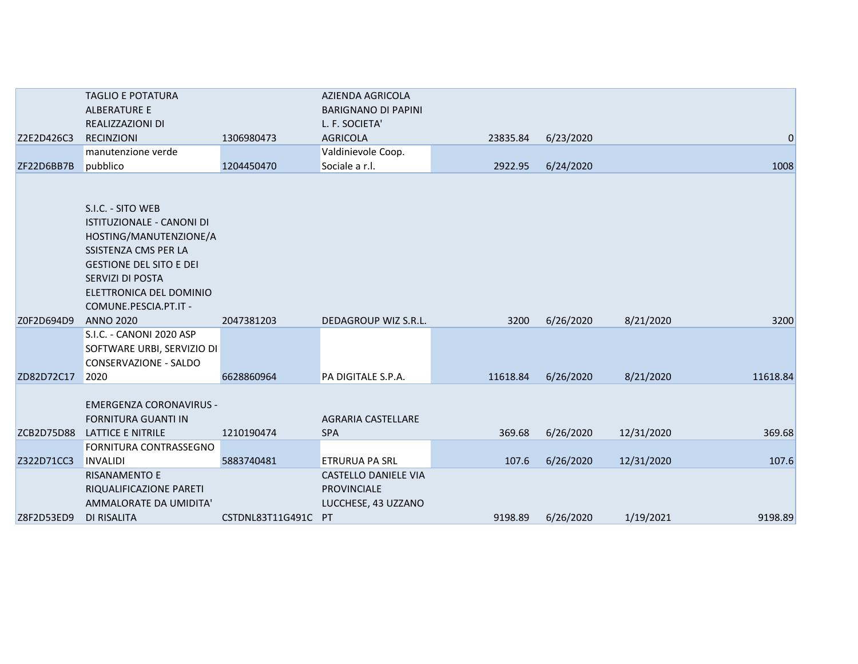|            | <b>TAGLIO E POTATURA</b>         |                     | AZIENDA AGRICOLA            |          |           |            |                |
|------------|----------------------------------|---------------------|-----------------------------|----------|-----------|------------|----------------|
|            | <b>ALBERATURE E</b>              |                     | <b>BARIGNANO DI PAPINI</b>  |          |           |            |                |
|            | REALIZZAZIONI DI                 |                     | L. F. SOCIETA'              |          |           |            |                |
| Z2E2D426C3 | <b>RECINZIONI</b>                | 1306980473          | <b>AGRICOLA</b>             | 23835.84 | 6/23/2020 |            | $\overline{0}$ |
|            | manutenzione verde               |                     | Valdinievole Coop.          |          |           |            |                |
| ZF22D6BB7B | pubblico                         | 1204450470          | Sociale a r.l.              | 2922.95  | 6/24/2020 |            | 1008           |
|            |                                  |                     |                             |          |           |            |                |
|            |                                  |                     |                             |          |           |            |                |
|            | S.I.C. - SITO WEB                |                     |                             |          |           |            |                |
|            | <b>ISTITUZIONALE - CANONI DI</b> |                     |                             |          |           |            |                |
|            | HOSTING/MANUTENZIONE/A           |                     |                             |          |           |            |                |
|            | SSISTENZA CMS PER LA             |                     |                             |          |           |            |                |
|            | <b>GESTIONE DEL SITO E DEI</b>   |                     |                             |          |           |            |                |
|            | SERVIZI DI POSTA                 |                     |                             |          |           |            |                |
|            | ELETTRONICA DEL DOMINIO          |                     |                             |          |           |            |                |
|            | COMUNE.PESCIA.PT.IT -            |                     |                             |          |           |            |                |
| Z0F2D694D9 | <b>ANNO 2020</b>                 | 2047381203          | DEDAGROUP WIZ S.R.L.        | 3200     | 6/26/2020 | 8/21/2020  | 3200           |
|            | S.I.C. - CANONI 2020 ASP         |                     |                             |          |           |            |                |
|            | SOFTWARE URBI, SERVIZIO DI       |                     |                             |          |           |            |                |
|            | CONSERVAZIONE - SALDO            |                     |                             |          |           |            |                |
| ZD82D72C17 | 2020                             | 6628860964          | PA DIGITALE S.P.A.          | 11618.84 | 6/26/2020 | 8/21/2020  | 11618.84       |
|            |                                  |                     |                             |          |           |            |                |
|            | <b>EMERGENZA CORONAVIRUS -</b>   |                     |                             |          |           |            |                |
|            | <b>FORNITURA GUANTI IN</b>       |                     | <b>AGRARIA CASTELLARE</b>   |          |           |            |                |
| ZCB2D75D88 | LATTICE E NITRILE                | 1210190474          | <b>SPA</b>                  | 369.68   | 6/26/2020 | 12/31/2020 | 369.68         |
|            | <b>FORNITURA CONTRASSEGNO</b>    |                     |                             |          |           |            |                |
| Z322D71CC3 | <b>INVALIDI</b>                  | 5883740481          | <b>ETRURUA PA SRL</b>       | 107.6    | 6/26/2020 | 12/31/2020 | 107.6          |
|            | <b>RISANAMENTO E</b>             |                     | <b>CASTELLO DANIELE VIA</b> |          |           |            |                |
|            | RIQUALIFICAZIONE PARETI          |                     | PROVINCIALE                 |          |           |            |                |
|            | AMMALORATE DA UMIDITA'           |                     | LUCCHESE, 43 UZZANO         |          |           |            |                |
| Z8F2D53ED9 | DI RISALITA                      | CSTDNL83T11G491C PT |                             | 9198.89  | 6/26/2020 | 1/19/2021  | 9198.89        |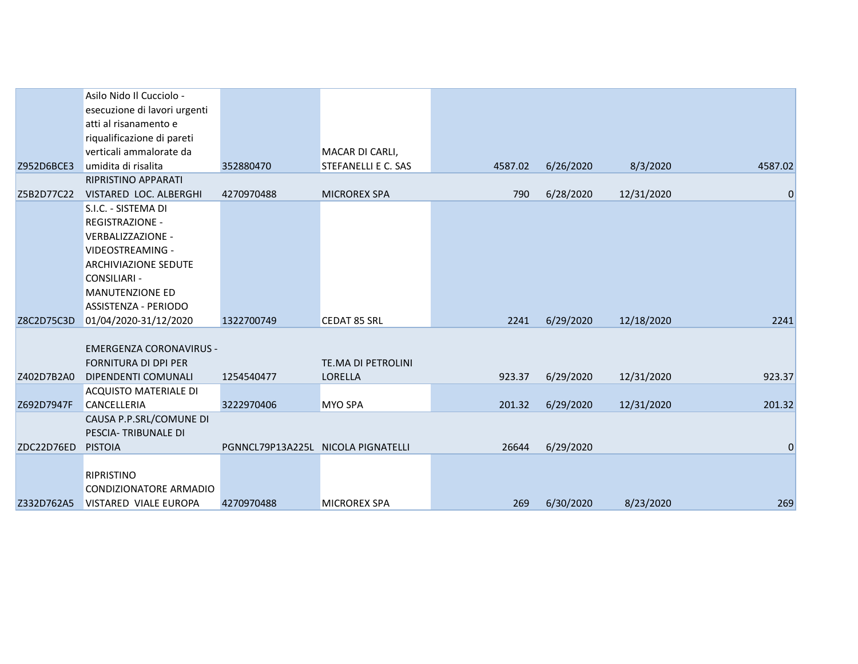|            | Asilo Nido Il Cucciolo -       |                                    |                     |         |           |            |             |
|------------|--------------------------------|------------------------------------|---------------------|---------|-----------|------------|-------------|
|            | esecuzione di lavori urgenti   |                                    |                     |         |           |            |             |
|            | atti al risanamento e          |                                    |                     |         |           |            |             |
|            | riqualificazione di pareti     |                                    |                     |         |           |            |             |
|            | verticali ammalorate da        |                                    | MACAR DI CARLI,     |         |           |            |             |
| Z952D6BCE3 | umidita di risalita            | 352880470                          | STEFANELLI E C. SAS | 4587.02 | 6/26/2020 | 8/3/2020   | 4587.02     |
|            | RIPRISTINO APPARATI            |                                    |                     |         |           |            |             |
| Z5B2D77C22 | VISTARED LOC. ALBERGHI         | 4270970488                         | <b>MICROREX SPA</b> | 790     | 6/28/2020 | 12/31/2020 | $\mathbf 0$ |
|            | S.I.C. - SISTEMA DI            |                                    |                     |         |           |            |             |
|            | <b>REGISTRAZIONE -</b>         |                                    |                     |         |           |            |             |
|            | VERBALIZZAZIONE -              |                                    |                     |         |           |            |             |
|            | VIDEOSTREAMING -               |                                    |                     |         |           |            |             |
|            | ARCHIVIAZIONE SEDUTE           |                                    |                     |         |           |            |             |
|            | <b>CONSILIARI -</b>            |                                    |                     |         |           |            |             |
|            | <b>MANUTENZIONE ED</b>         |                                    |                     |         |           |            |             |
|            | ASSISTENZA - PERIODO           |                                    |                     |         |           |            |             |
| Z8C2D75C3D | 01/04/2020-31/12/2020          | 1322700749                         | <b>CEDAT 85 SRL</b> | 2241    | 6/29/2020 | 12/18/2020 | 2241        |
|            |                                |                                    |                     |         |           |            |             |
|            | <b>EMERGENZA CORONAVIRUS -</b> |                                    |                     |         |           |            |             |
|            | <b>FORNITURA DI DPI PER</b>    |                                    | TE.MA DI PETROLINI  |         |           |            |             |
| Z402D7B2A0 | DIPENDENTI COMUNALI            | 1254540477                         | LORELLA             | 923.37  | 6/29/2020 | 12/31/2020 | 923.37      |
|            | <b>ACQUISTO MATERIALE DI</b>   |                                    |                     |         |           |            |             |
| Z692D7947F | <b>CANCELLERIA</b>             | 3222970406                         | <b>MYO SPA</b>      | 201.32  | 6/29/2020 | 12/31/2020 | 201.32      |
|            | CAUSA P.P.SRL/COMUNE DI        |                                    |                     |         |           |            |             |
|            | PESCIA-TRIBUNALE DI            |                                    |                     |         |           |            |             |
| ZDC22D76ED | <b>PISTOIA</b>                 | PGNNCL79P13A225L NICOLA PIGNATELLI |                     | 26644   | 6/29/2020 |            | 0           |
|            |                                |                                    |                     |         |           |            |             |
|            | <b>RIPRISTINO</b>              |                                    |                     |         |           |            |             |
|            | CONDIZIONATORE ARMADIO         |                                    |                     |         |           |            |             |
| Z332D762A5 | VISTARED VIALE EUROPA          | 4270970488                         | <b>MICROREX SPA</b> | 269     | 6/30/2020 | 8/23/2020  | 269         |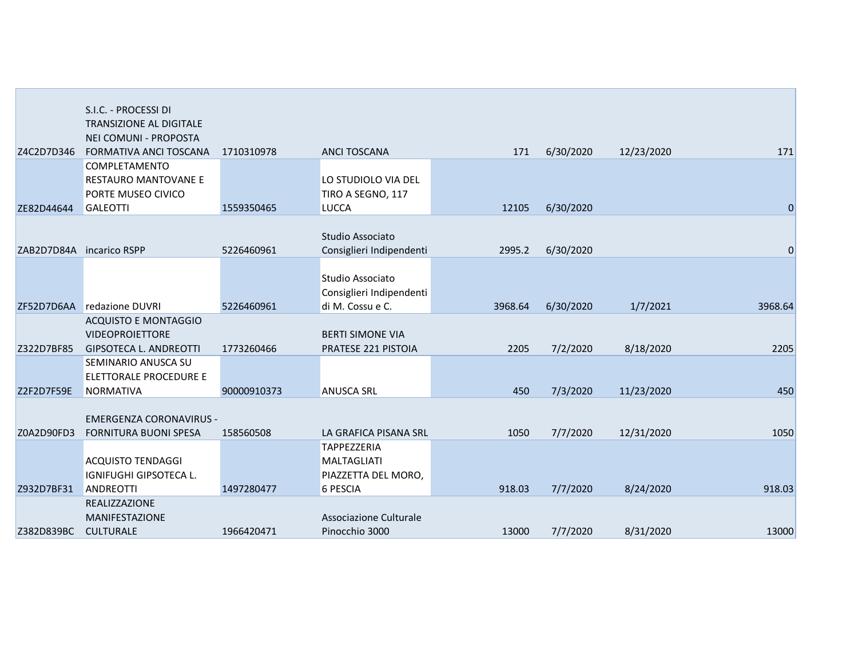|            | S.I.C. - PROCESSI DI           |             |                                              |         |           |            |             |
|------------|--------------------------------|-------------|----------------------------------------------|---------|-----------|------------|-------------|
|            | TRANSIZIONE AL DIGITALE        |             |                                              |         |           |            |             |
|            | NEI COMUNI - PROPOSTA          |             |                                              |         |           |            |             |
| Z4C2D7D346 | <b>FORMATIVA ANCI TOSCANA</b>  | 1710310978  | <b>ANCI TOSCANA</b>                          | 171     | 6/30/2020 | 12/23/2020 | 171         |
|            | COMPLETAMENTO                  |             |                                              |         |           |            |             |
|            | RESTAURO MANTOVANE E           |             | LO STUDIOLO VIA DEL                          |         |           |            |             |
|            | PORTE MUSEO CIVICO             |             | TIRO A SEGNO, 117                            |         |           |            |             |
| ZE82D44644 | <b>GALEOTTI</b>                | 1559350465  | <b>LUCCA</b>                                 | 12105   | 6/30/2020 |            | $\mathbf 0$ |
|            |                                |             |                                              |         |           |            |             |
|            |                                |             | Studio Associato                             |         |           |            |             |
| ZAB2D7D84A | incarico RSPP                  | 5226460961  | Consiglieri Indipendenti                     | 2995.2  | 6/30/2020 |            | $\mathbf 0$ |
|            |                                |             |                                              |         |           |            |             |
|            |                                |             | Studio Associato                             |         |           |            |             |
|            | ZF52D7D6AA redazione DUVRI     | 5226460961  | Consiglieri Indipendenti<br>di M. Cossu e C. |         |           |            | 3968.64     |
|            | <b>ACQUISTO E MONTAGGIO</b>    |             |                                              | 3968.64 | 6/30/2020 | 1/7/2021   |             |
|            | <b>VIDEOPROIETTORE</b>         |             | <b>BERTI SIMONE VIA</b>                      |         |           |            |             |
| Z322D7BF85 | <b>GIPSOTECA L. ANDREOTTI</b>  | 1773260466  | PRATESE 221 PISTOIA                          | 2205    | 7/2/2020  | 8/18/2020  | 2205        |
|            | SEMINARIO ANUSCA SU            |             |                                              |         |           |            |             |
|            | ELETTORALE PROCEDURE E         |             |                                              |         |           |            |             |
| Z2F2D7F59E | <b>NORMATIVA</b>               | 90000910373 | <b>ANUSCA SRL</b>                            | 450     | 7/3/2020  | 11/23/2020 | 450         |
|            |                                |             |                                              |         |           |            |             |
|            | <b>EMERGENZA CORONAVIRUS -</b> |             |                                              |         |           |            |             |
| Z0A2D90FD3 | <b>FORNITURA BUONI SPESA</b>   | 158560508   | LA GRAFICA PISANA SRL                        | 1050    | 7/7/2020  | 12/31/2020 | 1050        |
|            |                                |             | <b>TAPPEZZERIA</b>                           |         |           |            |             |
|            | ACQUISTO TENDAGGI              |             | <b>MALTAGLIATI</b>                           |         |           |            |             |
|            | IGNIFUGHI GIPSOTECA L.         |             | PIAZZETTA DEL MORO,                          |         |           |            |             |
| Z932D7BF31 | ANDREOTTI                      | 1497280477  | 6 PESCIA                                     | 918.03  | 7/7/2020  | 8/24/2020  | 918.03      |
|            | <b>REALIZZAZIONE</b>           |             |                                              |         |           |            |             |
|            | <b>MANIFESTAZIONE</b>          |             | Associazione Culturale                       |         |           |            |             |
| Z382D839BC | <b>CULTURALE</b>               | 1966420471  | Pinocchio 3000                               | 13000   | 7/7/2020  | 8/31/2020  | 13000       |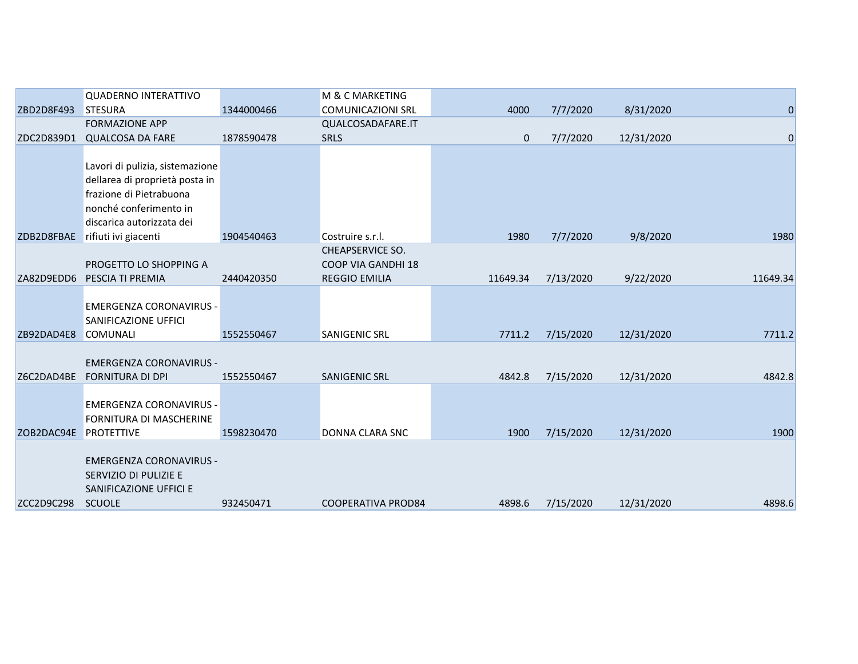|            | <b>QUADERNO INTERATTIVO</b>                                                                        |            | M & C MARKETING           |             |           |            |                |
|------------|----------------------------------------------------------------------------------------------------|------------|---------------------------|-------------|-----------|------------|----------------|
| ZBD2D8F493 | <b>STESURA</b>                                                                                     | 1344000466 | <b>COMUNICAZIONI SRL</b>  | 4000        | 7/7/2020  | 8/31/2020  | $\overline{0}$ |
|            | <b>FORMAZIONE APP</b>                                                                              |            | QUALCOSADAFARE.IT         |             |           |            |                |
| ZDC2D839D1 | <b>QUALCOSA DA FARE</b>                                                                            | 1878590478 | <b>SRLS</b>               | $\mathbf 0$ | 7/7/2020  | 12/31/2020 | $\mathbf 0$    |
|            | Lavori di pulizia, sistemazione<br>dellarea di proprietà posta in                                  |            |                           |             |           |            |                |
|            | frazione di Pietrabuona                                                                            |            |                           |             |           |            |                |
|            | nonché conferimento in                                                                             |            |                           |             |           |            |                |
|            | discarica autorizzata dei                                                                          |            |                           |             |           |            |                |
| ZDB2D8FBAE | rifiuti ivi giacenti                                                                               | 1904540463 | Costruire s.r.l.          | 1980        | 7/7/2020  | 9/8/2020   | 1980           |
|            |                                                                                                    |            | <b>CHEAPSERVICE SO.</b>   |             |           |            |                |
|            | PROGETTO LO SHOPPING A                                                                             |            | <b>COOP VIA GANDHI 18</b> |             |           |            |                |
| ZA82D9EDD6 | PESCIA TI PREMIA                                                                                   | 2440420350 | <b>REGGIO EMILIA</b>      | 11649.34    | 7/13/2020 | 9/22/2020  | 11649.34       |
|            | EMERGENZA CORONAVIRUS -<br>SANIFICAZIONE UFFICI                                                    |            |                           |             |           |            |                |
| ZB92DAD4E8 | <b>COMUNALI</b>                                                                                    | 1552550467 | SANIGENIC SRL             | 7711.2      | 7/15/2020 | 12/31/2020 | 7711.2         |
| Z6C2DAD4BE | <b>EMERGENZA CORONAVIRUS -</b><br><b>FORNITURA DI DPI</b>                                          | 1552550467 | <b>SANIGENIC SRL</b>      | 4842.8      | 7/15/2020 | 12/31/2020 | 4842.8         |
|            | <b>EMERGENZA CORONAVIRUS -</b><br>FORNITURA DI MASCHERINE                                          |            |                           |             |           |            |                |
| ZOB2DAC94E | <b>PROTETTIVE</b>                                                                                  | 1598230470 | <b>DONNA CLARA SNC</b>    | 1900        | 7/15/2020 | 12/31/2020 | 1900           |
| ZCC2D9C298 | <b>EMERGENZA CORONAVIRUS -</b><br>SERVIZIO DI PULIZIE E<br>SANIFICAZIONE UFFICI E<br><b>SCUOLE</b> | 932450471  | <b>COOPERATIVA PROD84</b> | 4898.6      | 7/15/2020 | 12/31/2020 | 4898.6         |
|            |                                                                                                    |            |                           |             |           |            |                |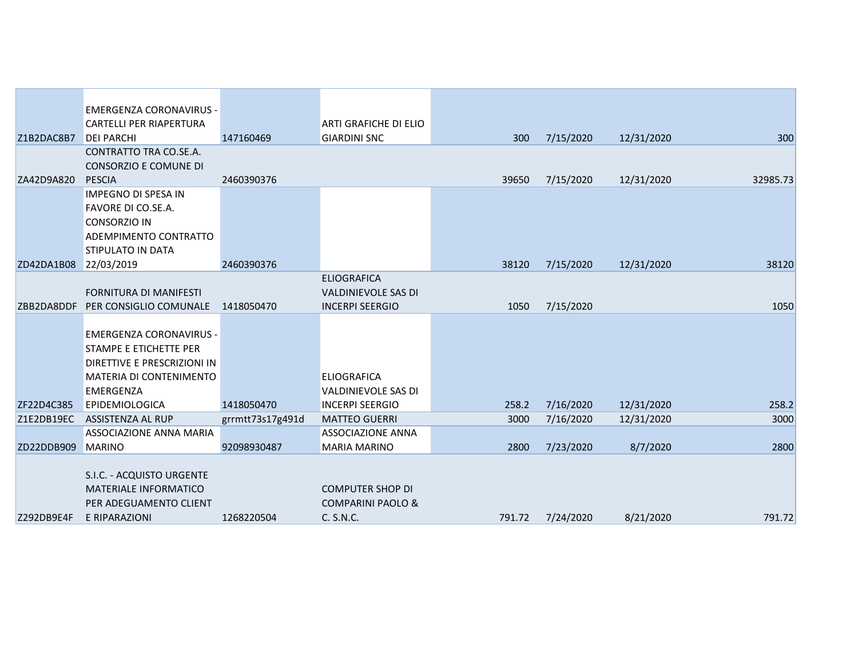|            | <b>EMERGENZA CORONAVIRUS -</b>  |                  |                              |        |           |            |          |
|------------|---------------------------------|------------------|------------------------------|--------|-----------|------------|----------|
|            | <b>CARTELLI PER RIAPERTURA</b>  |                  | <b>ARTI GRAFICHE DI ELIO</b> |        |           |            |          |
| Z1B2DAC8B7 | <b>DEI PARCHI</b>               | 147160469        | <b>GIARDINI SNC</b>          | 300    | 7/15/2020 | 12/31/2020 | 300      |
|            | CONTRATTO TRA CO.SE.A.          |                  |                              |        |           |            |          |
|            | CONSORZIO E COMUNE DI           |                  |                              |        |           |            |          |
| ZA42D9A820 | <b>PESCIA</b>                   | 2460390376       |                              | 39650  | 7/15/2020 | 12/31/2020 | 32985.73 |
|            | <b>IMPEGNO DI SPESA IN</b>      |                  |                              |        |           |            |          |
|            | <b>FAVORE DI CO.SE.A.</b>       |                  |                              |        |           |            |          |
|            | <b>CONSORZIO IN</b>             |                  |                              |        |           |            |          |
|            | ADEMPIMENTO CONTRATTO           |                  |                              |        |           |            |          |
| ZD42DA1B08 | STIPULATO IN DATA<br>22/03/2019 | 2460390376       |                              | 38120  | 7/15/2020 | 12/31/2020 | 38120    |
|            |                                 |                  | <b>ELIOGRAFICA</b>           |        |           |            |          |
|            | <b>FORNITURA DI MANIFESTI</b>   |                  | <b>VALDINIEVOLE SAS DI</b>   |        |           |            |          |
| ZBB2DA8DDF | PER CONSIGLIO COMUNALE          | 1418050470       | <b>INCERPI SEERGIO</b>       | 1050   | 7/15/2020 |            | 1050     |
|            |                                 |                  |                              |        |           |            |          |
|            | <b>EMERGENZA CORONAVIRUS -</b>  |                  |                              |        |           |            |          |
|            | STAMPE E ETICHETTE PER          |                  |                              |        |           |            |          |
|            | DIRETTIVE E PRESCRIZIONI IN     |                  |                              |        |           |            |          |
|            | <b>MATERIA DI CONTENIMENTO</b>  |                  | <b>ELIOGRAFICA</b>           |        |           |            |          |
|            | <b>EMERGENZA</b>                |                  | <b>VALDINIEVOLE SAS DI</b>   |        |           |            |          |
| ZF22D4C385 | <b>EPIDEMIOLOGICA</b>           | 1418050470       | <b>INCERPI SEERGIO</b>       | 258.2  | 7/16/2020 | 12/31/2020 | 258.2    |
| Z1E2DB19EC | ASSISTENZA AL RUP               | grrmtt73s17g491d | <b>MATTEO GUERRI</b>         | 3000   | 7/16/2020 | 12/31/2020 | 3000     |
|            | ASSOCIAZIONE ANNA MARIA         |                  | <b>ASSOCIAZIONE ANNA</b>     |        |           |            |          |
| ZD22DDB909 | <b>MARINO</b>                   | 92098930487      | <b>MARIA MARINO</b>          | 2800   | 7/23/2020 | 8/7/2020   | 2800     |
|            |                                 |                  |                              |        |           |            |          |
|            | S.I.C. - ACQUISTO URGENTE       |                  |                              |        |           |            |          |
|            | <b>MATERIALE INFORMATICO</b>    |                  | <b>COMPUTER SHOP DI</b>      |        |           |            |          |
|            | PER ADEGUAMENTO CLIENT          |                  | <b>COMPARINI PAOLO &amp;</b> |        |           |            |          |
| Z292DB9E4F | E RIPARAZIONI                   | 1268220504       | C. S.N.C.                    | 791.72 | 7/24/2020 | 8/21/2020  | 791.72   |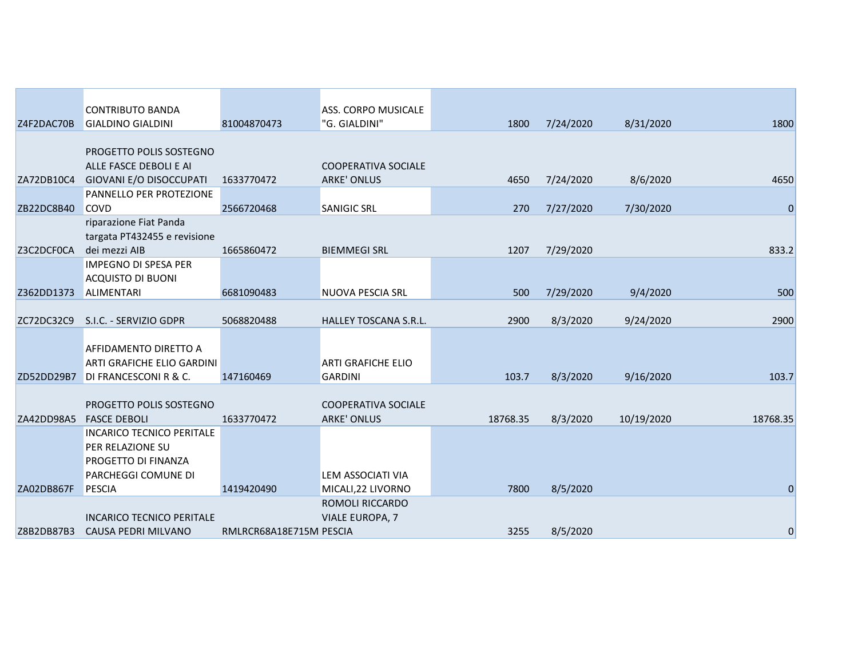|            | <b>CONTRIBUTO BANDA</b>                                 |                         | ASS. CORPO MUSICALE        |          |           |            |                |
|------------|---------------------------------------------------------|-------------------------|----------------------------|----------|-----------|------------|----------------|
| Z4F2DAC70B | <b>GIALDINO GIALDINI</b>                                | 81004870473             | "G. GIALDINI"              | 1800     | 7/24/2020 | 8/31/2020  | 1800           |
|            |                                                         |                         |                            |          |           |            |                |
|            | PROGETTO POLIS SOSTEGNO                                 |                         |                            |          |           |            |                |
|            | ALLE FASCE DEBOLI E AI                                  |                         | <b>COOPERATIVA SOCIALE</b> |          |           |            |                |
| ZA72DB10C4 | GIOVANI E/O DISOCCUPATI                                 | 1633770472              | <b>ARKE' ONLUS</b>         | 4650     | 7/24/2020 | 8/6/2020   | 4650           |
|            | PANNELLO PER PROTEZIONE                                 |                         |                            |          |           |            |                |
| ZB22DC8B40 | <b>COVD</b>                                             | 2566720468              | <b>SANIGIC SRL</b>         | 270      | 7/27/2020 | 7/30/2020  | $\mathbf 0$    |
|            | riparazione Fiat Panda                                  |                         |                            |          |           |            |                |
|            | targata PT432455 e revisione                            |                         |                            |          |           |            |                |
| Z3C2DCF0CA | dei mezzi AIB                                           | 1665860472              | <b>BIEMMEGI SRL</b>        | 1207     | 7/29/2020 |            | 833.2          |
|            | IMPEGNO DI SPESA PER                                    |                         |                            |          |           |            |                |
|            | <b>ACQUISTO DI BUONI</b>                                |                         |                            |          |           |            |                |
| Z362DD1373 | <b>ALIMENTARI</b>                                       | 6681090483              | NUOVA PESCIA SRL           | 500      | 7/29/2020 | 9/4/2020   | 500            |
|            |                                                         |                         |                            |          |           |            |                |
| ZC72DC32C9 | S.I.C. - SERVIZIO GDPR                                  | 5068820488              | HALLEY TOSCANA S.R.L.      | 2900     | 8/3/2020  | 9/24/2020  | 2900           |
|            |                                                         |                         |                            |          |           |            |                |
|            | AFFIDAMENTO DIRETTO A                                   |                         |                            |          |           |            |                |
|            | ARTI GRAFICHE ELIO GARDINI                              |                         | <b>ARTI GRAFICHE ELIO</b>  |          |           |            |                |
| ZD52DD29B7 | DI FRANCESCONI R & C.                                   | 147160469               | <b>GARDINI</b>             | 103.7    | 8/3/2020  | 9/16/2020  | 103.7          |
|            |                                                         |                         |                            |          |           |            |                |
|            | PROGETTO POLIS SOSTEGNO                                 |                         | <b>COOPERATIVA SOCIALE</b> |          |           |            |                |
| ZA42DD98A5 | <b>FASCE DEBOLI</b><br><b>INCARICO TECNICO PERITALE</b> | 1633770472              | <b>ARKE' ONLUS</b>         | 18768.35 | 8/3/2020  | 10/19/2020 | 18768.35       |
|            | PER RELAZIONE SU                                        |                         |                            |          |           |            |                |
|            | PROGETTO DI FINANZA                                     |                         |                            |          |           |            |                |
|            | PARCHEGGI COMUNE DI                                     |                         | LEM ASSOCIATI VIA          |          |           |            |                |
| ZA02DB867F | PESCIA                                                  | 1419420490              | MICALI, 22 LIVORNO         | 7800     | 8/5/2020  |            | $\overline{0}$ |
|            |                                                         |                         | ROMOLI RICCARDO            |          |           |            |                |
|            | <b>INCARICO TECNICO PERITALE</b>                        |                         | <b>VIALE EUROPA, 7</b>     |          |           |            |                |
| Z8B2DB87B3 | CAUSA PEDRI MILVANO                                     | RMLRCR68A18E715M PESCIA |                            | 3255     | 8/5/2020  |            | $\mathbf 0$    |
|            |                                                         |                         |                            |          |           |            |                |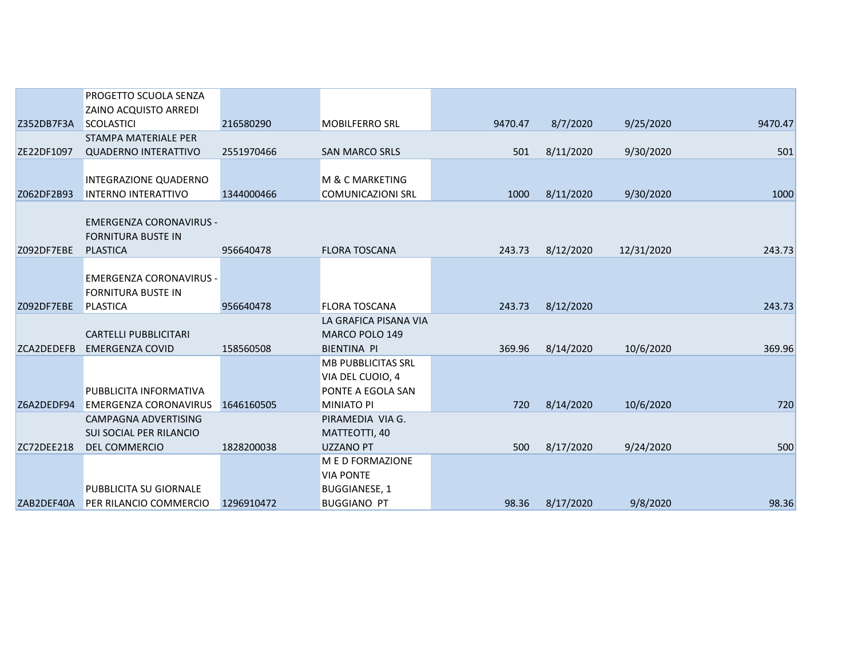|            | PROGETTO SCUOLA SENZA          |            |                          |         |           |            |         |
|------------|--------------------------------|------------|--------------------------|---------|-----------|------------|---------|
|            | <b>ZAINO ACQUISTO ARREDI</b>   |            |                          |         |           |            |         |
| Z352DB7F3A | <b>SCOLASTICI</b>              | 216580290  | <b>MOBILFERRO SRL</b>    | 9470.47 | 8/7/2020  | 9/25/2020  | 9470.47 |
|            | STAMPA MATERIALE PER           |            |                          |         |           |            |         |
| ZE22DF1097 | <b>QUADERNO INTERATTIVO</b>    | 2551970466 | <b>SAN MARCO SRLS</b>    | 501     | 8/11/2020 | 9/30/2020  | 501     |
|            |                                |            |                          |         |           |            |         |
|            | INTEGRAZIONE QUADERNO          |            | M & C MARKETING          |         |           |            |         |
| Z062DF2B93 | <b>INTERNO INTERATTIVO</b>     | 1344000466 | <b>COMUNICAZIONI SRL</b> | 1000    | 8/11/2020 | 9/30/2020  | 1000    |
|            |                                |            |                          |         |           |            |         |
|            | <b>EMERGENZA CORONAVIRUS -</b> |            |                          |         |           |            |         |
|            | <b>FORNITURA BUSTE IN</b>      |            |                          |         |           |            |         |
| Z092DF7EBE | <b>PLASTICA</b>                | 956640478  | <b>FLORA TOSCANA</b>     | 243.73  | 8/12/2020 | 12/31/2020 | 243.73  |
|            |                                |            |                          |         |           |            |         |
|            | EMERGENZA CORONAVIRUS -        |            |                          |         |           |            |         |
|            | <b>FORNITURA BUSTE IN</b>      |            |                          |         |           |            |         |
| Z092DF7EBE | <b>PLASTICA</b>                | 956640478  | <b>FLORA TOSCANA</b>     | 243.73  | 8/12/2020 |            | 243.73  |
|            |                                |            | LA GRAFICA PISANA VIA    |         |           |            |         |
|            | <b>CARTELLI PUBBLICITARI</b>   |            | MARCO POLO 149           |         |           |            |         |
| ZCA2DEDEFB | <b>EMERGENZA COVID</b>         | 158560508  | <b>BIENTINA PI</b>       | 369.96  | 8/14/2020 | 10/6/2020  | 369.96  |
|            |                                |            | MB PUBBLICITAS SRL       |         |           |            |         |
|            |                                |            | VIA DEL CUOIO, 4         |         |           |            |         |
|            | PUBBLICITA INFORMATIVA         |            | PONTE A EGOLA SAN        |         |           |            |         |
| Z6A2DEDF94 | <b>EMERGENZA CORONAVIRUS</b>   | 1646160505 | <b>MINIATO PI</b>        | 720     | 8/14/2020 | 10/6/2020  | 720     |
|            | CAMPAGNA ADVERTISING           |            | PIRAMEDIA VIA G.         |         |           |            |         |
|            | SUI SOCIAL PER RILANCIO        |            | MATTEOTTI, 40            |         |           |            |         |
| ZC72DEE218 | DEL COMMERCIO                  | 1828200038 | <b>UZZANO PT</b>         | 500     | 8/17/2020 | 9/24/2020  | 500     |
|            |                                |            | M E D FORMAZIONE         |         |           |            |         |
|            |                                |            | <b>VIA PONTE</b>         |         |           |            |         |
|            | PUBBLICITA SU GIORNALE         |            | <b>BUGGIANESE, 1</b>     |         |           |            |         |
| ZAB2DEF40A | PER RILANCIO COMMERCIO         | 1296910472 | <b>BUGGIANO PT</b>       | 98.36   | 8/17/2020 | 9/8/2020   | 98.36   |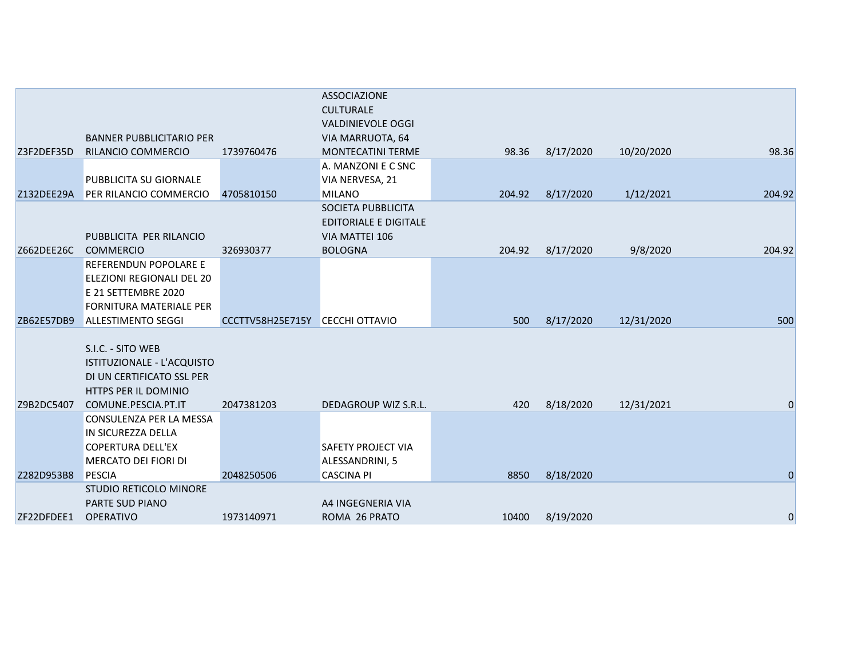|            |                                                  |                  | <b>ASSOCIAZIONE</b><br><b>CULTURALE</b> |        |           |            |              |
|------------|--------------------------------------------------|------------------|-----------------------------------------|--------|-----------|------------|--------------|
|            |                                                  |                  | <b>VALDINIEVOLE OGGI</b>                |        |           |            |              |
|            | <b>BANNER PUBBLICITARIO PER</b>                  |                  | VIA MARRUOTA, 64                        |        |           |            |              |
| Z3F2DEF35D | RILANCIO COMMERCIO                               | 1739760476       | <b>MONTECATINI TERME</b>                | 98.36  | 8/17/2020 | 10/20/2020 | 98.36        |
|            |                                                  |                  | A. MANZONI E C SNC                      |        |           |            |              |
|            | PUBBLICITA SU GIORNALE                           |                  | VIA NERVESA, 21                         |        |           |            |              |
| Z132DEE29A | PER RILANCIO COMMERCIO                           | 4705810150       | <b>MILANO</b>                           | 204.92 | 8/17/2020 | 1/12/2021  | 204.92       |
|            |                                                  |                  | SOCIETA PUBBLICITA                      |        |           |            |              |
|            |                                                  |                  | <b>EDITORIALE E DIGITALE</b>            |        |           |            |              |
|            | PUBBLICITA PER RILANCIO                          |                  | VIA MATTEI 106                          |        |           |            |              |
| Z662DEE26C | <b>COMMERCIO</b>                                 | 326930377        | <b>BOLOGNA</b>                          | 204.92 | 8/17/2020 | 9/8/2020   | 204.92       |
|            | REFERENDUN POPOLARE E                            |                  |                                         |        |           |            |              |
|            | ELEZIONI REGIONALI DEL 20<br>E 21 SETTEMBRE 2020 |                  |                                         |        |           |            |              |
|            | <b>FORNITURA MATERIALE PER</b>                   |                  |                                         |        |           |            |              |
| ZB62E57DB9 | <b>ALLESTIMENTO SEGGI</b>                        | CCCTTV58H25E715Y | <b>CECCHI OTTAVIO</b>                   | 500    | 8/17/2020 | 12/31/2020 | 500          |
|            |                                                  |                  |                                         |        |           |            |              |
|            | S.I.C. - SITO WEB                                |                  |                                         |        |           |            |              |
|            | ISTITUZIONALE - L'ACQUISTO                       |                  |                                         |        |           |            |              |
|            | DI UN CERTIFICATO SSL PER                        |                  |                                         |        |           |            |              |
|            | HTTPS PER IL DOMINIO                             |                  |                                         |        |           |            |              |
| Z9B2DC5407 | COMUNE.PESCIA.PT.IT                              | 2047381203       | DEDAGROUP WIZ S.R.L.                    | 420    | 8/18/2020 | 12/31/2021 | 0            |
|            | CONSULENZA PER LA MESSA                          |                  |                                         |        |           |            |              |
|            | IN SICUREZZA DELLA                               |                  |                                         |        |           |            |              |
|            | <b>COPERTURA DELL'EX</b>                         |                  | <b>SAFETY PROJECT VIA</b>               |        |           |            |              |
|            | MERCATO DEI FIORI DI                             |                  | ALESSANDRINI, 5                         |        |           |            |              |
| Z282D953B8 | <b>PESCIA</b>                                    | 2048250506       | <b>CASCINA PI</b>                       | 8850   | 8/18/2020 |            | $\mathbf{0}$ |
|            | STUDIO RETICOLO MINORE                           |                  |                                         |        |           |            |              |
|            | <b>PARTE SUD PIANO</b>                           |                  | A4 INGEGNERIA VIA                       |        |           |            |              |
| ZF22DFDEE1 | <b>OPERATIVO</b>                                 | 1973140971       | ROMA 26 PRATO                           | 10400  | 8/19/2020 |            | 0            |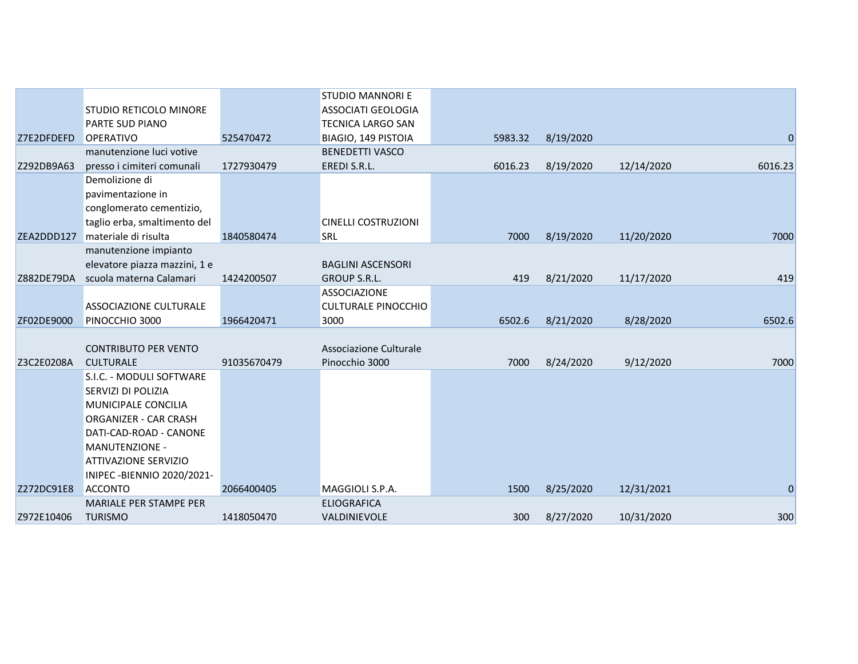|            |                               |             | <b>STUDIO MANNORI E</b>    |         |           |            |                  |
|------------|-------------------------------|-------------|----------------------------|---------|-----------|------------|------------------|
|            | STUDIO RETICOLO MINORE        |             | <b>ASSOCIATI GEOLOGIA</b>  |         |           |            |                  |
|            | PARTE SUD PIANO               |             | <b>TECNICA LARGO SAN</b>   |         |           |            |                  |
| Z7E2DFDEFD | <b>OPERATIVO</b>              | 525470472   | BIAGIO, 149 PISTOIA        | 5983.32 | 8/19/2020 |            | $\boldsymbol{0}$ |
|            | manutenzione luci votive      |             | <b>BENEDETTI VASCO</b>     |         |           |            |                  |
| Z292DB9A63 | presso i cimiteri comunali    | 1727930479  | EREDI S.R.L.               | 6016.23 | 8/19/2020 | 12/14/2020 | 6016.23          |
|            | Demolizione di                |             |                            |         |           |            |                  |
|            | pavimentazione in             |             |                            |         |           |            |                  |
|            | conglomerato cementizio,      |             |                            |         |           |            |                  |
|            | taglio erba, smaltimento del  |             | <b>CINELLI COSTRUZIONI</b> |         |           |            |                  |
| ZEA2DDD127 | materiale di risulta          | 1840580474  | <b>SRL</b>                 | 7000    | 8/19/2020 | 11/20/2020 | 7000             |
|            | manutenzione impianto         |             |                            |         |           |            |                  |
|            | elevatore piazza mazzini, 1 e |             | <b>BAGLINI ASCENSORI</b>   |         |           |            |                  |
| Z882DE79DA | scuola materna Calamari       | 1424200507  | GROUP S.R.L.               | 419     | 8/21/2020 | 11/17/2020 | 419              |
|            |                               |             | <b>ASSOCIAZIONE</b>        |         |           |            |                  |
|            | ASSOCIAZIONE CULTURALE        |             | <b>CULTURALE PINOCCHIO</b> |         |           |            |                  |
| ZF02DE9000 | PINOCCHIO 3000                | 1966420471  | 3000                       | 6502.6  | 8/21/2020 | 8/28/2020  | 6502.6           |
|            |                               |             |                            |         |           |            |                  |
|            | <b>CONTRIBUTO PER VENTO</b>   |             | Associazione Culturale     |         |           |            |                  |
| Z3C2E0208A | <b>CULTURALE</b>              | 91035670479 | Pinocchio 3000             | 7000    | 8/24/2020 | 9/12/2020  | 7000             |
|            | S.I.C. - MODULI SOFTWARE      |             |                            |         |           |            |                  |
|            | SERVIZI DI POLIZIA            |             |                            |         |           |            |                  |
|            | MUNICIPALE CONCILIA           |             |                            |         |           |            |                  |
|            | ORGANIZER - CAR CRASH         |             |                            |         |           |            |                  |
|            | DATI-CAD-ROAD - CANONE        |             |                            |         |           |            |                  |
|            | MANUTENZIONE -                |             |                            |         |           |            |                  |
|            | ATTIVAZIONE SERVIZIO          |             |                            |         |           |            |                  |
|            | INIPEC-BIENNIO 2020/2021-     |             |                            |         |           |            |                  |
| Z272DC91E8 | <b>ACCONTO</b>                | 2066400405  | MAGGIOLI S.P.A.            | 1500    | 8/25/2020 | 12/31/2021 | $\overline{0}$   |
|            | MARIALE PER STAMPE PER        |             | <b>ELIOGRAFICA</b>         |         |           |            |                  |
| Z972E10406 | <b>TURISMO</b>                | 1418050470  | VALDINIEVOLE               | 300     | 8/27/2020 | 10/31/2020 | 300              |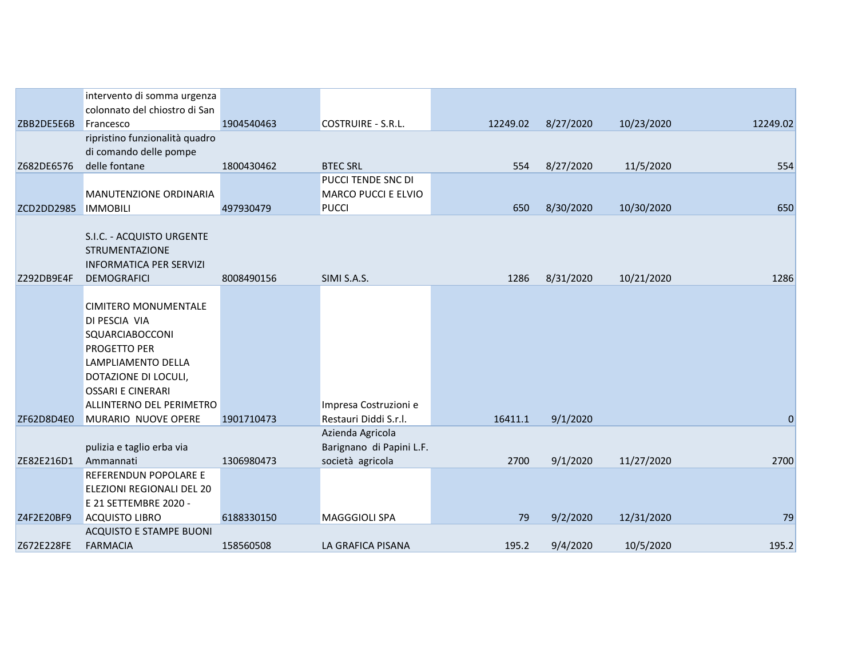|            | intervento di somma urgenza    |            |                            |          |           |            |             |
|------------|--------------------------------|------------|----------------------------|----------|-----------|------------|-------------|
|            | colonnato del chiostro di San  |            |                            |          |           |            |             |
| ZBB2DE5E6B | Francesco                      | 1904540463 | COSTRUIRE - S.R.L.         | 12249.02 | 8/27/2020 | 10/23/2020 | 12249.02    |
|            | ripristino funzionalità quadro |            |                            |          |           |            |             |
|            | di comando delle pompe         |            |                            |          |           |            |             |
| Z682DE6576 | delle fontane                  | 1800430462 | <b>BTEC SRL</b>            | 554      | 8/27/2020 | 11/5/2020  | 554         |
|            |                                |            | PUCCI TENDE SNC DI         |          |           |            |             |
|            | <b>MANUTENZIONE ORDINARIA</b>  |            | <b>MARCO PUCCI E ELVIO</b> |          |           |            |             |
| ZCD2DD2985 | <b>IMMOBILI</b>                | 497930479  | <b>PUCCI</b>               | 650      | 8/30/2020 | 10/30/2020 | 650         |
|            |                                |            |                            |          |           |            |             |
|            | S.I.C. - ACQUISTO URGENTE      |            |                            |          |           |            |             |
|            | <b>STRUMENTAZIONE</b>          |            |                            |          |           |            |             |
|            | <b>INFORMATICA PER SERVIZI</b> |            |                            |          |           |            |             |
| Z292DB9E4F | <b>DEMOGRAFICI</b>             | 8008490156 | SIMI S.A.S.                | 1286     | 8/31/2020 | 10/21/2020 | 1286        |
|            |                                |            |                            |          |           |            |             |
|            | <b>CIMITERO MONUMENTALE</b>    |            |                            |          |           |            |             |
|            | DI PESCIA VIA                  |            |                            |          |           |            |             |
|            | SQUARCIABOCCONI                |            |                            |          |           |            |             |
|            | PROGETTO PER                   |            |                            |          |           |            |             |
|            | LAMPLIAMENTO DELLA             |            |                            |          |           |            |             |
|            | DOTAZIONE DI LOCULI,           |            |                            |          |           |            |             |
|            | <b>OSSARI E CINERARI</b>       |            |                            |          |           |            |             |
|            | ALLINTERNO DEL PERIMETRO       |            | Impresa Costruzioni e      |          |           |            |             |
| ZF62D8D4E0 | MURARIO NUOVE OPERE            | 1901710473 | Restauri Diddi S.r.l.      | 16411.1  | 9/1/2020  |            | $\mathbf 0$ |
|            |                                |            | Azienda Agricola           |          |           |            |             |
|            | pulizia e taglio erba via      |            | Barignano di Papini L.F.   |          |           |            |             |
| ZE82E216D1 | Ammannati                      | 1306980473 | società agricola           | 2700     | 9/1/2020  | 11/27/2020 | 2700        |
|            | REFERENDUN POPOLARE E          |            |                            |          |           |            |             |
|            | ELEZIONI REGIONALI DEL 20      |            |                            |          |           |            |             |
|            | E 21 SETTEMBRE 2020 -          |            |                            |          |           |            |             |
| Z4F2E20BF9 | <b>ACQUISTO LIBRO</b>          | 6188330150 | <b>MAGGGIOLI SPA</b>       | 79       | 9/2/2020  | 12/31/2020 | 79          |
|            | <b>ACQUISTO E STAMPE BUONI</b> |            |                            |          |           |            |             |
| Z672E228FE | <b>FARMACIA</b>                | 158560508  | LA GRAFICA PISANA          | 195.2    | 9/4/2020  | 10/5/2020  | 195.2       |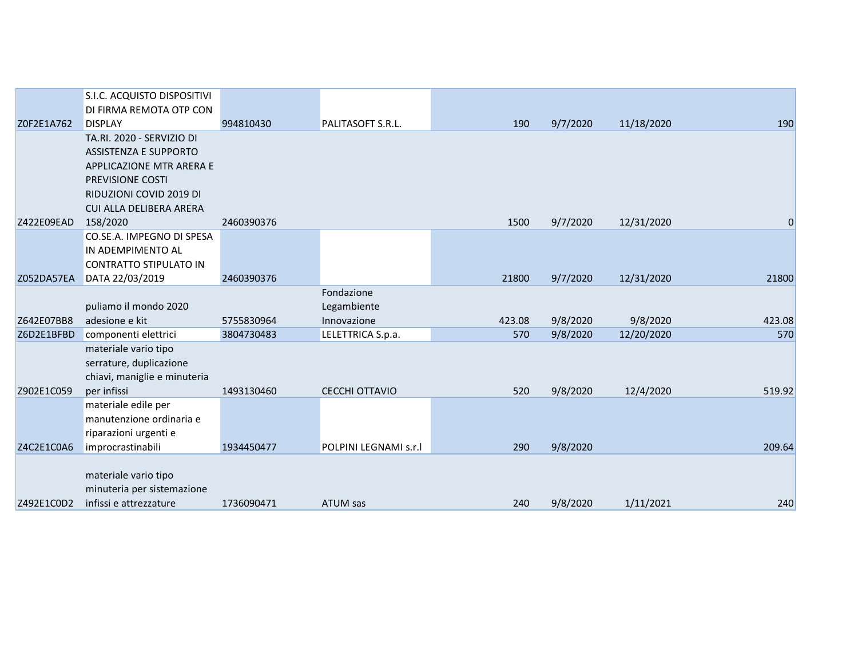|            | S.I.C. ACQUISTO DISPOSITIVI   |            |                       |        |          |            |                |
|------------|-------------------------------|------------|-----------------------|--------|----------|------------|----------------|
|            | DI FIRMA REMOTA OTP CON       |            |                       |        |          |            |                |
| Z0F2E1A762 | <b>DISPLAY</b>                | 994810430  | PALITASOFT S.R.L.     | 190    | 9/7/2020 | 11/18/2020 | 190            |
|            | TA.RI. 2020 - SERVIZIO DI     |            |                       |        |          |            |                |
|            | <b>ASSISTENZA E SUPPORTO</b>  |            |                       |        |          |            |                |
|            | APPLICAZIONE MTR ARERA E      |            |                       |        |          |            |                |
|            | PREVISIONE COSTI              |            |                       |        |          |            |                |
|            | RIDUZIONI COVID 2019 DI       |            |                       |        |          |            |                |
|            | CUI ALLA DELIBERA ARERA       |            |                       |        |          |            |                |
| Z422E09EAD | 158/2020                      | 2460390376 |                       | 1500   | 9/7/2020 | 12/31/2020 | $\overline{0}$ |
|            | CO.SE.A. IMPEGNO DI SPESA     |            |                       |        |          |            |                |
|            | IN ADEMPIMENTO AL             |            |                       |        |          |            |                |
|            | <b>CONTRATTO STIPULATO IN</b> |            |                       |        |          |            |                |
| Z052DA57EA | DATA 22/03/2019               | 2460390376 |                       | 21800  | 9/7/2020 | 12/31/2020 | 21800          |
|            |                               |            | Fondazione            |        |          |            |                |
|            | puliamo il mondo 2020         |            | Legambiente           |        |          |            |                |
| Z642E07BB8 | adesione e kit                | 5755830964 | Innovazione           | 423.08 | 9/8/2020 | 9/8/2020   | 423.08         |
| Z6D2E1BFBD | componenti elettrici          | 3804730483 | LELETTRICA S.p.a.     | 570    | 9/8/2020 | 12/20/2020 | 570            |
|            | materiale vario tipo          |            |                       |        |          |            |                |
|            | serrature, duplicazione       |            |                       |        |          |            |                |
|            | chiavi, maniglie e minuteria  |            |                       |        |          |            |                |
| Z902E1C059 | per infissi                   | 1493130460 | CECCHI OTTAVIO        | 520    | 9/8/2020 | 12/4/2020  | 519.92         |
|            | materiale edile per           |            |                       |        |          |            |                |
|            | manutenzione ordinaria e      |            |                       |        |          |            |                |
|            | riparazioni urgenti e         |            |                       |        |          |            |                |
| Z4C2E1C0A6 | improcrastinabili             | 1934450477 | POLPINI LEGNAMI s.r.l | 290    | 9/8/2020 |            | 209.64         |
|            |                               |            |                       |        |          |            |                |
|            | materiale vario tipo          |            |                       |        |          |            |                |
|            | minuteria per sistemazione    |            |                       |        |          |            |                |
| Z492E1C0D2 | infissi e attrezzature        | 1736090471 | ATUM sas              | 240    | 9/8/2020 | 1/11/2021  | 240            |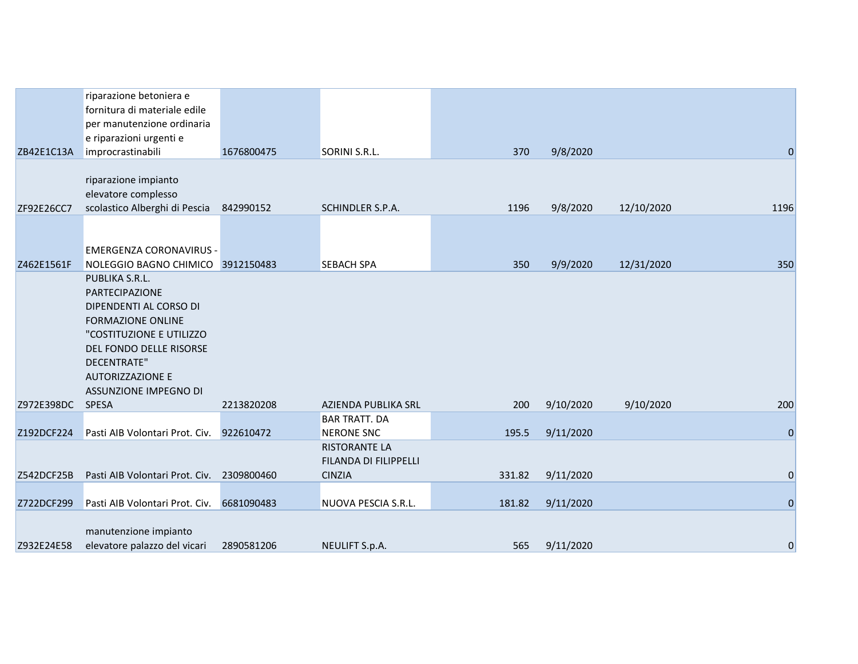|            | riparazione betoniera e<br>fornitura di materiale edile<br>per manutenzione ordinaria<br>e riparazioni urgenti e                                                                                                        |            |                                                                                            |        |           |            |                |
|------------|-------------------------------------------------------------------------------------------------------------------------------------------------------------------------------------------------------------------------|------------|--------------------------------------------------------------------------------------------|--------|-----------|------------|----------------|
| ZB42E1C13A | improcrastinabili                                                                                                                                                                                                       | 1676800475 | SORINI S.R.L.                                                                              | 370    | 9/8/2020  |            | $\pmb{0}$      |
| ZF92E26CC7 | riparazione impianto<br>elevatore complesso<br>scolastico Alberghi di Pescia                                                                                                                                            | 842990152  | SCHINDLER S.P.A.                                                                           | 1196   | 9/8/2020  | 12/10/2020 | 1196           |
| Z462E1561F | <b>EMERGENZA CORONAVIRUS -</b><br>NOLEGGIO BAGNO CHIMICO 3912150483                                                                                                                                                     |            | <b>SEBACH SPA</b>                                                                          | 350    | 9/9/2020  | 12/31/2020 | 350            |
|            | PUBLIKA S.R.L.<br>PARTECIPAZIONE<br>DIPENDENTI AL CORSO DI<br><b>FORMAZIONE ONLINE</b><br>"COSTITUZIONE E UTILIZZO<br>DEL FONDO DELLE RISORSE<br><b>DECENTRATE"</b><br><b>AUTORIZZAZIONE E</b><br>ASSUNZIONE IMPEGNO DI |            |                                                                                            |        |           |            |                |
| Z972E398DC | <b>SPESA</b>                                                                                                                                                                                                            | 2213820208 | AZIENDA PUBLIKA SRL                                                                        | 200    | 9/10/2020 | 9/10/2020  | 200            |
| Z192DCF224 | Pasti AIB Volontari Prot. Civ.                                                                                                                                                                                          | 922610472  | <b>BAR TRATT. DA</b><br><b>NERONE SNC</b><br><b>RISTORANTE LA</b><br>FILANDA DI FILIPPELLI | 195.5  | 9/11/2020 |            | $\mathbf{0}$   |
| Z542DCF25B | Pasti AIB Volontari Prot. Civ.                                                                                                                                                                                          | 2309800460 | <b>CINZIA</b>                                                                              | 331.82 | 9/11/2020 |            | $\mathbf 0$    |
| Z722DCF299 | Pasti AIB Volontari Prot. Civ.                                                                                                                                                                                          | 6681090483 | NUOVA PESCIA S.R.L.                                                                        | 181.82 | 9/11/2020 |            | $\overline{0}$ |
| Z932E24E58 | manutenzione impianto<br>elevatore palazzo del vicari                                                                                                                                                                   | 2890581206 | NEULIFT S.p.A.                                                                             | 565    | 9/11/2020 |            | $\mathbf 0$    |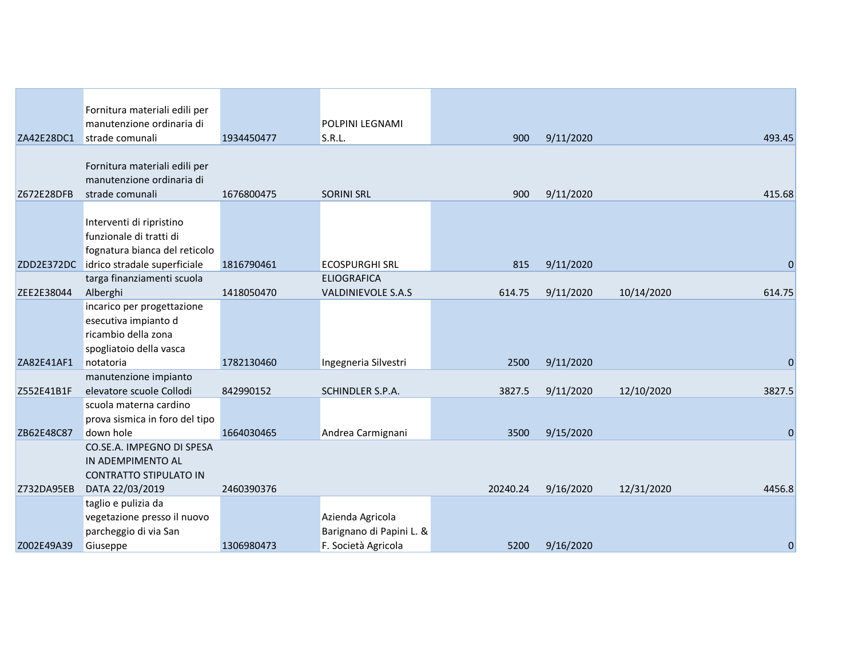|            | Fornitura materiali edili per  |            |                           |          |           |            |             |
|------------|--------------------------------|------------|---------------------------|----------|-----------|------------|-------------|
|            | manutenzione ordinaria di      |            | <b>POLPINI LEGNAMI</b>    |          |           |            |             |
| ZA42E28DC1 | strade comunali                | 1934450477 | S.R.L.                    | 900      | 9/11/2020 |            | 493.45      |
|            |                                |            |                           |          |           |            |             |
|            | Fornitura materiali edili per  |            |                           |          |           |            |             |
|            | manutenzione ordinaria di      |            |                           |          |           |            |             |
| Z672E28DFB | strade comunali                | 1676800475 | <b>SORINI SRL</b>         | 900      | 9/11/2020 |            | 415.68      |
|            |                                |            |                           |          |           |            |             |
|            | Interventi di ripristino       |            |                           |          |           |            |             |
|            | funzionale di tratti di        |            |                           |          |           |            |             |
|            | fognatura bianca del reticolo  |            |                           |          |           |            |             |
| ZDD2E372DC | idrico stradale superficiale   | 1816790461 | <b>ECOSPURGHI SRL</b>     | 815      | 9/11/2020 |            | $\mathbf 0$ |
|            | targa finanziamenti scuola     |            | <b>ELIOGRAFICA</b>        |          |           |            |             |
| ZEE2E38044 | Alberghi                       | 1418050470 | <b>VALDINIEVOLE S.A.S</b> | 614.75   | 9/11/2020 | 10/14/2020 | 614.75      |
|            | incarico per progettazione     |            |                           |          |           |            |             |
|            | esecutiva impianto d           |            |                           |          |           |            |             |
|            | ricambio della zona            |            |                           |          |           |            |             |
|            | spogliatoio della vasca        |            |                           |          |           |            |             |
| ZA82E41AF1 | notatoria                      | 1782130460 | Ingegneria Silvestri      | 2500     | 9/11/2020 |            | 0           |
|            | manutenzione impianto          |            |                           |          |           |            |             |
| Z552E41B1F | elevatore scuole Collodi       | 842990152  | SCHINDLER S.P.A.          | 3827.5   | 9/11/2020 | 12/10/2020 | 3827.5      |
|            | scuola materna cardino         |            |                           |          |           |            |             |
|            | prova sismica in foro del tipo |            |                           |          |           |            |             |
| ZB62E48C87 | down hole                      | 1664030465 | Andrea Carmignani         | 3500     | 9/15/2020 |            | $\mathbf 0$ |
|            | CO.SE.A. IMPEGNO DI SPESA      |            |                           |          |           |            |             |
|            | IN ADEMPIMENTO AL              |            |                           |          |           |            |             |
|            | <b>CONTRATTO STIPULATO IN</b>  |            |                           |          |           |            |             |
| Z732DA95EB | DATA 22/03/2019                | 2460390376 |                           | 20240.24 | 9/16/2020 | 12/31/2020 | 4456.8      |
|            | taglio e pulizia da            |            |                           |          |           |            |             |
|            | vegetazione presso il nuovo    |            | Azienda Agricola          |          |           |            |             |
|            | parcheggio di via San          |            | Barignano di Papini L. &  |          |           |            |             |
| Z002E49A39 | Giuseppe                       | 1306980473 | F. Società Agricola       | 5200     | 9/16/2020 |            | 0           |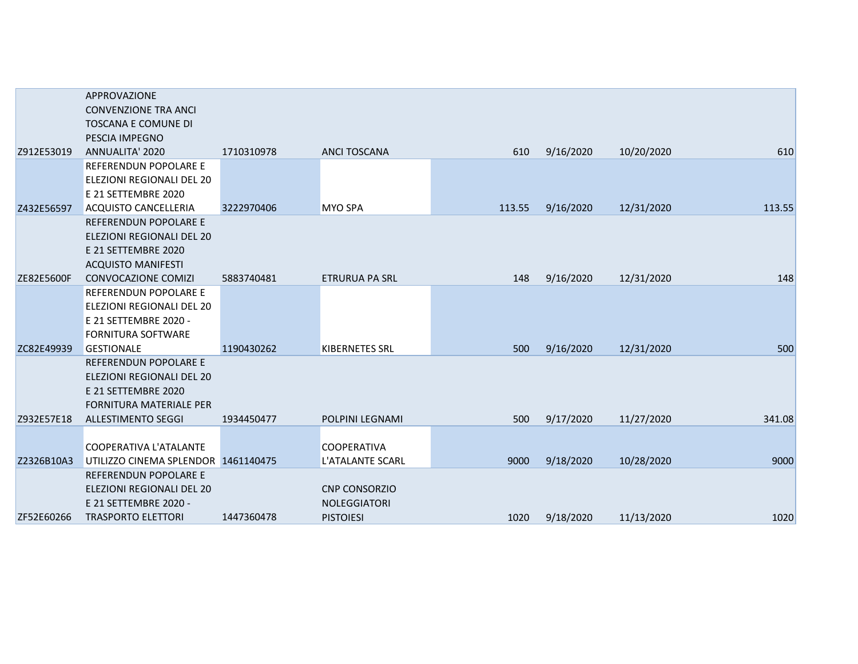|                   | APPROVAZIONE                        |            |                       |        |           |            |        |
|-------------------|-------------------------------------|------------|-----------------------|--------|-----------|------------|--------|
|                   | <b>CONVENZIONE TRA ANCI</b>         |            |                       |        |           |            |        |
|                   | <b>TOSCANA E COMUNE DI</b>          |            |                       |        |           |            |        |
|                   | PESCIA IMPEGNO                      |            |                       |        |           |            |        |
| Z912E53019        | ANNUALITA' 2020                     | 1710310978 | <b>ANCI TOSCANA</b>   | 610    | 9/16/2020 | 10/20/2020 | 610    |
|                   | REFERENDUN POPOLARE E               |            |                       |        |           |            |        |
|                   | <b>ELEZIONI REGIONALI DEL 20</b>    |            |                       |        |           |            |        |
|                   | E 21 SETTEMBRE 2020                 |            |                       |        |           |            |        |
| Z432E56597        | <b>ACQUISTO CANCELLERIA</b>         | 3222970406 | <b>MYO SPA</b>        | 113.55 | 9/16/2020 | 12/31/2020 | 113.55 |
|                   | <b>REFERENDUN POPOLARE E</b>        |            |                       |        |           |            |        |
|                   | ELEZIONI REGIONALI DEL 20           |            |                       |        |           |            |        |
|                   | E 21 SETTEMBRE 2020                 |            |                       |        |           |            |        |
|                   | <b>ACQUISTO MANIFESTI</b>           |            |                       |        |           |            |        |
| <b>ZE82E5600F</b> | <b>CONVOCAZIONE COMIZI</b>          | 5883740481 | <b>ETRURUA PA SRL</b> | 148    | 9/16/2020 | 12/31/2020 | 148    |
|                   | <b>REFERENDUN POPOLARE E</b>        |            |                       |        |           |            |        |
|                   | <b>ELEZIONI REGIONALI DEL 20</b>    |            |                       |        |           |            |        |
|                   | E 21 SETTEMBRE 2020 -               |            |                       |        |           |            |        |
|                   | <b>FORNITURA SOFTWARE</b>           |            |                       |        |           |            |        |
| ZC82E49939        | <b>GESTIONALE</b>                   | 1190430262 | <b>KIBERNETES SRL</b> | 500    | 9/16/2020 | 12/31/2020 | 500    |
|                   | REFERENDUN POPOLARE E               |            |                       |        |           |            |        |
|                   | <b>ELEZIONI REGIONALI DEL 20</b>    |            |                       |        |           |            |        |
|                   | E 21 SETTEMBRE 2020                 |            |                       |        |           |            |        |
|                   | <b>FORNITURA MATERIALE PER</b>      |            |                       |        |           |            |        |
| Z932E57E18        | <b>ALLESTIMENTO SEGGI</b>           | 1934450477 | POLPINI LEGNAMI       | 500    | 9/17/2020 | 11/27/2020 | 341.08 |
|                   |                                     |            |                       |        |           |            |        |
|                   | <b>COOPERATIVA L'ATALANTE</b>       |            | <b>COOPERATIVA</b>    |        |           |            |        |
| Z2326B10A3        | UTILIZZO CINEMA SPLENDOR 1461140475 |            | L'ATALANTE SCARL      | 9000   | 9/18/2020 | 10/28/2020 | 9000   |
|                   | <b>REFERENDUN POPOLARE E</b>        |            |                       |        |           |            |        |
|                   | ELEZIONI REGIONALI DEL 20           |            | <b>CNP CONSORZIO</b>  |        |           |            |        |
|                   | E 21 SETTEMBRE 2020 -               |            | <b>NOLEGGIATORI</b>   |        |           |            |        |
| ZF52E60266        | <b>TRASPORTO ELETTORI</b>           | 1447360478 | <b>PISTOIESI</b>      | 1020   | 9/18/2020 | 11/13/2020 | 1020   |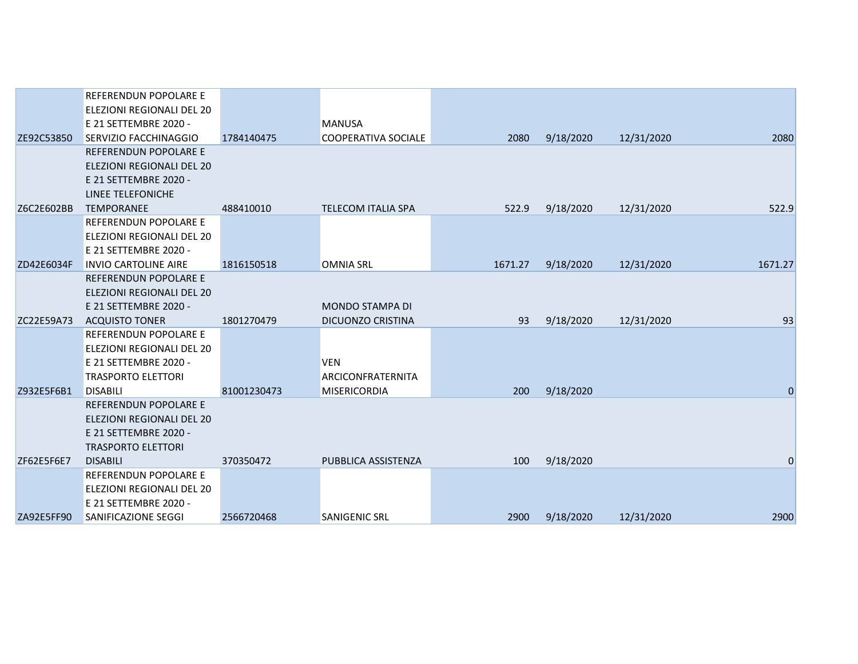|            | REFERENDUN POPOLARE E            |             |                           |         |           |            |                |
|------------|----------------------------------|-------------|---------------------------|---------|-----------|------------|----------------|
|            | ELEZIONI REGIONALI DEL 20        |             |                           |         |           |            |                |
|            | E 21 SETTEMBRE 2020 -            |             | <b>MANUSA</b>             |         |           |            |                |
| ZE92C53850 | SERVIZIO FACCHINAGGIO            | 1784140475  | COOPERATIVA SOCIALE       | 2080    | 9/18/2020 | 12/31/2020 | 2080           |
|            | <b>REFERENDUN POPOLARE E</b>     |             |                           |         |           |            |                |
|            | <b>ELEZIONI REGIONALI DEL 20</b> |             |                           |         |           |            |                |
|            | E 21 SETTEMBRE 2020 -            |             |                           |         |           |            |                |
|            | LINEE TELEFONICHE                |             |                           |         |           |            |                |
| Z6C2E602BB | <b>TEMPORANEE</b>                | 488410010   | <b>TELECOM ITALIA SPA</b> | 522.9   | 9/18/2020 | 12/31/2020 | 522.9          |
|            | REFERENDUN POPOLARE E            |             |                           |         |           |            |                |
|            | ELEZIONI REGIONALI DEL 20        |             |                           |         |           |            |                |
|            | E 21 SETTEMBRE 2020 -            |             |                           |         |           |            |                |
| ZD42E6034F | <b>INVIO CARTOLINE AIRE</b>      | 1816150518  | <b>OMNIA SRL</b>          | 1671.27 | 9/18/2020 | 12/31/2020 | 1671.27        |
|            | REFERENDUN POPOLARE E            |             |                           |         |           |            |                |
|            | <b>ELEZIONI REGIONALI DEL 20</b> |             |                           |         |           |            |                |
|            | E 21 SETTEMBRE 2020 -            |             | <b>MONDO STAMPA DI</b>    |         |           |            |                |
| ZC22E59A73 | <b>ACQUISTO TONER</b>            | 1801270479  | DICUONZO CRISTINA         | 93      | 9/18/2020 | 12/31/2020 | 93             |
|            | REFERENDUN POPOLARE E            |             |                           |         |           |            |                |
|            | ELEZIONI REGIONALI DEL 20        |             |                           |         |           |            |                |
|            | E 21 SETTEMBRE 2020 -            |             | <b>VEN</b>                |         |           |            |                |
|            | <b>TRASPORTO ELETTORI</b>        |             | ARCICONFRATERNITA         |         |           |            |                |
| Z932E5F6B1 | <b>DISABILI</b>                  | 81001230473 | <b>MISERICORDIA</b>       | 200     | 9/18/2020 |            | $\overline{0}$ |
|            | REFERENDUN POPOLARE E            |             |                           |         |           |            |                |
|            | <b>ELEZIONI REGIONALI DEL 20</b> |             |                           |         |           |            |                |
|            | E 21 SETTEMBRE 2020 -            |             |                           |         |           |            |                |
|            | <b>TRASPORTO ELETTORI</b>        |             |                           |         |           |            |                |
| ZF62E5F6E7 | <b>DISABILI</b>                  | 370350472   | PUBBLICA ASSISTENZA       | 100     | 9/18/2020 |            | 0              |
|            | REFERENDUN POPOLARE E            |             |                           |         |           |            |                |
|            | ELEZIONI REGIONALI DEL 20        |             |                           |         |           |            |                |
|            | E 21 SETTEMBRE 2020 -            |             |                           |         |           |            |                |
| ZA92E5FF90 | <b>SANIFICAZIONE SEGGI</b>       | 2566720468  | <b>SANIGENIC SRL</b>      | 2900    | 9/18/2020 | 12/31/2020 | 2900           |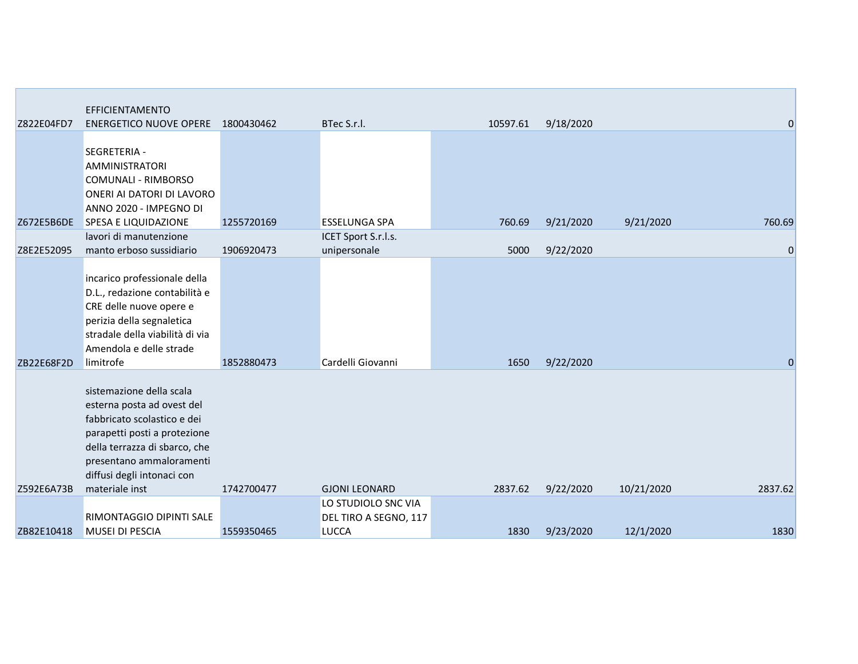|            | EFFICIENTAMENTO                                                                                                                                                                                                  |            |                                                              |          |           |            |                |
|------------|------------------------------------------------------------------------------------------------------------------------------------------------------------------------------------------------------------------|------------|--------------------------------------------------------------|----------|-----------|------------|----------------|
| Z822E04FD7 | <b>ENERGETICO NUOVE OPERE</b>                                                                                                                                                                                    | 1800430462 | BTec S.r.l.                                                  | 10597.61 | 9/18/2020 |            | $\mathbf 0$    |
|            | SEGRETERIA -<br><b>AMMINISTRATORI</b><br><b>COMUNALI - RIMBORSO</b><br>ONERI AI DATORI DI LAVORO<br>ANNO 2020 - IMPEGNO DI                                                                                       |            |                                                              |          |           |            |                |
| Z672E5B6DE | <b>SPESA E LIQUIDAZIONE</b>                                                                                                                                                                                      | 1255720169 | <b>ESSELUNGA SPA</b>                                         | 760.69   | 9/21/2020 | 9/21/2020  | 760.69         |
| Z8E2E52095 | lavori di manutenzione<br>manto erboso sussidiario                                                                                                                                                               | 1906920473 | ICET Sport S.r.l.s.<br>unipersonale                          | 5000     | 9/22/2020 |            | $\mathbf 0$    |
|            | incarico professionale della<br>D.L., redazione contabilità e<br>CRE delle nuove opere e<br>perizia della segnaletica<br>stradale della viabilità di via<br>Amendola e delle strade                              |            |                                                              |          |           |            |                |
| ZB22E68F2D | limitrofe                                                                                                                                                                                                        | 1852880473 | Cardelli Giovanni                                            | 1650     | 9/22/2020 |            | $\overline{0}$ |
|            | sistemazione della scala<br>esterna posta ad ovest del<br>fabbricato scolastico e dei<br>parapetti posti a protezione<br>della terrazza di sbarco, che<br>presentano ammaloramenti<br>diffusi degli intonaci con |            |                                                              |          |           |            |                |
| Z592E6A73B | materiale inst                                                                                                                                                                                                   | 1742700477 | <b>GJONI LEONARD</b>                                         | 2837.62  | 9/22/2020 | 10/21/2020 | 2837.62        |
| ZB82E10418 | <b>RIMONTAGGIO DIPINTI SALE</b><br><b>MUSEI DI PESCIA</b>                                                                                                                                                        | 1559350465 | LO STUDIOLO SNC VIA<br>DEL TIRO A SEGNO, 117<br><b>LUCCA</b> | 1830     | 9/23/2020 | 12/1/2020  | 1830           |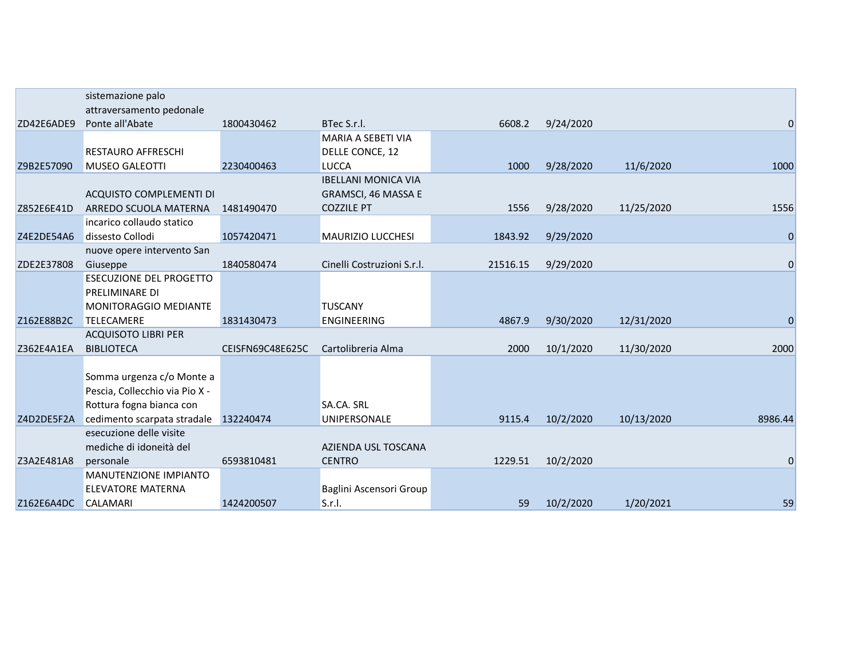|            | sistemazione palo                     |                  |                            |          |           |            |                  |
|------------|---------------------------------------|------------------|----------------------------|----------|-----------|------------|------------------|
|            | attraversamento pedonale              |                  |                            |          |           |            |                  |
| ZD42E6ADE9 | Ponte all'Abate                       | 1800430462       | BTec S.r.l.                | 6608.2   | 9/24/2020 |            | $\mathbf 0$      |
|            |                                       |                  | MARIA A SEBETI VIA         |          |           |            |                  |
|            | RESTAURO AFFRESCHI                    |                  | DELLE CONCE, 12            |          |           |            |                  |
| Z9B2E57090 | <b>MUSEO GALEOTTI</b>                 | 2230400463       | <b>LUCCA</b>               | 1000     | 9/28/2020 | 11/6/2020  | 1000             |
|            |                                       |                  | <b>IBELLANI MONICA VIA</b> |          |           |            |                  |
|            | <b>ACQUISTO COMPLEMENTI DI</b>        |                  | GRAMSCI, 46 MASSA E        |          |           |            |                  |
| Z852E6E41D | ARREDO SCUOLA MATERNA                 | 1481490470       | <b>COZZILE PT</b>          | 1556     | 9/28/2020 | 11/25/2020 | 1556             |
|            | incarico collaudo statico             |                  |                            |          |           |            |                  |
| Z4E2DE54A6 | dissesto Collodi                      | 1057420471       | <b>MAURIZIO LUCCHESI</b>   | 1843.92  | 9/29/2020 |            | $\mathbf 0$      |
|            | nuove opere intervento San            |                  |                            |          |           |            |                  |
| ZDE2E37808 | Giuseppe                              | 1840580474       | Cinelli Costruzioni S.r.l. | 21516.15 | 9/29/2020 |            | $\mathbf 0$      |
|            | <b>ESECUZIONE DEL PROGETTO</b>        |                  |                            |          |           |            |                  |
|            | PRELIMINARE DI                        |                  |                            |          |           |            |                  |
|            | <b>MONITORAGGIO MEDIANTE</b>          |                  | <b>TUSCANY</b>             |          |           |            |                  |
| Z162E88B2C | <b>TELECAMERE</b>                     | 1831430473       | <b>ENGINEERING</b>         | 4867.9   | 9/30/2020 | 12/31/2020 | $\boldsymbol{0}$ |
|            | <b>ACQUISOTO LIBRI PER</b>            |                  |                            |          |           |            |                  |
| Z362E4A1EA | <b>BIBLIOTECA</b>                     | CEISFN69C48E625C | Cartolibreria Alma         | 2000     | 10/1/2020 | 11/30/2020 | 2000             |
|            |                                       |                  |                            |          |           |            |                  |
|            | Somma urgenza c/o Monte a             |                  |                            |          |           |            |                  |
|            | Pescia, Collecchio via Pio X -        |                  |                            |          |           |            |                  |
|            | Rottura fogna bianca con              |                  | SA.CA. SRL                 |          |           |            |                  |
| Z4D2DE5F2A | cedimento scarpata stradale 132240474 |                  | UNIPERSONALE               | 9115.4   | 10/2/2020 | 10/13/2020 | 8986.44          |
|            | esecuzione delle visite               |                  |                            |          |           |            |                  |
|            | mediche di idoneità del               |                  | AZIENDA USL TOSCANA        |          |           |            |                  |
| Z3A2E481A8 | personale                             | 6593810481       | <b>CENTRO</b>              | 1229.51  | 10/2/2020 |            | $\mathbf 0$      |
|            | MANUTENZIONE IMPIANTO                 |                  |                            |          |           |            |                  |
|            | <b>ELEVATORE MATERNA</b>              |                  | Baglini Ascensori Group    |          |           |            |                  |
| Z162E6A4DC | <b>CALAMARI</b>                       | 1424200507       | S.r.l.                     | 59       | 10/2/2020 | 1/20/2021  | 59               |
|            |                                       |                  |                            |          |           |            |                  |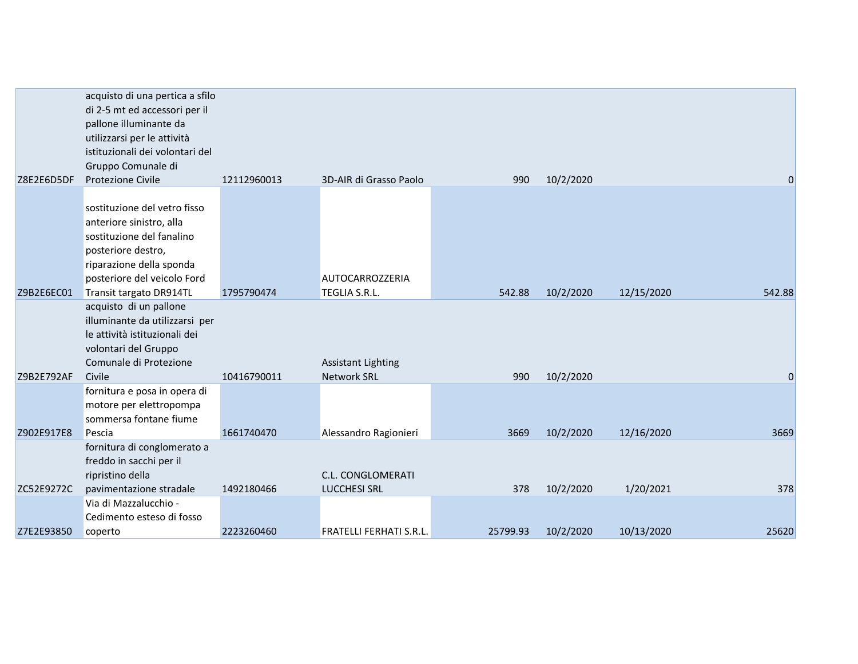|            | acquisto di una pertica a sfilo<br>di 2-5 mt ed accessori per il<br>pallone illuminante da |             |                                          |          |           |            |        |
|------------|--------------------------------------------------------------------------------------------|-------------|------------------------------------------|----------|-----------|------------|--------|
|            | utilizzarsi per le attività                                                                |             |                                          |          |           |            |        |
|            | istituzionali dei volontari del                                                            |             |                                          |          |           |            |        |
|            | Gruppo Comunale di                                                                         |             |                                          |          |           |            |        |
| Z8E2E6D5DF | Protezione Civile                                                                          | 12112960013 | 3D-AIR di Grasso Paolo                   | 990      | 10/2/2020 |            | 0      |
|            |                                                                                            |             |                                          |          |           |            |        |
|            | sostituzione del vetro fisso                                                               |             |                                          |          |           |            |        |
|            | anteriore sinistro, alla                                                                   |             |                                          |          |           |            |        |
|            | sostituzione del fanalino                                                                  |             |                                          |          |           |            |        |
|            | posteriore destro,                                                                         |             |                                          |          |           |            |        |
|            | riparazione della sponda                                                                   |             |                                          |          |           |            |        |
|            | posteriore del veicolo Ford                                                                |             | <b>AUTOCARROZZERIA</b>                   |          |           |            |        |
| Z9B2E6EC01 | Transit targato DR914TL                                                                    | 1795790474  | TEGLIA S.R.L.                            | 542.88   | 10/2/2020 | 12/15/2020 | 542.88 |
|            | acquisto di un pallone                                                                     |             |                                          |          |           |            |        |
|            | illuminante da utilizzarsi per                                                             |             |                                          |          |           |            |        |
|            | le attività istituzionali dei                                                              |             |                                          |          |           |            |        |
|            | volontari del Gruppo                                                                       |             |                                          |          |           |            |        |
|            | Comunale di Protezione                                                                     |             | <b>Assistant Lighting</b>                |          |           |            |        |
| Z9B2E792AF | Civile                                                                                     | 10416790011 | <b>Network SRL</b>                       | 990      | 10/2/2020 |            | 0      |
|            | fornitura e posa in opera di                                                               |             |                                          |          |           |            |        |
|            | motore per elettropompa                                                                    |             |                                          |          |           |            |        |
|            | sommersa fontane fiume                                                                     |             |                                          |          |           |            |        |
| Z902E917E8 | Pescia                                                                                     | 1661740470  | Alessandro Ragionieri                    | 3669     | 10/2/2020 | 12/16/2020 | 3669   |
|            | fornitura di conglomerato a                                                                |             |                                          |          |           |            |        |
|            | freddo in sacchi per il                                                                    |             |                                          |          |           |            |        |
| ZC52E9272C | ripristino della<br>pavimentazione stradale                                                | 1492180466  | C.L. CONGLOMERATI<br><b>LUCCHESI SRL</b> | 378      | 10/2/2020 | 1/20/2021  | 378    |
|            | Via di Mazzalucchio -                                                                      |             |                                          |          |           |            |        |
|            | Cedimento esteso di fosso                                                                  |             |                                          |          |           |            |        |
| Z7E2E93850 | coperto                                                                                    | 2223260460  | <b>FRATELLI FERHATI S.R.L.</b>           | 25799.93 | 10/2/2020 | 10/13/2020 | 25620  |
|            |                                                                                            |             |                                          |          |           |            |        |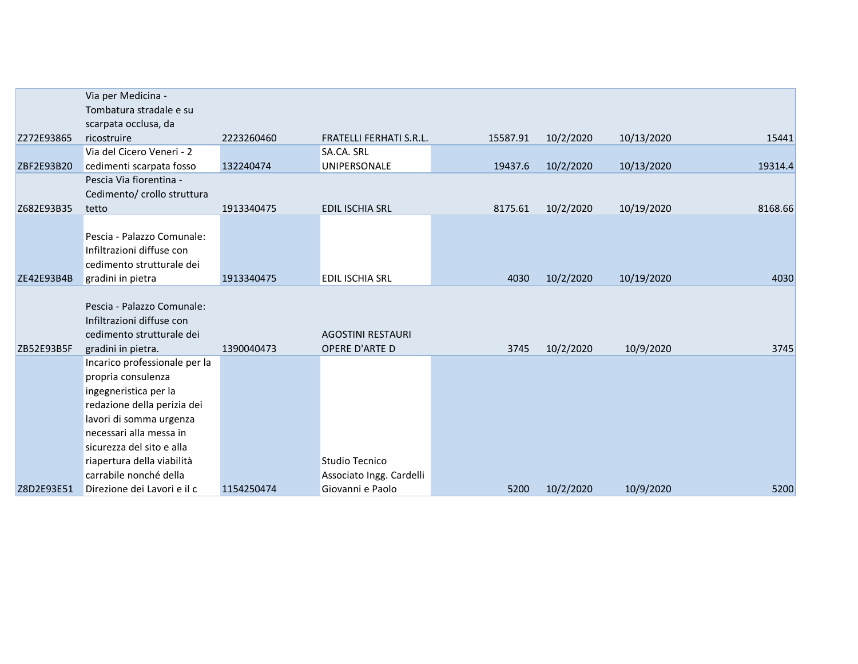|            | Via per Medicina -<br>Tombatura stradale e su<br>scarpata occlusa, da                                                                                                                                                                                  |            |                                            |          |           |            |         |
|------------|--------------------------------------------------------------------------------------------------------------------------------------------------------------------------------------------------------------------------------------------------------|------------|--------------------------------------------|----------|-----------|------------|---------|
| Z272E93865 | ricostruire                                                                                                                                                                                                                                            | 2223260460 | <b>FRATELLI FERHATI S.R.L.</b>             | 15587.91 | 10/2/2020 | 10/13/2020 | 15441   |
| ZBF2E93B20 | Via del Cicero Veneri - 2<br>cedimenti scarpata fosso                                                                                                                                                                                                  | 132240474  | SA.CA. SRL<br><b>UNIPERSONALE</b>          | 19437.6  | 10/2/2020 | 10/13/2020 | 19314.4 |
|            | Pescia Via fiorentina -<br>Cedimento/ crollo struttura                                                                                                                                                                                                 |            |                                            |          |           |            |         |
| Z682E93B35 | tetto                                                                                                                                                                                                                                                  | 1913340475 | <b>EDIL ISCHIA SRL</b>                     | 8175.61  | 10/2/2020 | 10/19/2020 | 8168.66 |
|            | Pescia - Palazzo Comunale:<br>Infiltrazioni diffuse con<br>cedimento strutturale dei                                                                                                                                                                   |            |                                            |          |           |            |         |
| ZE42E93B4B | gradini in pietra                                                                                                                                                                                                                                      | 1913340475 | <b>EDIL ISCHIA SRL</b>                     | 4030     | 10/2/2020 | 10/19/2020 | 4030    |
|            | Pescia - Palazzo Comunale:<br>Infiltrazioni diffuse con<br>cedimento strutturale dei                                                                                                                                                                   |            | <b>AGOSTINI RESTAURI</b>                   |          |           |            |         |
| ZB52E93B5F | gradini in pietra.                                                                                                                                                                                                                                     | 1390040473 | <b>OPERE D'ARTE D</b>                      | 3745     | 10/2/2020 | 10/9/2020  | 3745    |
|            | Incarico professionale per la<br>propria consulenza<br>ingegneristica per la<br>redazione della perizia dei<br>lavori di somma urgenza<br>necessari alla messa in<br>sicurezza del sito e alla<br>riapertura della viabilità<br>carrabile nonché della |            | Studio Tecnico<br>Associato Ingg. Cardelli |          |           |            |         |
| Z8D2E93E51 | Direzione dei Lavori e il c                                                                                                                                                                                                                            | 1154250474 | Giovanni e Paolo                           | 5200     | 10/2/2020 | 10/9/2020  | 5200    |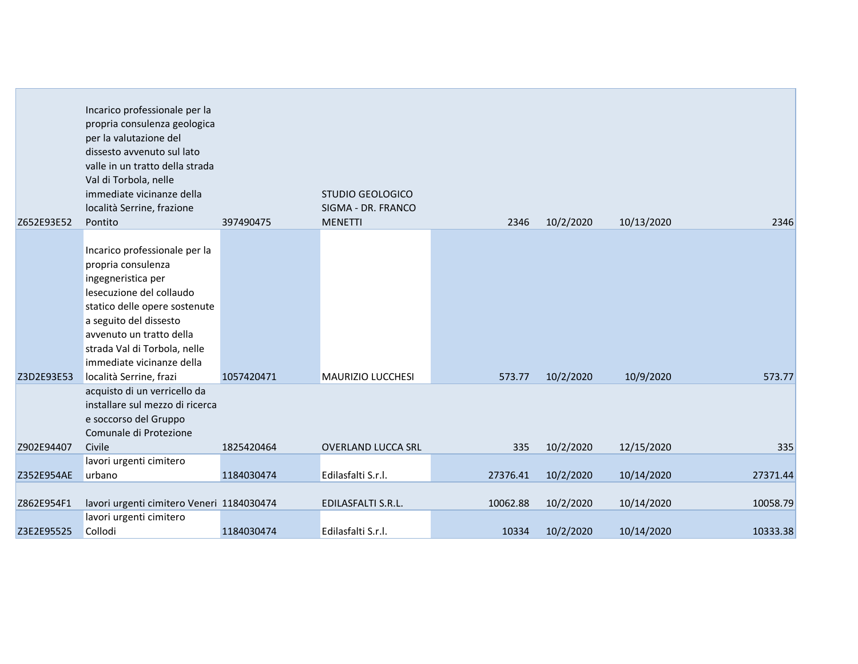| Z652E93E52 | Incarico professionale per la<br>propria consulenza geologica<br>per la valutazione del<br>dissesto avvenuto sul lato<br>valle in un tratto della strada<br>Val di Torbola, nelle<br>immediate vicinanze della<br>località Serrine, frazione<br>Pontito                              | 397490475  | <b>STUDIO GEOLOGICO</b><br>SIGMA - DR. FRANCO<br><b>MENETTI</b> | 2346     | 10/2/2020 | 10/13/2020 | 2346     |
|------------|--------------------------------------------------------------------------------------------------------------------------------------------------------------------------------------------------------------------------------------------------------------------------------------|------------|-----------------------------------------------------------------|----------|-----------|------------|----------|
| Z3D2E93E53 | Incarico professionale per la<br>propria consulenza<br>ingegneristica per<br>lesecuzione del collaudo<br>statico delle opere sostenute<br>a seguito del dissesto<br>avvenuto un tratto della<br>strada Val di Torbola, nelle<br>immediate vicinanze della<br>località Serrine, frazi | 1057420471 | <b>MAURIZIO LUCCHESI</b>                                        | 573.77   | 10/2/2020 | 10/9/2020  | 573.77   |
| Z902E94407 | acquisto di un verricello da<br>installare sul mezzo di ricerca<br>e soccorso del Gruppo<br>Comunale di Protezione<br>Civile                                                                                                                                                         | 1825420464 | <b>OVERLAND LUCCA SRL</b>                                       | 335      | 10/2/2020 | 12/15/2020 | 335      |
|            | lavori urgenti cimitero                                                                                                                                                                                                                                                              |            |                                                                 |          |           |            |          |
| Z352E954AE | urbano                                                                                                                                                                                                                                                                               | 1184030474 | Edilasfalti S.r.l.                                              | 27376.41 | 10/2/2020 | 10/14/2020 | 27371.44 |
| Z862E954F1 | lavori urgenti cimitero Veneri 1184030474                                                                                                                                                                                                                                            |            | EDILASFALTI S.R.L.                                              | 10062.88 | 10/2/2020 | 10/14/2020 | 10058.79 |
| Z3E2E95525 | lavori urgenti cimitero<br>Collodi                                                                                                                                                                                                                                                   | 1184030474 | Edilasfalti S.r.l.                                              | 10334    | 10/2/2020 | 10/14/2020 | 10333.38 |

**College**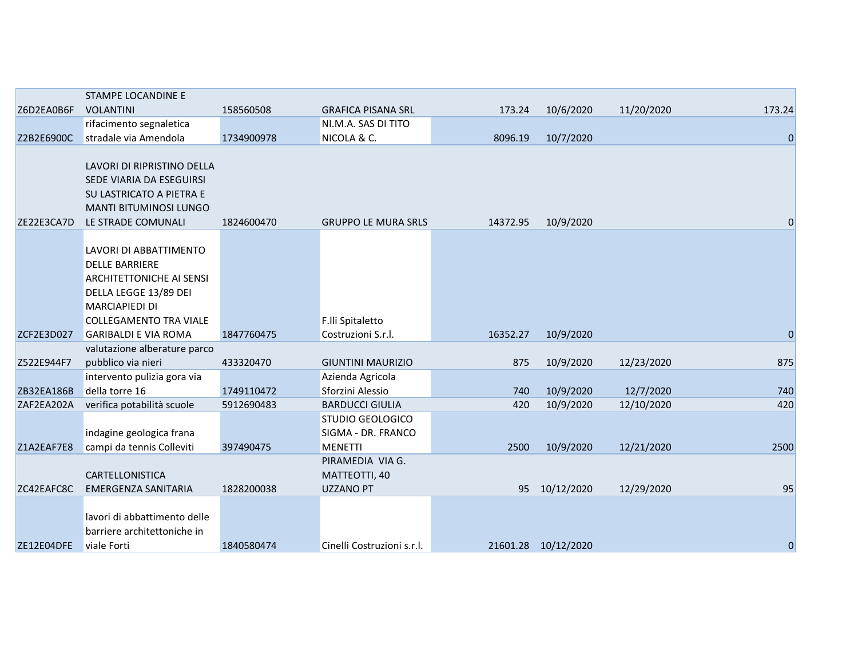|            | STAMPE LOCANDINE E            |            |                            |          |                     |            |             |
|------------|-------------------------------|------------|----------------------------|----------|---------------------|------------|-------------|
| Z6D2EA0B6F | <b>VOLANTINI</b>              | 158560508  | <b>GRAFICA PISANA SRL</b>  | 173.24   | 10/6/2020           | 11/20/2020 | 173.24      |
|            | rifacimento segnaletica       |            | NI.M.A. SAS DI TITO        |          |                     |            |             |
| Z2B2E6900C | stradale via Amendola         | 1734900978 | NICOLA & C.                | 8096.19  | 10/7/2020           |            | $\mathbf 0$ |
|            |                               |            |                            |          |                     |            |             |
|            | LAVORI DI RIPRISTINO DELLA    |            |                            |          |                     |            |             |
|            | SEDE VIARIA DA ESEGUIRSI      |            |                            |          |                     |            |             |
|            | SU LASTRICATO A PIETRA E      |            |                            |          |                     |            |             |
|            | <b>MANTI BITUMINOSI LUNGO</b> |            |                            |          |                     |            |             |
| ZE22E3CA7D | LE STRADE COMUNALI            | 1824600470 | <b>GRUPPO LE MURA SRLS</b> | 14372.95 | 10/9/2020           |            | $\mathbf 0$ |
|            |                               |            |                            |          |                     |            |             |
|            | LAVORI DI ABBATTIMENTO        |            |                            |          |                     |            |             |
|            | <b>DELLE BARRIERE</b>         |            |                            |          |                     |            |             |
|            | ARCHITETTONICHE AI SENSI      |            |                            |          |                     |            |             |
|            | DELLA LEGGE 13/89 DEI         |            |                            |          |                     |            |             |
|            | <b>MARCIAPIEDI DI</b>         |            |                            |          |                     |            |             |
|            | <b>COLLEGAMENTO TRA VIALE</b> |            | F.lli Spitaletto           |          |                     |            |             |
| ZCF2E3D027 | <b>GARIBALDI E VIA ROMA</b>   | 1847760475 | Costruzioni S.r.l.         | 16352.27 | 10/9/2020           |            | $\mathbf 0$ |
|            | valutazione alberature parco  |            |                            |          |                     |            |             |
| Z522E944F7 | pubblico via nieri            | 433320470  | <b>GIUNTINI MAURIZIO</b>   | 875      | 10/9/2020           | 12/23/2020 | 875         |
|            | intervento pulizia gora via   |            | Azienda Agricola           |          |                     |            |             |
| ZB32EA186B | della torre 16                | 1749110472 | Sforzini Alessio           | 740      | 10/9/2020           | 12/7/2020  | 740         |
| ZAF2EA202A | verifica potabilità scuole    | 5912690483 | <b>BARDUCCI GIULIA</b>     | 420      | 10/9/2020           | 12/10/2020 | 420         |
|            |                               |            | STUDIO GEOLOGICO           |          |                     |            |             |
|            | indagine geologica frana      |            | SIGMA - DR. FRANCO         |          |                     |            |             |
| Z1A2EAF7E8 | campi da tennis Colleviti     | 397490475  | <b>MENETTI</b>             | 2500     | 10/9/2020           | 12/21/2020 | 2500        |
|            |                               |            | PIRAMEDIA VIA G.           |          |                     |            |             |
|            | CARTELLONISTICA               |            | MATTEOTTI, 40              |          |                     |            |             |
| ZC42EAFC8C | EMERGENZA SANITARIA           | 1828200038 | <b>UZZANO PT</b>           | 95       | 10/12/2020          | 12/29/2020 | 95          |
|            |                               |            |                            |          |                     |            |             |
|            | lavori di abbattimento delle  |            |                            |          |                     |            |             |
|            | barriere architettoniche in   |            |                            |          |                     |            |             |
| ZE12E04DFE | viale Forti                   | 1840580474 | Cinelli Costruzioni s.r.l. |          | 21601.28 10/12/2020 |            | $\bf{0}$    |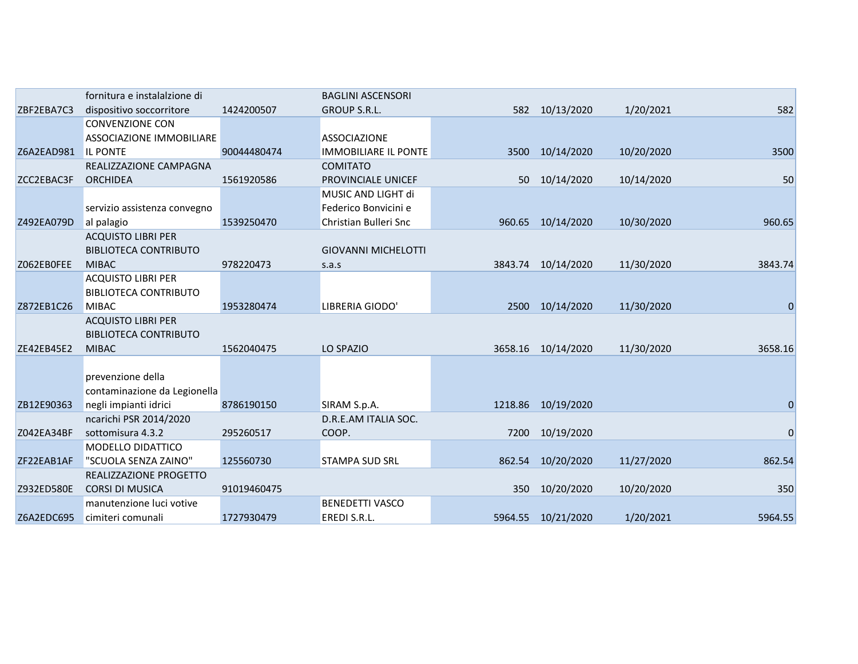|            | fornitura e instalalzione di    |             | <b>BAGLINI ASCENSORI</b>    |         |                    |            |             |
|------------|---------------------------------|-------------|-----------------------------|---------|--------------------|------------|-------------|
| ZBF2EBA7C3 | dispositivo soccorritore        | 1424200507  | <b>GROUP S.R.L.</b>         |         | 582 10/13/2020     | 1/20/2021  | 582         |
|            | <b>CONVENZIONE CON</b>          |             |                             |         |                    |            |             |
|            | <b>ASSOCIAZIONE IMMOBILIARE</b> |             | <b>ASSOCIAZIONE</b>         |         |                    |            |             |
| Z6A2EAD981 | <b>IL PONTE</b>                 | 90044480474 | <b>IMMOBILIARE IL PONTE</b> | 3500    | 10/14/2020         | 10/20/2020 | 3500        |
|            | REALIZZAZIONE CAMPAGNA          |             | <b>COMITATO</b>             |         |                    |            |             |
| ZCC2EBAC3F | <b>ORCHIDEA</b>                 | 1561920586  | PROVINCIALE UNICEF          |         | 50 10/14/2020      | 10/14/2020 | 50          |
|            |                                 |             | MUSIC AND LIGHT di          |         |                    |            |             |
|            | servizio assistenza convegno    |             | Federico Bonvicini e        |         |                    |            |             |
| Z492EA079D | al palagio                      | 1539250470  | Christian Bulleri Snc       |         | 960.65 10/14/2020  | 10/30/2020 | 960.65      |
|            | <b>ACQUISTO LIBRI PER</b>       |             |                             |         |                    |            |             |
|            | <b>BIBLIOTECA CONTRIBUTO</b>    |             | <b>GIOVANNI MICHELOTTI</b>  |         |                    |            |             |
| Z062EB0FEE | <b>MIBAC</b>                    | 978220473   | s.a.s                       | 3843.74 | 10/14/2020         | 11/30/2020 | 3843.74     |
|            | <b>ACQUISTO LIBRI PER</b>       |             |                             |         |                    |            |             |
|            | <b>BIBLIOTECA CONTRIBUTO</b>    |             |                             |         |                    |            |             |
| Z872EB1C26 | <b>MIBAC</b>                    | 1953280474  | LIBRERIA GIODO'             |         | 2500 10/14/2020    | 11/30/2020 | $\Omega$    |
|            | <b>ACQUISTO LIBRI PER</b>       |             |                             |         |                    |            |             |
|            | <b>BIBLIOTECA CONTRIBUTO</b>    |             |                             |         |                    |            |             |
| ZE42EB45E2 | <b>MIBAC</b>                    | 1562040475  | LO SPAZIO                   |         | 3658.16 10/14/2020 | 11/30/2020 | 3658.16     |
|            |                                 |             |                             |         |                    |            |             |
|            | prevenzione della               |             |                             |         |                    |            |             |
|            | contaminazione da Legionella    |             |                             |         |                    |            |             |
| ZB12E90363 | negli impianti idrici           | 8786190150  | SIRAM S.p.A.                |         | 1218.86 10/19/2020 |            | $\Omega$    |
|            | ncarichi PSR 2014/2020          |             | D.R.E.AM ITALIA SOC.        |         |                    |            |             |
| Z042EA34BF | sottomisura 4.3.2               | 295260517   | COOP.                       | 7200    | 10/19/2020         |            | $\mathbf 0$ |
|            | MODELLO DIDATTICO               |             |                             |         |                    |            |             |
| ZF22EAB1AF | "SCUOLA SENZA ZAINO"            | 125560730   | <b>STAMPA SUD SRL</b>       | 862.54  | 10/20/2020         | 11/27/2020 | 862.54      |
|            | REALIZZAZIONE PROGETTO          |             |                             |         |                    |            |             |
| Z932ED580E | <b>CORSI DI MUSICA</b>          | 91019460475 |                             | 350     | 10/20/2020         | 10/20/2020 | 350         |
|            | manutenzione luci votive        |             | <b>BENEDETTI VASCO</b>      |         |                    |            |             |
| Z6A2EDC695 | cimiteri comunali               | 1727930479  | EREDI S.R.L.                |         | 5964.55 10/21/2020 | 1/20/2021  | 5964.55     |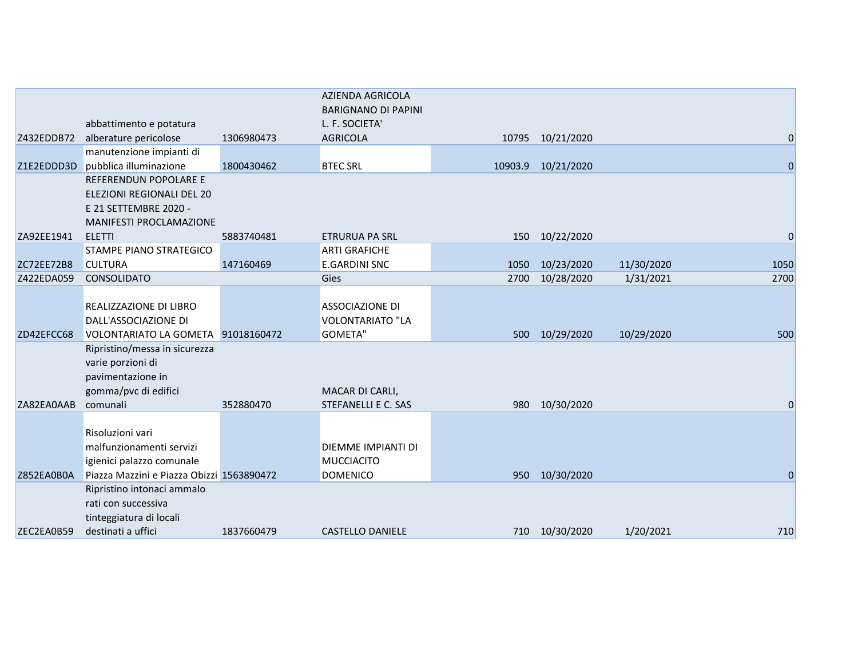|            | abbattimento e potatura                                                                            |            | <b>AZIENDA AGRICOLA</b><br><b>BARIGNANO DI PAPINI</b><br>L. F. SOCIETA' |         |                  |            |             |
|------------|----------------------------------------------------------------------------------------------------|------------|-------------------------------------------------------------------------|---------|------------------|------------|-------------|
| Z432EDDB72 | alberature pericolose                                                                              | 1306980473 | <b>AGRICOLA</b>                                                         |         | 10795 10/21/2020 |            | $\Omega$    |
|            | manutenzione impianti di                                                                           |            |                                                                         |         |                  |            |             |
| Z1E2EDDD3D | pubblica illuminazione                                                                             | 1800430462 | <b>BTEC SRL</b>                                                         | 10903.9 | 10/21/2020       |            | $\Omega$    |
|            | REFERENDUN POPOLARE E                                                                              |            |                                                                         |         |                  |            |             |
|            | ELEZIONI REGIONALI DEL 20<br>E 21 SETTEMBRE 2020 -                                                 |            |                                                                         |         |                  |            |             |
|            | <b>MANIFESTI PROCLAMAZIONE</b>                                                                     |            |                                                                         |         |                  |            |             |
| ZA92EE1941 | <b>ELETTI</b>                                                                                      | 5883740481 | <b>ETRURUA PA SRL</b>                                                   | 150     | 10/22/2020       |            | $\mathbf 0$ |
|            | STAMPE PIANO STRATEGICO                                                                            |            | <b>ARTI GRAFICHE</b>                                                    |         |                  |            |             |
| ZC72EE72B8 | <b>CULTURA</b>                                                                                     | 147160469  | <b>E.GARDINI SNC</b>                                                    |         | 1050 10/23/2020  | 11/30/2020 | 1050        |
| Z422EDA059 | CONSOLIDATO                                                                                        |            | Gies                                                                    | 2700    | 10/28/2020       | 1/31/2021  | 2700        |
|            |                                                                                                    |            |                                                                         |         |                  |            |             |
| ZD42EFCC68 | REALIZZAZIONE DI LIBRO<br>DALL'ASSOCIAZIONE DI<br>VOLONTARIATO LA GOMETA 91018160472               |            | <b>ASSOCIAZIONE DI</b><br><b>VOLONTARIATO "LA</b><br><b>GOMETA"</b>     | 500     | 10/29/2020       | 10/29/2020 | 500         |
|            | Ripristino/messa in sicurezza                                                                      |            |                                                                         |         |                  |            |             |
| ZA82EA0AAB | varie porzioni di<br>pavimentazione in<br>gomma/pvc di edifici<br>comunali                         | 352880470  | MACAR DI CARLI,<br>STEFANELLI E C. SAS                                  | 980     | 10/30/2020       |            | 0           |
|            | Risoluzioni vari<br>malfunzionamenti servizi<br>igienici palazzo comunale                          |            | <b>DIEMME IMPIANTI DI</b><br><b>MUCCIACITO</b>                          |         |                  |            |             |
| Z852EA0B0A | Piazza Mazzini e Piazza Obizzi 1563890472                                                          |            | <b>DOMENICO</b>                                                         | 950     | 10/30/2020       |            | $\Omega$    |
| ZEC2EA0B59 | Ripristino intonaci ammalo<br>rati con successiva<br>tinteggiatura di locali<br>destinati a uffici | 1837660479 | <b>CASTELLO DANIELE</b>                                                 |         | 710 10/30/2020   | 1/20/2021  | 710         |
|            |                                                                                                    |            |                                                                         |         |                  |            |             |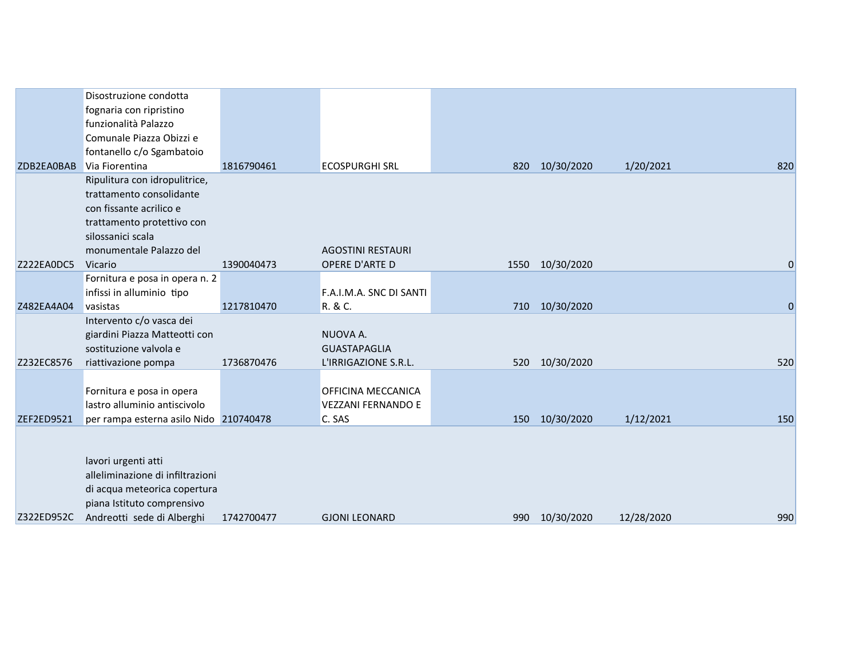|                   | Disostruzione condotta                 |            |                           |     |                 |            |                |
|-------------------|----------------------------------------|------------|---------------------------|-----|-----------------|------------|----------------|
|                   | fognaria con ripristino                |            |                           |     |                 |            |                |
|                   | funzionalità Palazzo                   |            |                           |     |                 |            |                |
|                   | Comunale Piazza Obizzi e               |            |                           |     |                 |            |                |
|                   | fontanello c/o Sgambatoio              |            |                           |     |                 |            |                |
| ZDB2EA0BAB        | Via Fiorentina                         | 1816790461 | <b>ECOSPURGHI SRL</b>     | 820 | 10/30/2020      | 1/20/2021  | 820            |
|                   | Ripulitura con idropulitrice,          |            |                           |     |                 |            |                |
|                   | trattamento consolidante               |            |                           |     |                 |            |                |
|                   | con fissante acrilico e                |            |                           |     |                 |            |                |
|                   | trattamento protettivo con             |            |                           |     |                 |            |                |
|                   | silossanici scala                      |            |                           |     |                 |            |                |
|                   | monumentale Palazzo del                |            | <b>AGOSTINI RESTAURI</b>  |     |                 |            |                |
| Z222EA0DC5        | Vicario                                | 1390040473 | OPERE D'ARTE D            |     | 1550 10/30/2020 |            | $\overline{0}$ |
|                   | Fornitura e posa in opera n. 2         |            |                           |     |                 |            |                |
|                   | infissi in alluminio tipo              |            | F.A.I.M.A. SNC DI SANTI   |     |                 |            |                |
| Z482EA4A04        | vasistas                               | 1217810470 | R. & C.                   |     | 710 10/30/2020  |            | $\mathbf 0$    |
|                   | Intervento c/o vasca dei               |            |                           |     |                 |            |                |
|                   | giardini Piazza Matteotti con          |            | NUOVA A.                  |     |                 |            |                |
|                   | sostituzione valvola e                 |            | <b>GUASTAPAGLIA</b>       |     |                 |            |                |
| Z232EC8576        | riattivazione pompa                    | 1736870476 | L'IRRIGAZIONE S.R.L.      |     | 520 10/30/2020  |            | 520            |
|                   | Fornitura e posa in opera              |            | OFFICINA MECCANICA        |     |                 |            |                |
|                   | lastro alluminio antiscivolo           |            | <b>VEZZANI FERNANDO E</b> |     |                 |            |                |
| <b>ZEF2ED9521</b> | per rampa esterna asilo Nido 210740478 |            | C. SAS                    | 150 | 10/30/2020      | 1/12/2021  | 150            |
|                   |                                        |            |                           |     |                 |            |                |
|                   |                                        |            |                           |     |                 |            |                |
|                   | lavori urgenti atti                    |            |                           |     |                 |            |                |
|                   | alleliminazione di infiltrazioni       |            |                           |     |                 |            |                |
|                   | di acqua meteorica copertura           |            |                           |     |                 |            |                |
|                   | piana Istituto comprensivo             |            |                           |     |                 |            |                |
| Z322ED952C        | Andreotti sede di Alberghi             | 1742700477 | <b>GJONI LEONARD</b>      |     | 990 10/30/2020  | 12/28/2020 | 990            |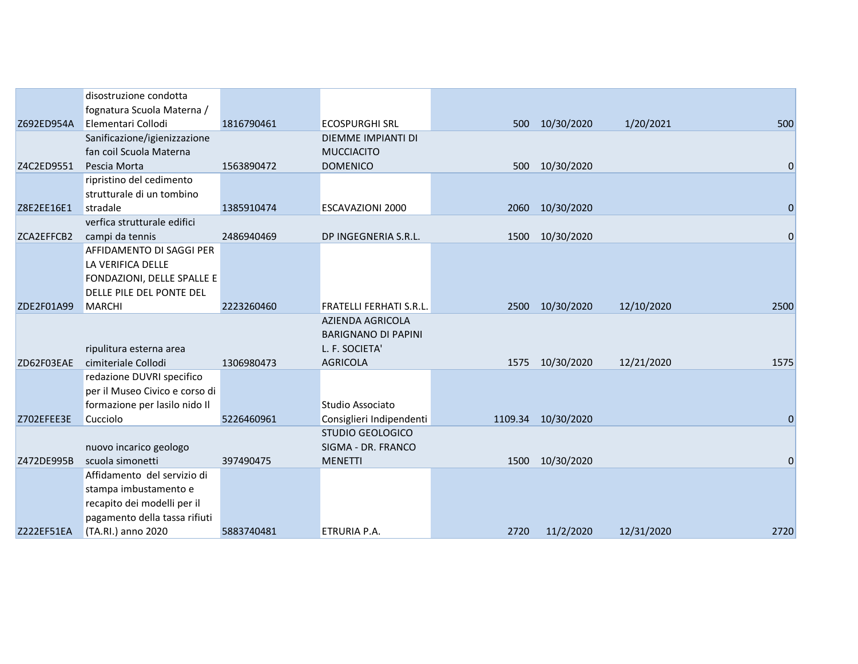|            | disostruzione condotta         |            |                                               |      |                    |            |                |
|------------|--------------------------------|------------|-----------------------------------------------|------|--------------------|------------|----------------|
|            | fognatura Scuola Materna /     |            |                                               |      |                    |            |                |
| Z692ED954A | Elementari Collodi             | 1816790461 | <b>ECOSPURGHI SRL</b>                         | 500  | 10/30/2020         | 1/20/2021  | 500            |
|            | Sanificazione/igienizzazione   |            | DIEMME IMPIANTI DI                            |      |                    |            |                |
|            | fan coil Scuola Materna        |            | <b>MUCCIACITO</b>                             |      |                    |            |                |
| Z4C2ED9551 | Pescia Morta                   | 1563890472 | <b>DOMENICO</b>                               | 500  | 10/30/2020         |            | 0              |
|            | ripristino del cedimento       |            |                                               |      |                    |            |                |
|            | strutturale di un tombino      |            |                                               |      |                    |            |                |
| Z8E2EE16E1 | stradale                       | 1385910474 | <b>ESCAVAZIONI 2000</b>                       | 2060 | 10/30/2020         |            | $\overline{0}$ |
|            | verfica strutturale edifici    |            |                                               |      |                    |            |                |
| ZCA2EFFCB2 | campi da tennis                | 2486940469 | DP INGEGNERIA S.R.L.                          |      | 1500 10/30/2020    |            | 0              |
|            | AFFIDAMENTO DI SAGGI PER       |            |                                               |      |                    |            |                |
|            | LA VERIFICA DELLE              |            |                                               |      |                    |            |                |
|            | FONDAZIONI, DELLE SPALLE E     |            |                                               |      |                    |            |                |
|            | DELLE PILE DEL PONTE DEL       |            |                                               |      |                    |            |                |
| ZDE2F01A99 | <b>MARCHI</b>                  | 2223260460 | <b>FRATELLI FERHATI S.R.L.</b>                | 2500 | 10/30/2020         | 12/10/2020 | 2500           |
|            |                                |            | <b>AZIENDA AGRICOLA</b>                       |      |                    |            |                |
|            |                                |            | <b>BARIGNANO DI PAPINI</b>                    |      |                    |            |                |
|            | ripulitura esterna area        |            | L. F. SOCIETA'                                |      |                    |            |                |
| ZD62F03EAE | cimiteriale Collodi            | 1306980473 | <b>AGRICOLA</b>                               |      | 1575 10/30/2020    | 12/21/2020 | 1575           |
|            | redazione DUVRI specifico      |            |                                               |      |                    |            |                |
|            | per il Museo Civico e corso di |            |                                               |      |                    |            |                |
|            | formazione per lasilo nido Il  |            | Studio Associato                              |      |                    |            |                |
| Z702EFEE3E | Cucciolo                       | 5226460961 | Consiglieri Indipendenti                      |      | 1109.34 10/30/2020 |            | $\Omega$       |
|            | nuovo incarico geologo         |            | <b>STUDIO GEOLOGICO</b><br>SIGMA - DR. FRANCO |      |                    |            |                |
| Z472DE995B | scuola simonetti               | 397490475  | <b>MENETTI</b>                                | 1500 | 10/30/2020         |            | 0              |
|            | Affidamento del servizio di    |            |                                               |      |                    |            |                |
|            | stampa imbustamento e          |            |                                               |      |                    |            |                |
|            | recapito dei modelli per il    |            |                                               |      |                    |            |                |
|            | pagamento della tassa rifiuti  |            |                                               |      |                    |            |                |
| Z222EF51EA | (TA.RI.) anno 2020             | 5883740481 | ETRURIA P.A.                                  | 2720 | 11/2/2020          | 12/31/2020 | 2720           |
|            |                                |            |                                               |      |                    |            |                |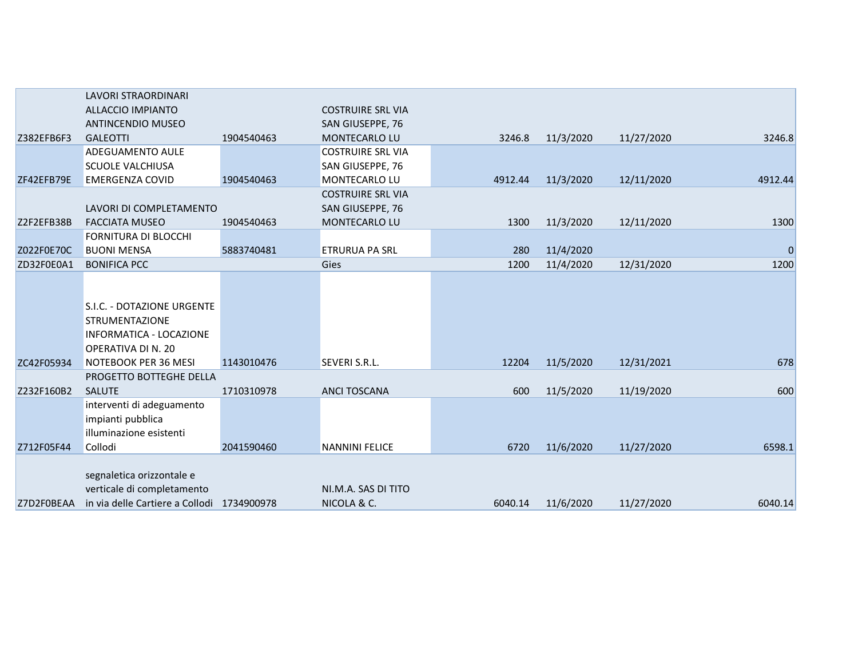|            | <b>LAVORI STRAORDINARI</b>                                                                            |            |                                    |         |           |            |             |
|------------|-------------------------------------------------------------------------------------------------------|------------|------------------------------------|---------|-----------|------------|-------------|
|            | <b>ALLACCIO IMPIANTO</b>                                                                              |            | <b>COSTRUIRE SRL VIA</b>           |         |           |            |             |
|            | <b>ANTINCENDIO MUSEO</b>                                                                              |            | SAN GIUSEPPE, 76                   |         |           |            |             |
| Z382EFB6F3 | <b>GALEOTTI</b>                                                                                       | 1904540463 | MONTECARLO LU                      | 3246.8  | 11/3/2020 | 11/27/2020 | 3246.8      |
|            | ADEGUAMENTO AULE                                                                                      |            | <b>COSTRUIRE SRL VIA</b>           |         |           |            |             |
|            | <b>SCUOLE VALCHIUSA</b>                                                                               |            | SAN GIUSEPPE, 76                   |         |           |            |             |
| ZF42EFB79E | <b>EMERGENZA COVID</b>                                                                                | 1904540463 | MONTECARLO LU                      | 4912.44 | 11/3/2020 | 12/11/2020 | 4912.44     |
|            |                                                                                                       |            | <b>COSTRUIRE SRL VIA</b>           |         |           |            |             |
|            | LAVORI DI COMPLETAMENTO                                                                               |            | SAN GIUSEPPE, 76                   |         |           |            |             |
| Z2F2EFB38B | <b>FACCIATA MUSEO</b>                                                                                 | 1904540463 | MONTECARLO LU                      | 1300    | 11/3/2020 | 12/11/2020 | 1300        |
|            | FORNITURA DI BLOCCHI                                                                                  |            |                                    |         |           |            |             |
| Z022F0E70C | <b>BUONI MENSA</b>                                                                                    | 5883740481 | <b>ETRURUA PA SRL</b>              | 280     | 11/4/2020 |            | $\mathbf 0$ |
| ZD32F0E0A1 | <b>BONIFICA PCC</b>                                                                                   |            | Gies                               | 1200    | 11/4/2020 | 12/31/2020 | 1200        |
|            | S.I.C. - DOTAZIONE URGENTE<br><b>STRUMENTAZIONE</b><br>INFORMATICA - LOCAZIONE<br>OPERATIVA DI N. 20  |            |                                    |         |           |            |             |
| ZC42F05934 | NOTEBOOK PER 36 MESI                                                                                  | 1143010476 | SEVERI S.R.L.                      | 12204   | 11/5/2020 | 12/31/2021 | 678         |
|            | PROGETTO BOTTEGHE DELLA                                                                               |            |                                    |         |           |            |             |
| Z232F160B2 | <b>SALUTE</b>                                                                                         | 1710310978 | <b>ANCI TOSCANA</b>                | 600     | 11/5/2020 | 11/19/2020 | 600         |
|            | interventi di adeguamento<br>impianti pubblica<br>illuminazione esistenti                             |            |                                    |         |           |            |             |
| Z712F05F44 | Collodi                                                                                               | 2041590460 | <b>NANNINI FELICE</b>              | 6720    | 11/6/2020 | 11/27/2020 | 6598.1      |
| Z7D2F0BEAA | segnaletica orizzontale e<br>verticale di completamento<br>in via delle Cartiere a Collodi 1734900978 |            | NI.M.A. SAS DI TITO<br>NICOLA & C. | 6040.14 | 11/6/2020 | 11/27/2020 | 6040.14     |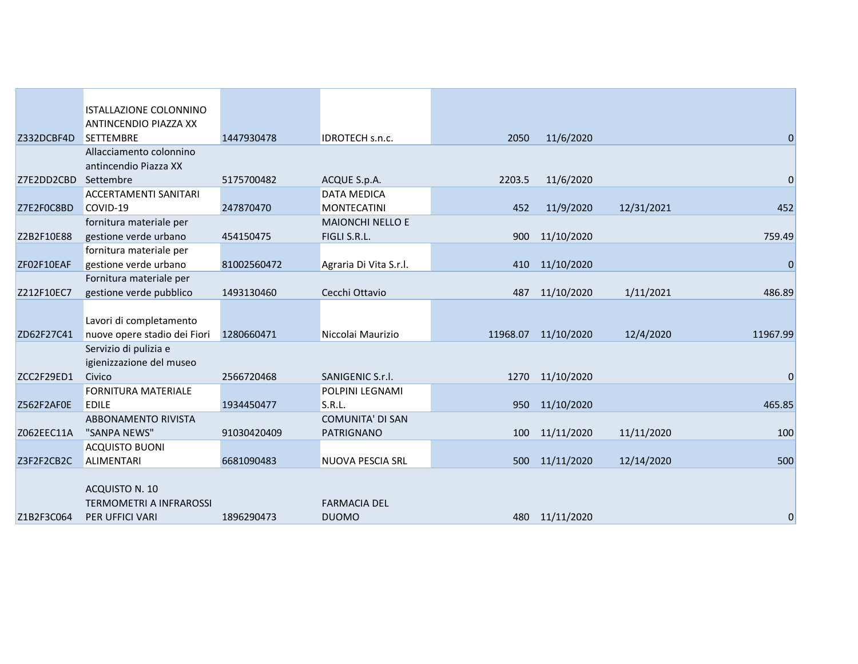|            | ISTALLAZIONE COLONNINO                            |             |                         |          |                |            |              |
|------------|---------------------------------------------------|-------------|-------------------------|----------|----------------|------------|--------------|
|            | ANTINCENDIO PIAZZA XX                             |             |                         |          |                |            |              |
| Z332DCBF4D | <b>SETTEMBRE</b>                                  | 1447930478  | IDROTECH s.n.c.         | 2050     | 11/6/2020      |            | 0            |
|            | Allacciamento colonnino                           |             |                         |          |                |            |              |
|            | antincendio Piazza XX                             |             |                         |          |                |            |              |
| Z7E2DD2CBD | Settembre                                         | 5175700482  | ACQUE S.p.A.            | 2203.5   | 11/6/2020      |            | $\mathbf{0}$ |
|            | <b>ACCERTAMENTI SANITARI</b>                      |             | <b>DATA MEDICA</b>      |          |                |            |              |
| Z7E2F0C8BD | COVID-19                                          | 247870470   | <b>MONTECATINI</b>      | 452      | 11/9/2020      | 12/31/2021 | 452          |
|            | fornitura materiale per                           |             | <b>MAIONCHI NELLO E</b> |          |                |            |              |
| Z2B2F10E88 | gestione verde urbano                             | 454150475   | FIGLI S.R.L.            | 900      | 11/10/2020     |            | 759.49       |
|            | fornitura materiale per                           |             |                         |          |                |            |              |
| ZF02F10EAF | gestione verde urbano                             | 81002560472 | Agraria Di Vita S.r.l.  | 410      | 11/10/2020     |            | $\mathbf 0$  |
|            | Fornitura materiale per                           |             |                         |          |                |            |              |
| Z212F10EC7 | gestione verde pubblico                           | 1493130460  | Cecchi Ottavio          | 487      | 11/10/2020     | 1/11/2021  | 486.89       |
|            |                                                   |             |                         |          |                |            |              |
|            | Lavori di completamento                           |             |                         |          |                |            |              |
| ZD62F27C41 | nuove opere stadio dei Fiori                      | 1280660471  | Niccolai Maurizio       | 11968.07 | 11/10/2020     | 12/4/2020  | 11967.99     |
|            | Servizio di pulizia e<br>igienizzazione del museo |             |                         |          |                |            |              |
| ZCC2F29ED1 | Civico                                            | 2566720468  | SANIGENIC S.r.l.        | 1270     | 11/10/2020     |            | $\mathbf 0$  |
|            | <b>FORNITURA MATERIALE</b>                        |             | POLPINI LEGNAMI         |          |                |            |              |
| Z562F2AF0E | <b>EDILE</b>                                      | 1934450477  | S.R.L.                  | 950      | 11/10/2020     |            | 465.85       |
|            | ABBONAMENTO RIVISTA                               |             | <b>COMUNITA' DI SAN</b> |          |                |            |              |
| Z062EEC11A | "SANPA NEWS"                                      | 91030420409 | PATRIGNANO              | 100      | 11/11/2020     | 11/11/2020 | 100          |
|            | <b>ACQUISTO BUONI</b>                             |             |                         |          |                |            |              |
| Z3F2F2CB2C | <b>ALIMENTARI</b>                                 | 6681090483  | NUOVA PESCIA SRL        | 500      | 11/11/2020     | 12/14/2020 | 500          |
|            |                                                   |             |                         |          |                |            |              |
|            | ACQUISTO N. 10                                    |             |                         |          |                |            |              |
|            | <b>TERMOMETRI A INFRAROSSI</b>                    |             | <b>FARMACIA DEL</b>     |          |                |            |              |
| Z1B2F3C064 | <b>PER UFFICI VARI</b>                            | 1896290473  | <b>DUOMO</b>            |          | 480 11/11/2020 |            | 0            |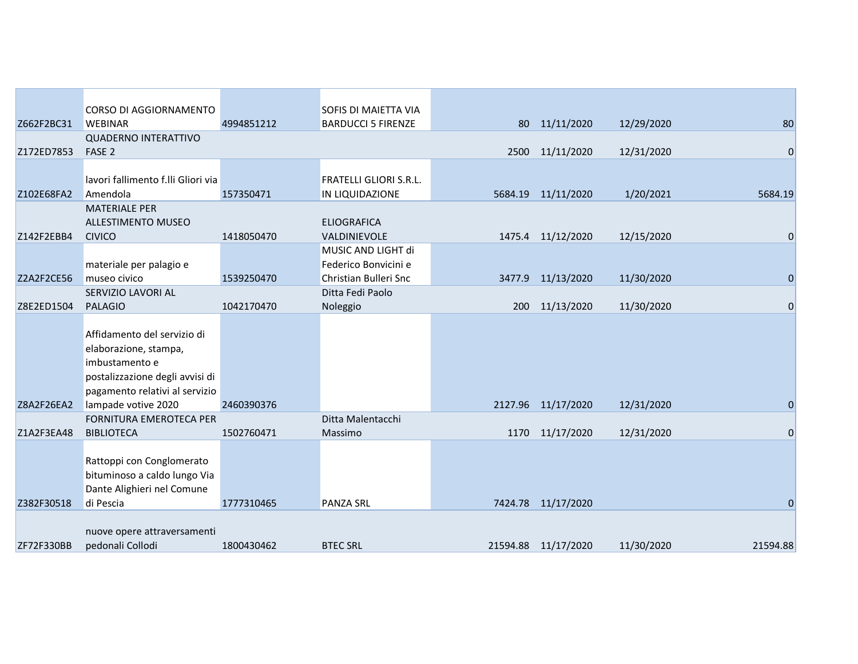|            | CORSO DI AGGIORNAMENTO                                                                                                                      |            | <b>SOFIS DI MAIETTA VIA</b>        |      |                     |            |                |
|------------|---------------------------------------------------------------------------------------------------------------------------------------------|------------|------------------------------------|------|---------------------|------------|----------------|
| Z662F2BC31 | <b>WEBINAR</b>                                                                                                                              | 4994851212 | <b>BARDUCCI 5 FIRENZE</b>          | 80   | 11/11/2020          | 12/29/2020 | 80             |
|            | <b>QUADERNO INTERATTIVO</b>                                                                                                                 |            |                                    |      |                     |            |                |
| Z172ED7853 | FASE <sub>2</sub>                                                                                                                           |            |                                    | 2500 | 11/11/2020          | 12/31/2020 | $\overline{0}$ |
|            |                                                                                                                                             |            |                                    |      |                     |            |                |
|            | lavori fallimento f.lli Gliori via                                                                                                          |            | <b>FRATELLI GLIORI S.R.L.</b>      |      |                     |            |                |
| Z102E68FA2 | Amendola                                                                                                                                    | 157350471  | IN LIQUIDAZIONE                    |      | 5684.19 11/11/2020  | 1/20/2021  | 5684.19        |
|            | <b>MATERIALE PER</b>                                                                                                                        |            |                                    |      |                     |            |                |
| Z142F2EBB4 | <b>ALLESTIMENTO MUSEO</b><br><b>CIVICO</b>                                                                                                  | 1418050470 | <b>ELIOGRAFICA</b><br>VALDINIEVOLE |      | 1475.4 11/12/2020   | 12/15/2020 | $\mathbf 0$    |
|            |                                                                                                                                             |            | MUSIC AND LIGHT di                 |      |                     |            |                |
|            | materiale per palagio e                                                                                                                     |            | Federico Bonvicini e               |      |                     |            |                |
| Z2A2F2CE56 | museo civico                                                                                                                                | 1539250470 | Christian Bulleri Snc              |      | 3477.9 11/13/2020   | 11/30/2020 | $\mathbf 0$    |
|            | SERVIZIO LAVORI AL                                                                                                                          |            | Ditta Fedi Paolo                   |      |                     |            |                |
| Z8E2ED1504 | <b>PALAGIO</b>                                                                                                                              | 1042170470 | Noleggio                           |      | 200 11/13/2020      | 11/30/2020 | $\mathbf 0$    |
|            | Affidamento del servizio di<br>elaborazione, stampa,<br>imbustamento e<br>postalizzazione degli avvisi di<br>pagamento relativi al servizio |            |                                    |      |                     |            |                |
| Z8A2F26EA2 | lampade votive 2020<br><b>FORNITURA EMEROTECA PER</b>                                                                                       | 2460390376 | Ditta Malentacchi                  |      | 2127.96 11/17/2020  | 12/31/2020 | $\mathbf 0$    |
| Z1A2F3EA48 | <b>BIBLIOTECA</b>                                                                                                                           | 1502760471 | Massimo                            |      | 1170 11/17/2020     | 12/31/2020 | $\mathbf 0$    |
|            | Rattoppi con Conglomerato<br>bituminoso a caldo lungo Via<br>Dante Alighieri nel Comune                                                     |            |                                    |      |                     |            |                |
| Z382F30518 | di Pescia                                                                                                                                   | 1777310465 | <b>PANZA SRL</b>                   |      | 7424.78 11/17/2020  |            | $\Omega$       |
| ZF72F330BB | nuove opere attraversamenti<br>pedonali Collodi                                                                                             | 1800430462 | <b>BTEC SRL</b>                    |      | 21594.88 11/17/2020 | 11/30/2020 | 21594.88       |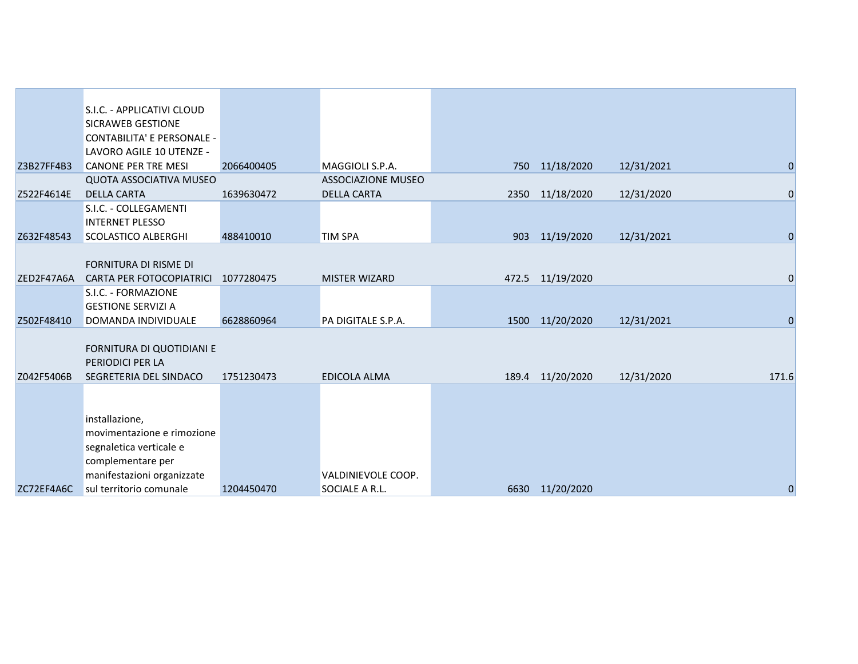|            | S.I.C. - APPLICATIVI CLOUD        |            |                           |                  |            |                  |
|------------|-----------------------------------|------------|---------------------------|------------------|------------|------------------|
|            | SICRAWEB GESTIONE                 |            |                           |                  |            |                  |
|            | <b>CONTABILITA' E PERSONALE -</b> |            |                           |                  |            |                  |
|            | LAVORO AGILE 10 UTENZE -          |            |                           |                  |            |                  |
| Z3B27FF4B3 | <b>CANONE PER TRE MESI</b>        | 2066400405 | MAGGIOLI S.P.A.           | 750 11/18/2020   | 12/31/2021 | $\boldsymbol{0}$ |
|            | <b>QUOTA ASSOCIATIVA MUSEO</b>    |            | <b>ASSOCIAZIONE MUSEO</b> |                  |            |                  |
| Z522F4614E | <b>DELLA CARTA</b>                | 1639630472 | <b>DELLA CARTA</b>        | 2350 11/18/2020  | 12/31/2020 | $\mathbf 0$      |
|            | S.I.C. - COLLEGAMENTI             |            |                           |                  |            |                  |
|            | <b>INTERNET PLESSO</b>            |            |                           |                  |            |                  |
| Z632F48543 | <b>SCOLASTICO ALBERGHI</b>        | 488410010  | <b>TIM SPA</b>            | 903 11/19/2020   | 12/31/2021 | $\mathbf 0$      |
|            |                                   |            |                           |                  |            |                  |
|            | FORNITURA DI RISME DI             |            |                           |                  |            |                  |
| ZED2F47A6A | <b>CARTA PER FOTOCOPIATRICI</b>   | 1077280475 | <b>MISTER WIZARD</b>      | 472.5 11/19/2020 |            | $\mathbf 0$      |
|            | S.I.C. - FORMAZIONE               |            |                           |                  |            |                  |
|            | <b>GESTIONE SERVIZI A</b>         |            |                           |                  |            |                  |
| Z502F48410 | DOMANDA INDIVIDUALE               | 6628860964 | PA DIGITALE S.P.A.        | 1500 11/20/2020  | 12/31/2021 | $\overline{0}$   |
|            |                                   |            |                           |                  |            |                  |
|            | FORNITURA DI QUOTIDIANI E         |            |                           |                  |            |                  |
|            | PERIODICI PER LA                  |            |                           |                  |            |                  |
| Z042F5406B | SEGRETERIA DEL SINDACO            | 1751230473 | EDICOLA ALMA              | 189.4 11/20/2020 | 12/31/2020 | 171.6            |
|            |                                   |            |                           |                  |            |                  |
|            |                                   |            |                           |                  |            |                  |
|            | installazione,                    |            |                           |                  |            |                  |
|            | movimentazione e rimozione        |            |                           |                  |            |                  |
|            | segnaletica verticale e           |            |                           |                  |            |                  |
|            | complementare per                 |            |                           |                  |            |                  |
|            | manifestazioni organizzate        |            | VALDINIEVOLE COOP.        |                  |            |                  |
| ZC72EF4A6C | sul territorio comunale           | 1204450470 | SOCIALE A R.L.            | 6630 11/20/2020  |            | $\mathbf 0$      |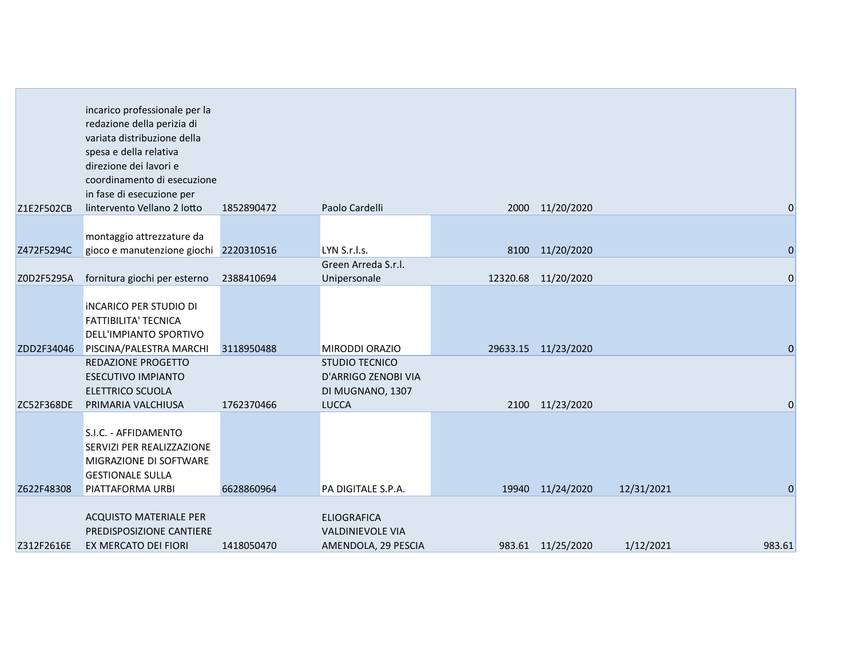|            | incarico professionale per la<br>redazione della perizia di<br>variata distribuzione della<br>spesa e della relativa<br>direzione dei lavori e<br>coordinamento di esecuzione<br>in fase di esecuzione per |            |                                                                      |      |                     |            |                |
|------------|------------------------------------------------------------------------------------------------------------------------------------------------------------------------------------------------------------|------------|----------------------------------------------------------------------|------|---------------------|------------|----------------|
| Z1E2F502CB | lintervento Vellano 2 lotto                                                                                                                                                                                | 1852890472 | Paolo Cardelli                                                       |      | 2000 11/20/2020     |            | $\mathbf 0$    |
| Z472F5294C | montaggio attrezzature da<br>gioco e manutenzione giochi 2220310516                                                                                                                                        |            | LYN S.r.l.s.                                                         | 8100 | 11/20/2020          |            | $\overline{0}$ |
| Z0D2F5295A | fornitura giochi per esterno                                                                                                                                                                               | 2388410694 | Green Arreda S.r.l.<br>Unipersonale                                  |      | 12320.68 11/20/2020 |            | $\mathbf 0$    |
| ZDD2F34046 | <b>INCARICO PER STUDIO DI</b><br><b>FATTIBILITA' TECNICA</b><br>DELL'IMPIANTO SPORTIVO<br>PISCINA/PALESTRA MARCHI<br>REDAZIONE PROGETTO                                                                    | 3118950488 | <b>MIRODDI ORAZIO</b><br><b>STUDIO TECNICO</b>                       |      | 29633.15 11/23/2020 |            | $\Omega$       |
| ZC52F368DE | <b>ESECUTIVO IMPIANTO</b><br><b>ELETTRICO SCUOLA</b><br>PRIMARIA VALCHIUSA                                                                                                                                 | 1762370466 | D'ARRIGO ZENOBI VIA<br>DI MUGNANO, 1307<br><b>LUCCA</b>              |      | 2100 11/23/2020     |            | 0              |
| Z622F48308 | S.I.C. - AFFIDAMENTO<br>SERVIZI PER REALIZZAZIONE<br>MIGRAZIONE DI SOFTWARE<br><b>GESTIONALE SULLA</b><br>PIATTAFORMA URBI                                                                                 | 6628860964 | PA DIGITALE S.P.A.                                                   |      | 19940 11/24/2020    | 12/31/2021 | $\Omega$       |
| Z312F2616E | ACQUISTO MATERIALE PER<br>PREDISPOSIZIONE CANTIERE<br>EX MERCATO DEI FIORI                                                                                                                                 | 1418050470 | <b>ELIOGRAFICA</b><br><b>VALDINIEVOLE VIA</b><br>AMENDOLA, 29 PESCIA |      | 983.61 11/25/2020   | 1/12/2021  | 983.61         |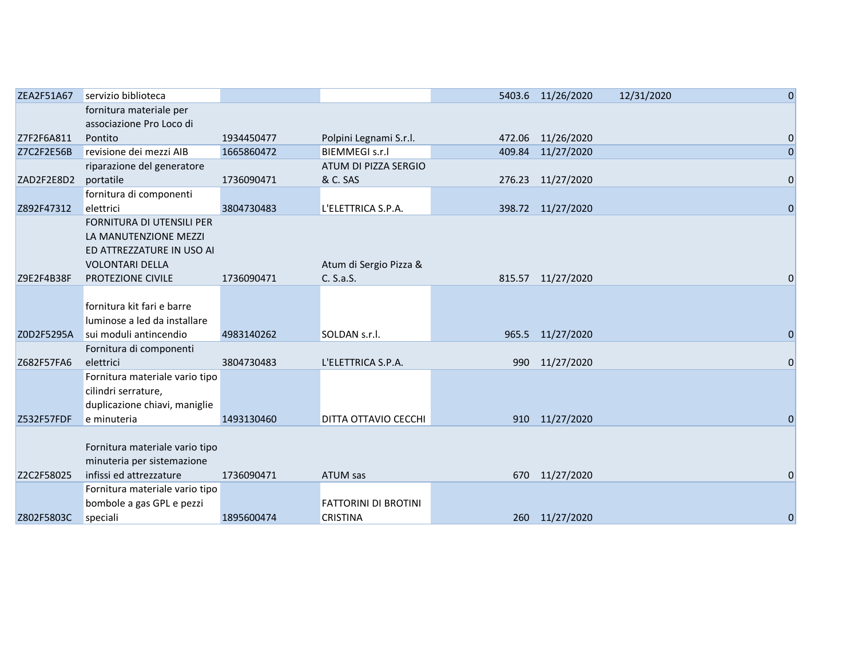| ZEA2F51A67 | servizio biblioteca            |            |                             | 5403.6 11/26/2020 | 12/31/2020 | $\overline{0}$ |
|------------|--------------------------------|------------|-----------------------------|-------------------|------------|----------------|
|            | fornitura materiale per        |            |                             |                   |            |                |
|            | associazione Pro Loco di       |            |                             |                   |            |                |
| Z7F2F6A811 | Pontito                        | 1934450477 | Polpini Legnami S.r.l.      | 472.06 11/26/2020 |            | $\mathbf 0$    |
| Z7C2F2E56B | revisione dei mezzi AIB        | 1665860472 | <b>BIEMMEGI s.r.l</b>       | 409.84 11/27/2020 |            | $\overline{0}$ |
|            | riparazione del generatore     |            | ATUM DI PIZZA SERGIO        |                   |            |                |
| ZAD2F2E8D2 | portatile                      | 1736090471 | & C. SAS                    | 276.23 11/27/2020 |            | $\overline{0}$ |
|            | fornitura di componenti        |            |                             |                   |            |                |
| Z892F47312 | elettrici                      | 3804730483 | L'ELETTRICA S.P.A.          | 398.72 11/27/2020 |            | $\overline{0}$ |
|            | FORNITURA DI UTENSILI PER      |            |                             |                   |            |                |
|            | LA MANUTENZIONE MEZZI          |            |                             |                   |            |                |
|            | ED ATTREZZATURE IN USO AI      |            |                             |                   |            |                |
|            | <b>VOLONTARI DELLA</b>         |            | Atum di Sergio Pizza &      |                   |            |                |
| Z9E2F4B38F | PROTEZIONE CIVILE              | 1736090471 | C. S.a.S.                   | 815.57 11/27/2020 |            | 0              |
|            |                                |            |                             |                   |            |                |
|            | fornitura kit fari e barre     |            |                             |                   |            |                |
|            | luminose a led da installare   |            |                             |                   |            |                |
| Z0D2F5295A | sui moduli antincendio         | 4983140262 | SOLDAN s.r.l.               | 965.5 11/27/2020  |            | $\Omega$       |
|            | Fornitura di componenti        |            |                             |                   |            |                |
| Z682F57FA6 | elettrici                      | 3804730483 | L'ELETTRICA S.P.A.          | 990 11/27/2020    |            | $\mathbf 0$    |
|            | Fornitura materiale vario tipo |            |                             |                   |            |                |
|            | cilindri serrature,            |            |                             |                   |            |                |
|            | duplicazione chiavi, maniglie  |            |                             |                   |            |                |
| Z532F57FDF | e minuteria                    | 1493130460 | <b>DITTA OTTAVIO CECCHI</b> | 910 11/27/2020    |            | $\Omega$       |
|            |                                |            |                             |                   |            |                |
|            | Fornitura materiale vario tipo |            |                             |                   |            |                |
|            | minuteria per sistemazione     |            |                             |                   |            |                |
| Z2C2F58025 | infissi ed attrezzature        | 1736090471 | ATUM sas                    | 670 11/27/2020    |            | 0              |
|            | Fornitura materiale vario tipo |            |                             |                   |            |                |
|            | bombole a gas GPL e pezzi      |            | <b>FATTORINI DI BROTINI</b> |                   |            |                |
| Z802F5803C | speciali                       | 1895600474 | <b>CRISTINA</b>             | 260 11/27/2020    |            | $\mathbf 0$    |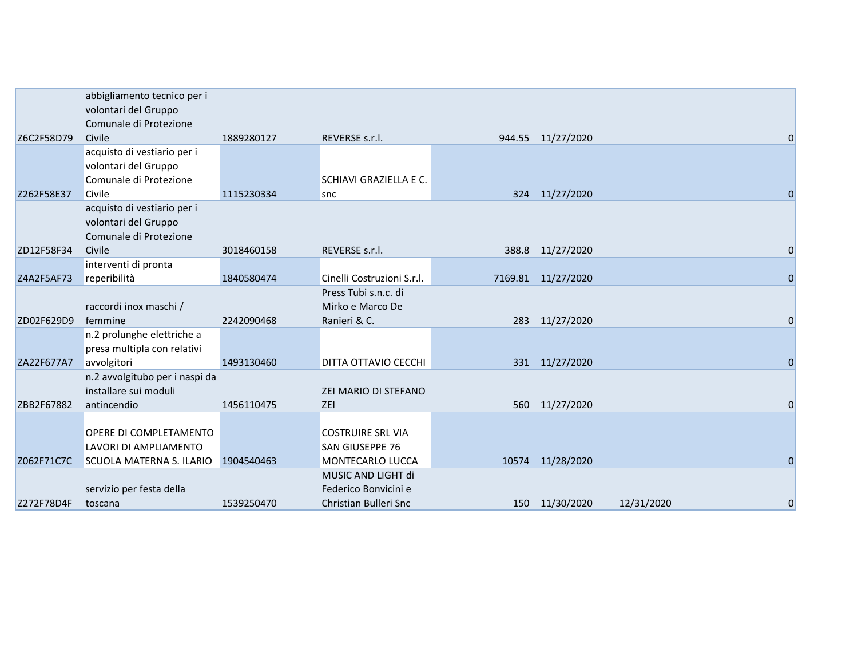| Z6C2F58D79 | abbigliamento tecnico per i<br>volontari del Gruppo<br>Comunale di Protezione<br>Civile | 1889280127 | REVERSE s.r.l.                              |       | 944.55 11/27/2020  |            | 0           |
|------------|-----------------------------------------------------------------------------------------|------------|---------------------------------------------|-------|--------------------|------------|-------------|
|            | acquisto di vestiario per i<br>volontari del Gruppo<br>Comunale di Protezione           |            | SCHIAVI GRAZIELLA E C.                      |       |                    |            |             |
| Z262F58E37 | Civile                                                                                  | 1115230334 | snc                                         |       | 324 11/27/2020     |            | $\Omega$    |
|            | acquisto di vestiario per i<br>volontari del Gruppo<br>Comunale di Protezione           |            |                                             |       |                    |            |             |
| ZD12F58F34 | Civile                                                                                  | 3018460158 | REVERSE s.r.l.                              |       | 388.8 11/27/2020   |            | 0           |
|            | interventi di pronta                                                                    |            |                                             |       |                    |            |             |
| Z4A2F5AF73 | reperibilità                                                                            | 1840580474 | Cinelli Costruzioni S.r.l.                  |       | 7169.81 11/27/2020 |            | $\Omega$    |
|            | raccordi inox maschi /                                                                  |            | Press Tubi s.n.c. di<br>Mirko e Marco De    |       |                    |            |             |
| ZD02F629D9 | femmine                                                                                 | 2242090468 | Ranieri & C.                                |       | 283 11/27/2020     |            | 0           |
|            | n.2 prolunghe elettriche a<br>presa multipla con relativi                               |            |                                             |       |                    |            |             |
| ZA22F677A7 | avvolgitori                                                                             | 1493130460 | DITTA OTTAVIO CECCHI                        |       | 331 11/27/2020     |            | $\Omega$    |
|            | n.2 avvolgitubo per i naspi da<br>installare sui moduli                                 |            | <b>ZEI MARIO DI STEFANO</b>                 |       |                    |            |             |
| ZBB2F67882 | antincendio                                                                             | 1456110475 | ZEI                                         | 560   | 11/27/2020         |            | $\Omega$    |
|            | <b>OPERE DI COMPLETAMENTO</b><br>LAVORI DI AMPLIAMENTO                                  |            | <b>COSTRUIRE SRL VIA</b><br>SAN GIUSEPPE 76 |       |                    |            |             |
| Z062F71C7C | SCUOLA MATERNA S. ILARIO                                                                | 1904540463 | MONTECARLO LUCCA                            | 10574 | 11/28/2020         |            | $\mathbf 0$ |
|            |                                                                                         |            | MUSIC AND LIGHT di                          |       |                    |            |             |
|            | servizio per festa della                                                                |            | Federico Bonvicini e                        |       |                    |            |             |
| Z272F78D4F | toscana                                                                                 | 1539250470 | Christian Bulleri Snc                       |       | 150 11/30/2020     | 12/31/2020 | $\mathbf 0$ |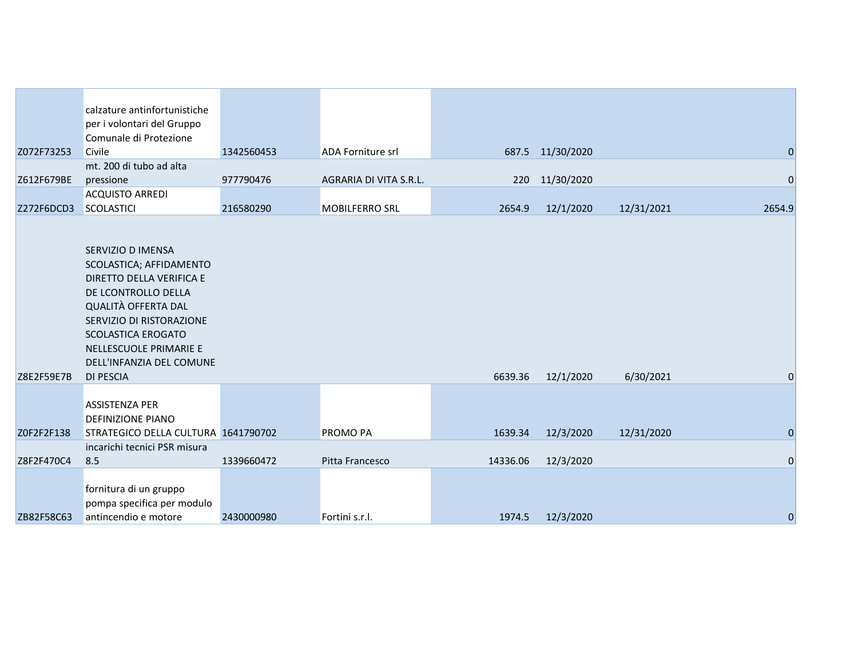|            | calzature antinfortunistiche<br>per i volontari del Gruppo<br>Comunale di Protezione                                                                                                                                                                             |            |                          |          |                  |            |                |
|------------|------------------------------------------------------------------------------------------------------------------------------------------------------------------------------------------------------------------------------------------------------------------|------------|--------------------------|----------|------------------|------------|----------------|
| Z072F73253 | Civile                                                                                                                                                                                                                                                           | 1342560453 | <b>ADA Forniture srl</b> |          | 687.5 11/30/2020 |            | $\mathbf 0$    |
| Z612F679BE | mt. 200 di tubo ad alta<br>pressione                                                                                                                                                                                                                             | 977790476  | AGRARIA DI VITA S.R.L.   |          | 220 11/30/2020   |            | $\mathbf 0$    |
| Z272F6DCD3 | <b>ACQUISTO ARREDI</b><br>SCOLASTICI                                                                                                                                                                                                                             | 216580290  | <b>MOBILFERRO SRL</b>    | 2654.9   | 12/1/2020        | 12/31/2021 | 2654.9         |
| Z8E2F59E7B | SERVIZIO D IMENSA<br>SCOLASTICA; AFFIDAMENTO<br>DIRETTO DELLA VERIFICA E<br>DE LCONTROLLO DELLA<br><b>QUALITÀ OFFERTA DAL</b><br>SERVIZIO DI RISTORAZIONE<br><b>SCOLASTICA EROGATO</b><br>NELLESCUOLE PRIMARIE E<br>DELL'INFANZIA DEL COMUNE<br><b>DI PESCIA</b> |            |                          | 6639.36  | 12/1/2020        | 6/30/2021  | $\mathbf 0$    |
| Z0F2F2F138 | <b>ASSISTENZA PER</b><br><b>DEFINIZIONE PIANO</b><br>STRATEGICO DELLA CULTURA 1641790702                                                                                                                                                                         |            | <b>PROMO PA</b>          | 1639.34  | 12/3/2020        | 12/31/2020 | $\mathbf 0$    |
|            | incarichi tecnici PSR misura                                                                                                                                                                                                                                     |            |                          |          |                  |            |                |
| Z8F2F470C4 | 8.5                                                                                                                                                                                                                                                              | 1339660472 | Pitta Francesco          | 14336.06 | 12/3/2020        |            | $\overline{0}$ |
| ZB82F58C63 | fornitura di un gruppo<br>pompa specifica per modulo<br>antincendio e motore                                                                                                                                                                                     | 2430000980 | Fortini s.r.l.           | 1974.5   | 12/3/2020        |            | $\mathbf 0$    |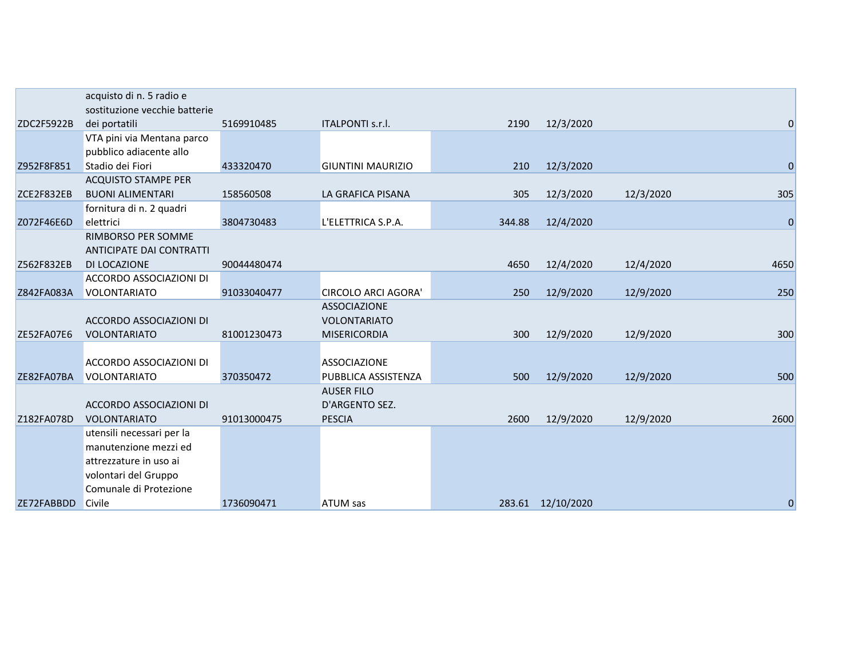|                   | acquisto di n. 5 radio e      |             |                            |        |                   |           |                |
|-------------------|-------------------------------|-------------|----------------------------|--------|-------------------|-----------|----------------|
|                   | sostituzione vecchie batterie |             |                            |        |                   |           |                |
| ZDC2F5922B        | dei portatili                 | 5169910485  | ITALPONTI s.r.l.           | 2190   | 12/3/2020         |           | $\mathbf 0$    |
|                   | VTA pini via Mentana parco    |             |                            |        |                   |           |                |
|                   | pubblico adiacente allo       |             |                            |        |                   |           |                |
| Z952F8F851        | Stadio dei Fiori              | 433320470   | <b>GIUNTINI MAURIZIO</b>   | 210    | 12/3/2020         |           | $\overline{0}$ |
|                   | <b>ACQUISTO STAMPE PER</b>    |             |                            |        |                   |           |                |
| ZCE2F832EB        | <b>BUONI ALIMENTARI</b>       | 158560508   | LA GRAFICA PISANA          | 305    | 12/3/2020         | 12/3/2020 | 305            |
|                   | fornitura di n. 2 quadri      |             |                            |        |                   |           |                |
| Z072F46E6D        | elettrici                     | 3804730483  | L'ELETTRICA S.P.A.         | 344.88 | 12/4/2020         |           | $\overline{0}$ |
|                   | RIMBORSO PER SOMME            |             |                            |        |                   |           |                |
|                   | ANTICIPATE DAI CONTRATTI      |             |                            |        |                   |           |                |
| Z562F832EB        | DI LOCAZIONE                  | 90044480474 |                            | 4650   | 12/4/2020         | 12/4/2020 | 4650           |
|                   | ACCORDO ASSOCIAZIONI DI       |             |                            |        |                   |           |                |
| Z842FA083A        | <b>VOLONTARIATO</b>           | 91033040477 | <b>CIRCOLO ARCI AGORA'</b> | 250    | 12/9/2020         | 12/9/2020 | 250            |
|                   |                               |             | <b>ASSOCIAZIONE</b>        |        |                   |           |                |
|                   | ACCORDO ASSOCIAZIONI DI       |             | <b>VOLONTARIATO</b>        |        |                   |           |                |
| <b>ZE52FA07E6</b> | <b>VOLONTARIATO</b>           | 81001230473 | <b>MISERICORDIA</b>        | 300    | 12/9/2020         | 12/9/2020 | 300            |
|                   |                               |             |                            |        |                   |           |                |
|                   | ACCORDO ASSOCIAZIONI DI       |             | <b>ASSOCIAZIONE</b>        |        |                   |           |                |
| ZE82FA07BA        | <b>VOLONTARIATO</b>           | 370350472   | PUBBLICA ASSISTENZA        | 500    | 12/9/2020         | 12/9/2020 | 500            |
|                   |                               |             | <b>AUSER FILO</b>          |        |                   |           |                |
|                   | ACCORDO ASSOCIAZIONI DI       |             | D'ARGENTO SEZ.             |        |                   |           |                |
| Z182FA078D        | <b>VOLONTARIATO</b>           | 91013000475 | <b>PESCIA</b>              | 2600   | 12/9/2020         | 12/9/2020 | 2600           |
|                   | utensili necessari per la     |             |                            |        |                   |           |                |
|                   | manutenzione mezzi ed         |             |                            |        |                   |           |                |
|                   | attrezzature in uso ai        |             |                            |        |                   |           |                |
|                   | volontari del Gruppo          |             |                            |        |                   |           |                |
|                   | Comunale di Protezione        |             |                            |        |                   |           |                |
| ZE72FABBDD        | Civile                        | 1736090471  | <b>ATUM sas</b>            |        | 283.61 12/10/2020 |           | $\mathbf 0$    |
|                   |                               |             |                            |        |                   |           |                |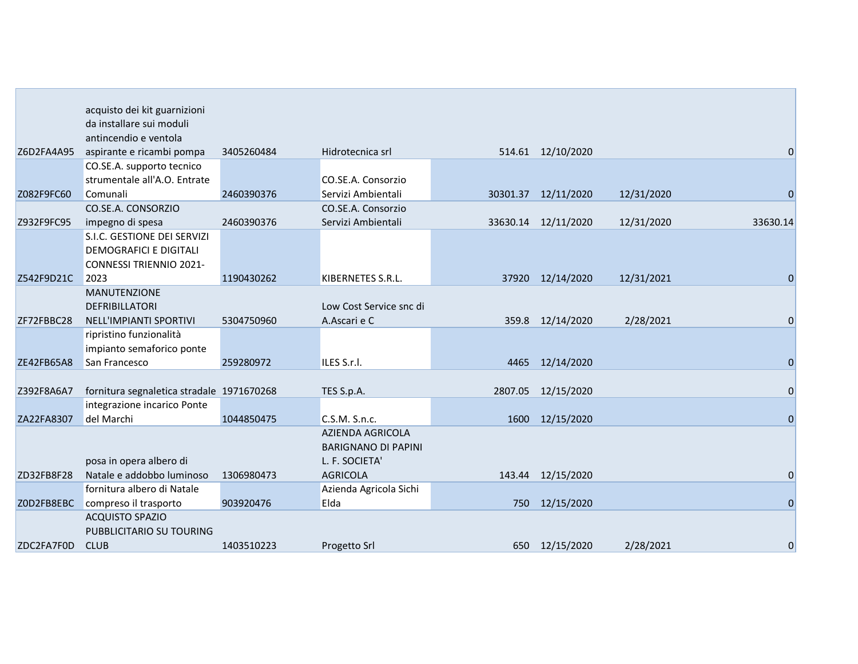|            | acquisto dei kit guarnizioni              |            |                            |          |                     |            |                |
|------------|-------------------------------------------|------------|----------------------------|----------|---------------------|------------|----------------|
|            | da installare sui moduli                  |            |                            |          |                     |            |                |
|            | antincendio e ventola                     |            |                            |          |                     |            |                |
| Z6D2FA4A95 | aspirante e ricambi pompa                 | 3405260484 | Hidrotecnica srl           |          | 514.61 12/10/2020   |            | $\overline{0}$ |
|            | CO.SE.A. supporto tecnico                 |            |                            |          |                     |            |                |
|            | strumentale all'A.O. Entrate              |            | CO.SE.A. Consorzio         |          |                     |            |                |
| Z082F9FC60 | Comunali                                  | 2460390376 | Servizi Ambientali         | 30301.37 | 12/11/2020          | 12/31/2020 | $\Omega$       |
|            | CO.SE.A. CONSORZIO                        |            | CO.SE.A. Consorzio         |          |                     |            |                |
| Z932F9FC95 | impegno di spesa                          | 2460390376 | Servizi Ambientali         |          | 33630.14 12/11/2020 | 12/31/2020 | 33630.14       |
|            | S.I.C. GESTIONE DEI SERVIZI               |            |                            |          |                     |            |                |
|            | <b>DEMOGRAFICI E DIGITALI</b>             |            |                            |          |                     |            |                |
|            | <b>CONNESSI TRIENNIO 2021-</b>            |            |                            |          |                     |            |                |
| Z542F9D21C | 2023                                      | 1190430262 | KIBERNETES S.R.L.          | 37920    | 12/14/2020          | 12/31/2021 | 0              |
|            | <b>MANUTENZIONE</b>                       |            |                            |          |                     |            |                |
|            | DEFRIBILLATORI                            |            | Low Cost Service snc di    |          |                     |            |                |
| ZF72FBBC28 | NELL'IMPIANTI SPORTIVI                    | 5304750960 | A.Ascari e C               |          | 359.8 12/14/2020    | 2/28/2021  | $\mathbf 0$    |
|            | ripristino funzionalità                   |            |                            |          |                     |            |                |
|            | impianto semaforico ponte                 |            |                            |          |                     |            |                |
| ZE42FB65A8 | San Francesco                             | 259280972  | ILES S.r.l.                |          | 4465 12/14/2020     |            | $\mathbf 0$    |
|            |                                           |            |                            |          |                     |            |                |
| Z392F8A6A7 | fornitura segnaletica stradale 1971670268 |            | TES S.p.A.                 | 2807.05  | 12/15/2020          |            | $\mathbf 0$    |
|            | integrazione incarico Ponte               |            |                            |          |                     |            |                |
| ZA22FA8307 | del Marchi                                | 1044850475 | C.S.M. S.n.c.              | 1600     | 12/15/2020          |            | $\Omega$       |
|            |                                           |            | <b>AZIENDA AGRICOLA</b>    |          |                     |            |                |
|            |                                           |            | <b>BARIGNANO DI PAPINI</b> |          |                     |            |                |
|            | posa in opera albero di                   |            | L. F. SOCIETA'             |          |                     |            |                |
| ZD32FB8F28 | Natale e addobbo luminoso                 | 1306980473 | <b>AGRICOLA</b>            | 143.44   | 12/15/2020          |            | 0              |
|            | fornitura albero di Natale                |            | Azienda Agricola Sichi     |          |                     |            |                |
| ZOD2FB8EBC | compreso il trasporto                     | 903920476  | Elda                       | 750      | 12/15/2020          |            | $\mathbf 0$    |
|            | <b>ACQUISTO SPAZIO</b>                    |            |                            |          |                     |            |                |
|            | PUBBLICITARIO SU TOURING                  |            |                            |          |                     |            |                |
| ZDC2FA7F0D | <b>CLUB</b>                               | 1403510223 | Progetto Srl               |          | 650 12/15/2020      | 2/28/2021  | $\mathbf 0$    |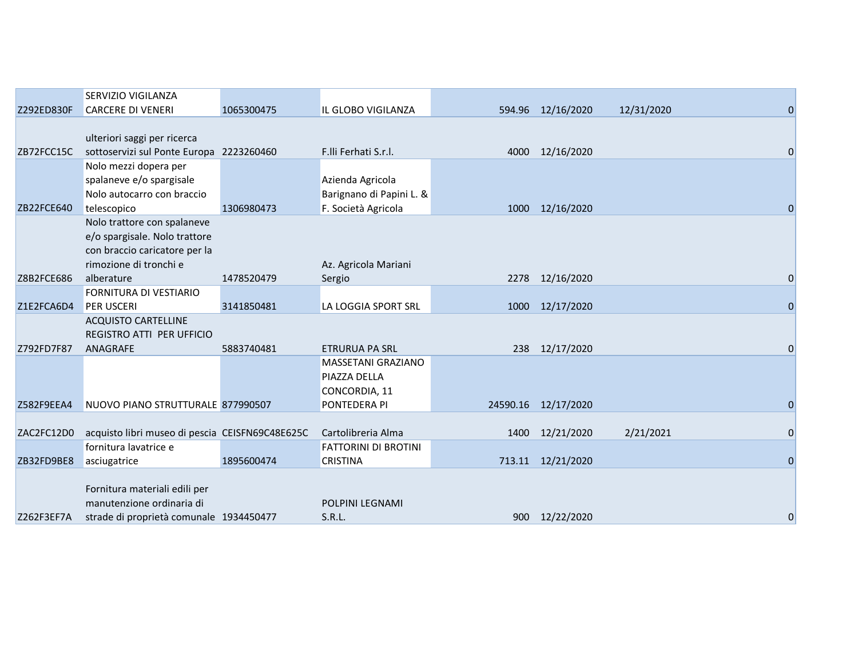|            | SERVIZIO VIGILANZA                              |            |                             |      |                     |            |                |
|------------|-------------------------------------------------|------------|-----------------------------|------|---------------------|------------|----------------|
| Z292ED830F | <b>CARCERE DI VENERI</b>                        | 1065300475 | IL GLOBO VIGILANZA          |      | 594.96 12/16/2020   | 12/31/2020 | 0              |
|            |                                                 |            |                             |      |                     |            |                |
|            | ulteriori saggi per ricerca                     |            |                             |      |                     |            |                |
| ZB72FCC15C | sottoservizi sul Ponte Europa 2223260460        |            | F.IIi Ferhati S.r.I.        | 4000 | 12/16/2020          |            |                |
|            | Nolo mezzi dopera per                           |            |                             |      |                     |            |                |
|            | spalaneve e/o spargisale                        |            | Azienda Agricola            |      |                     |            |                |
|            | Nolo autocarro con braccio                      |            | Barignano di Papini L. &    |      |                     |            |                |
| ZB22FCE640 | telescopico                                     | 1306980473 | F. Società Agricola         |      | 1000 12/16/2020     |            |                |
|            | Nolo trattore con spalaneve                     |            |                             |      |                     |            |                |
|            | e/o spargisale. Nolo trattore                   |            |                             |      |                     |            |                |
|            | con braccio caricatore per la                   |            |                             |      |                     |            |                |
|            | rimozione di tronchi e                          |            | Az. Agricola Mariani        |      |                     |            |                |
| Z8B2FCE686 | alberature                                      | 1478520479 | Sergio                      |      | 2278 12/16/2020     |            | 0              |
|            | FORNITURA DI VESTIARIO                          |            |                             |      |                     |            |                |
| Z1E2FCA6D4 | <b>PER USCERI</b>                               | 3141850481 | LA LOGGIA SPORT SRL         |      | 1000 12/17/2020     |            | $\Omega$       |
|            | <b>ACQUISTO CARTELLINE</b>                      |            |                             |      |                     |            |                |
|            | REGISTRO ATTI PER UFFICIO                       |            |                             |      |                     |            |                |
| Z792FD7F87 | ANAGRAFE                                        | 5883740481 | <b>ETRURUA PA SRL</b>       |      | 238 12/17/2020      |            |                |
|            |                                                 |            | MASSETANI GRAZIANO          |      |                     |            |                |
|            |                                                 |            | PIAZZA DELLA                |      |                     |            |                |
|            |                                                 |            | CONCORDIA, 11               |      |                     |            |                |
| Z582F9EEA4 | NUOVO PIANO STRUTTURALE 877990507               |            | PONTEDERA PI                |      | 24590.16 12/17/2020 |            | $\Omega$       |
|            |                                                 |            |                             |      |                     |            |                |
| ZAC2FC12D0 | acquisto libri museo di pescia CEISFN69C48E625C |            | Cartolibreria Alma          |      | 1400 12/21/2020     | 2/21/2021  | $\overline{0}$ |
|            | fornitura lavatrice e                           |            | <b>FATTORINI DI BROTINI</b> |      |                     |            |                |
| ZB32FD9BE8 | asciugatrice                                    | 1895600474 | <b>CRISTINA</b>             |      | 713.11 12/21/2020   |            | $\Omega$       |
|            |                                                 |            |                             |      |                     |            |                |
|            | Fornitura materiali edili per                   |            |                             |      |                     |            |                |
|            | manutenzione ordinaria di                       |            | <b>POLPINI LEGNAMI</b>      |      |                     |            |                |
| Z262F3EF7A | strade di proprietà comunale 1934450477         |            | S.R.L.                      |      | 900 12/22/2020      |            | 0              |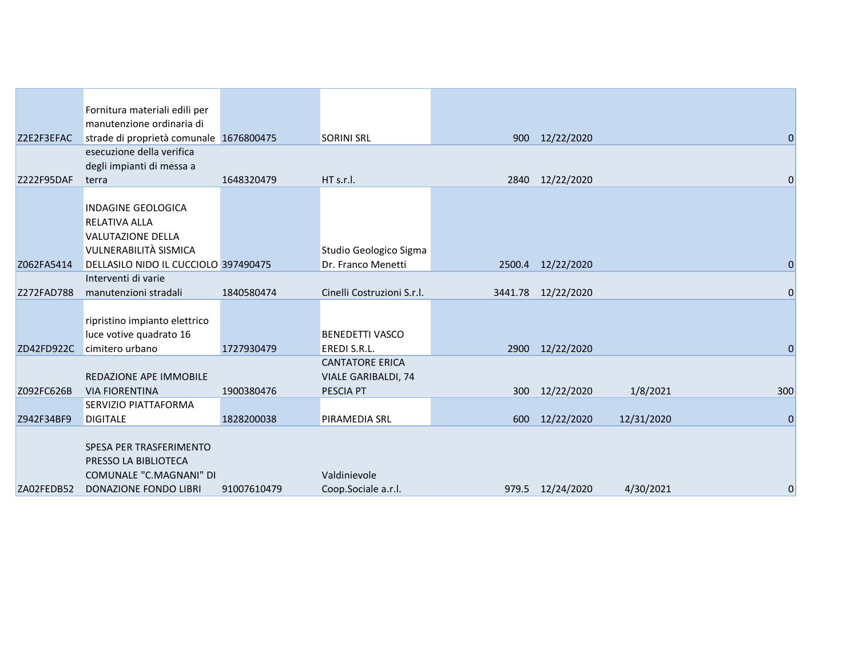|            | Fornitura materiali edili per                    |             |                            |     |                    |            |                |
|------------|--------------------------------------------------|-------------|----------------------------|-----|--------------------|------------|----------------|
|            | manutenzione ordinaria di                        |             |                            |     |                    |            |                |
| Z2E2F3EFAC | strade di proprietà comunale 1676800475          |             | <b>SORINI SRL</b>          |     | 900 12/22/2020     |            | 0              |
|            | esecuzione della verifica                        |             |                            |     |                    |            |                |
|            | degli impianti di messa a                        |             |                            |     |                    |            |                |
| Z222F95DAF | terra                                            | 1648320479  | HT s.r.l.                  |     | 2840 12/22/2020    |            | $\mathbf 0$    |
|            |                                                  |             |                            |     |                    |            |                |
|            | <b>INDAGINE GEOLOGICA</b>                        |             |                            |     |                    |            |                |
|            | <b>RELATIVA ALLA</b><br><b>VALUTAZIONE DELLA</b> |             |                            |     |                    |            |                |
|            | <b>VULNERABILITÀ SISMICA</b>                     |             | Studio Geologico Sigma     |     |                    |            |                |
| Z062FA5414 | DELLASILO NIDO IL CUCCIOLO 397490475             |             | Dr. Franco Menetti         |     | 2500.4 12/22/2020  |            | $\mathbf 0$    |
|            | Interventi di varie                              |             |                            |     |                    |            |                |
| Z272FAD788 | manutenzioni stradali                            | 1840580474  | Cinelli Costruzioni S.r.l. |     | 3441.78 12/22/2020 |            | $\overline{0}$ |
|            |                                                  |             |                            |     |                    |            |                |
|            | ripristino impianto elettrico                    |             |                            |     |                    |            |                |
|            | luce votive quadrato 16                          |             | <b>BENEDETTI VASCO</b>     |     |                    |            |                |
| ZD42FD922C | cimitero urbano                                  | 1727930479  | EREDI S.R.L.               |     | 2900 12/22/2020    |            | $\mathbf 0$    |
|            |                                                  |             | <b>CANTATORE ERICA</b>     |     |                    |            |                |
|            | <b>REDAZIONE APE IMMOBILE</b>                    |             | <b>VIALE GARIBALDI, 74</b> |     |                    |            |                |
| Z092FC626B | <b>VIA FIORENTINA</b>                            | 1900380476  | PESCIA PT                  |     | 300 12/22/2020     | 1/8/2021   | 300            |
|            | SERVIZIO PIATTAFORMA                             |             |                            |     |                    |            |                |
| Z942F34BF9 | <b>DIGITALE</b>                                  | 1828200038  | PIRAMEDIA SRL              | 600 | 12/22/2020         | 12/31/2020 | $\overline{0}$ |
|            |                                                  |             |                            |     |                    |            |                |
|            | SPESA PER TRASFERIMENTO                          |             |                            |     |                    |            |                |
|            | PRESSO LA BIBLIOTECA                             |             |                            |     |                    |            |                |
|            | COMUNALE "C.MAGNANI" DI                          |             | Valdinievole               |     |                    |            |                |
| ZA02FEDB52 | DONAZIONE FONDO LIBRI                            | 91007610479 | Coop.Sociale a.r.l.        |     | 979.5 12/24/2020   | 4/30/2021  | 0              |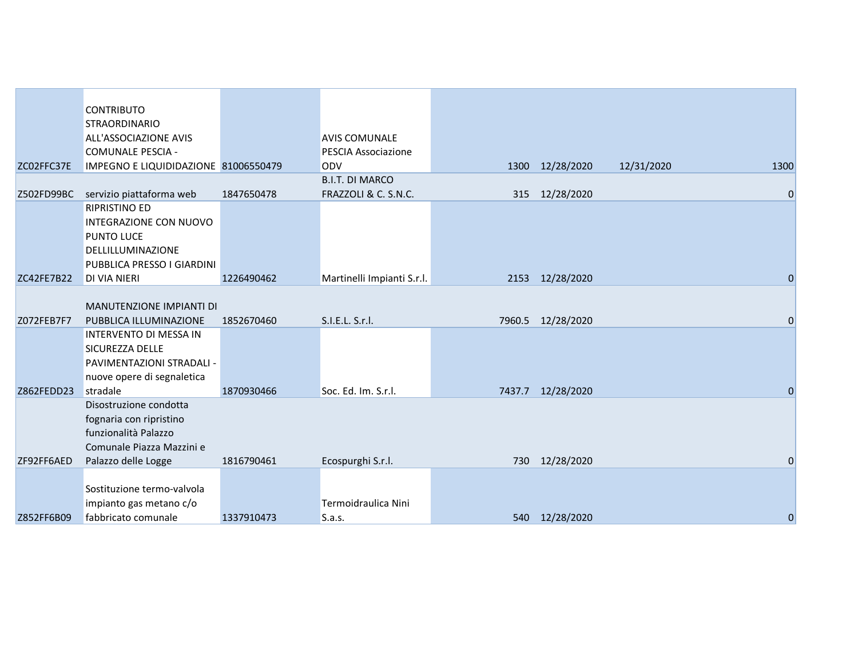|            | <b>CONTRIBUTO</b><br><b>STRAORDINARIO</b> |            |                            |        |                   |            |                |
|------------|-------------------------------------------|------------|----------------------------|--------|-------------------|------------|----------------|
|            | ALL'ASSOCIAZIONE AVIS                     |            | <b>AVIS COMUNALE</b>       |        |                   |            |                |
|            | <b>COMUNALE PESCIA -</b>                  |            | <b>PESCIA Associazione</b> |        |                   |            |                |
| ZC02FFC37E | IMPEGNO E LIQUIDIDAZIONE 81006550479      |            | <b>ODV</b>                 |        | 1300 12/28/2020   | 12/31/2020 | 1300           |
|            |                                           |            | <b>B.I.T. DI MARCO</b>     |        |                   |            |                |
| Z502FD99BC | servizio piattaforma web                  | 1847650478 | FRAZZOLI & C. S.N.C.       | 315    | 12/28/2020        |            | $\mathbf 0$    |
|            | <b>RIPRISTINO ED</b>                      |            |                            |        |                   |            |                |
|            | INTEGRAZIONE CON NUOVO                    |            |                            |        |                   |            |                |
|            | PUNTO LUCE                                |            |                            |        |                   |            |                |
|            | DELLILLUMINAZIONE                         |            |                            |        |                   |            |                |
|            | PUBBLICA PRESSO I GIARDINI                |            |                            |        |                   |            |                |
| ZC42FE7B22 | <b>DI VIA NIERI</b>                       | 1226490462 | Martinelli Impianti S.r.l. |        | 2153 12/28/2020   |            | $\mathbf 0$    |
|            |                                           |            |                            |        |                   |            |                |
|            | MANUTENZIONE IMPIANTI DI                  |            |                            |        |                   |            |                |
| Z072FEB7F7 | PUBBLICA ILLUMINAZIONE                    | 1852670460 | S.I.E.L. S.r.l.            |        | 7960.5 12/28/2020 |            | $\mathbf{0}$   |
|            | INTERVENTO DI MESSA IN                    |            |                            |        |                   |            |                |
|            | SICUREZZA DELLE                           |            |                            |        |                   |            |                |
|            | PAVIMENTAZIONI STRADALI -                 |            |                            |        |                   |            |                |
|            | nuove opere di segnaletica                |            |                            |        |                   |            |                |
| Z862FEDD23 | stradale                                  | 1870930466 | Soc. Ed. Im. S.r.l.        | 7437.7 | 12/28/2020        |            | $\overline{0}$ |
|            | Disostruzione condotta                    |            |                            |        |                   |            |                |
|            | fognaria con ripristino                   |            |                            |        |                   |            |                |
|            | funzionalità Palazzo                      |            |                            |        |                   |            |                |
|            | Comunale Piazza Mazzini e                 |            |                            |        |                   |            |                |
| ZF92FF6AED | Palazzo delle Logge                       | 1816790461 | Ecospurghi S.r.l.          | 730    | 12/28/2020        |            | 0              |
|            |                                           |            |                            |        |                   |            |                |
|            | Sostituzione termo-valvola                |            |                            |        |                   |            |                |
|            | impianto gas metano c/o                   |            | Termoidraulica Nini        |        |                   |            |                |
| Z852FF6B09 | fabbricato comunale                       | 1337910473 | S.a.s.                     |        | 540 12/28/2020    |            | $\overline{0}$ |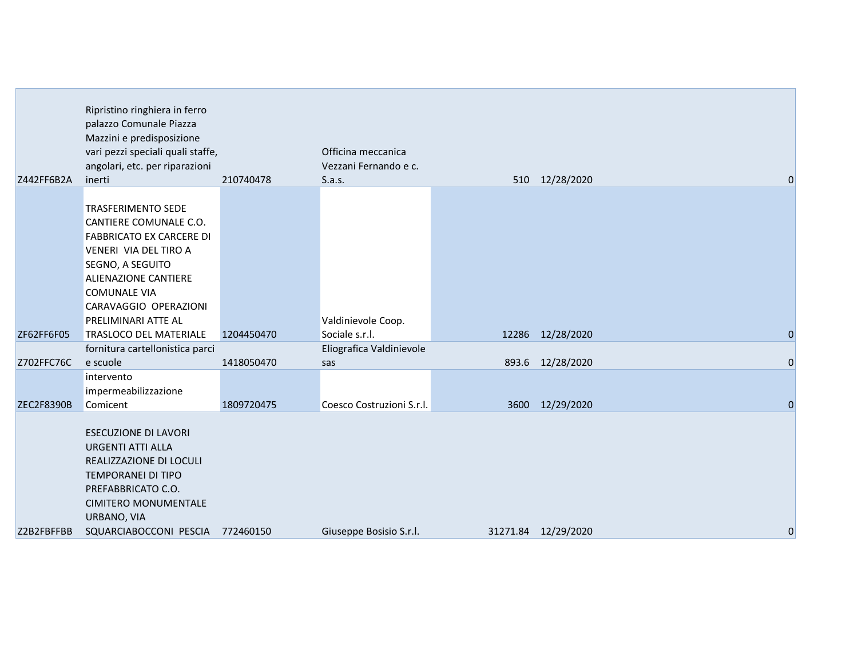| Z442FF6B2A        | Ripristino ringhiera in ferro<br>palazzo Comunale Piazza<br>Mazzini e predisposizione<br>vari pezzi speciali quali staffe,<br>angolari, etc. per riparazioni<br>inerti              | 210740478  | Officina meccanica<br>Vezzani Fernando e c.<br>S.a.s. | 510 12/28/2020      |                |
|-------------------|-------------------------------------------------------------------------------------------------------------------------------------------------------------------------------------|------------|-------------------------------------------------------|---------------------|----------------|
|                   |                                                                                                                                                                                     |            |                                                       |                     |                |
|                   | <b>TRASFERIMENTO SEDE</b><br>CANTIERE COMUNALE C.O.                                                                                                                                 |            |                                                       |                     |                |
|                   | <b>FABBRICATO EX CARCERE DI</b>                                                                                                                                                     |            |                                                       |                     |                |
|                   | VENERI VIA DEL TIRO A                                                                                                                                                               |            |                                                       |                     |                |
|                   | SEGNO, A SEGUITO                                                                                                                                                                    |            |                                                       |                     |                |
|                   | <b>ALIENAZIONE CANTIERE</b>                                                                                                                                                         |            |                                                       |                     |                |
|                   | <b>COMUNALE VIA</b>                                                                                                                                                                 |            |                                                       |                     |                |
|                   | CARAVAGGIO OPERAZIONI<br>PRELIMINARI ATTE AL                                                                                                                                        |            | Valdinievole Coop.                                    |                     |                |
| ZF62FF6F05        | <b>TRASLOCO DEL MATERIALE</b>                                                                                                                                                       | 1204450470 | Sociale s.r.l.                                        | 12286 12/28/2020    | $\overline{0}$ |
|                   | fornitura cartellonistica parci                                                                                                                                                     |            | Eliografica Valdinievole                              |                     |                |
| Z702FFC76C        | e scuole                                                                                                                                                                            | 1418050470 | sas                                                   | 893.6 12/28/2020    | $\overline{0}$ |
|                   | intervento                                                                                                                                                                          |            |                                                       |                     |                |
|                   | impermeabilizzazione                                                                                                                                                                |            |                                                       |                     |                |
| <b>ZEC2F8390B</b> | Comicent                                                                                                                                                                            | 1809720475 | Coesco Costruzioni S.r.l.                             | 3600 12/29/2020     | $\Omega$       |
|                   | <b>ESECUZIONE DI LAVORI</b><br><b>URGENTI ATTI ALLA</b><br>REALIZZAZIONE DI LOCULI<br><b>TEMPORANEI DI TIPO</b><br>PREFABBRICATO C.O.<br><b>CIMITERO MONUMENTALE</b><br>URBANO, VIA |            |                                                       |                     |                |
| Z2B2FBFFBB        | SQUARCIABOCCONI PESCIA                                                                                                                                                              | 772460150  | Giuseppe Bosisio S.r.l.                               | 31271.84 12/29/2020 | 0              |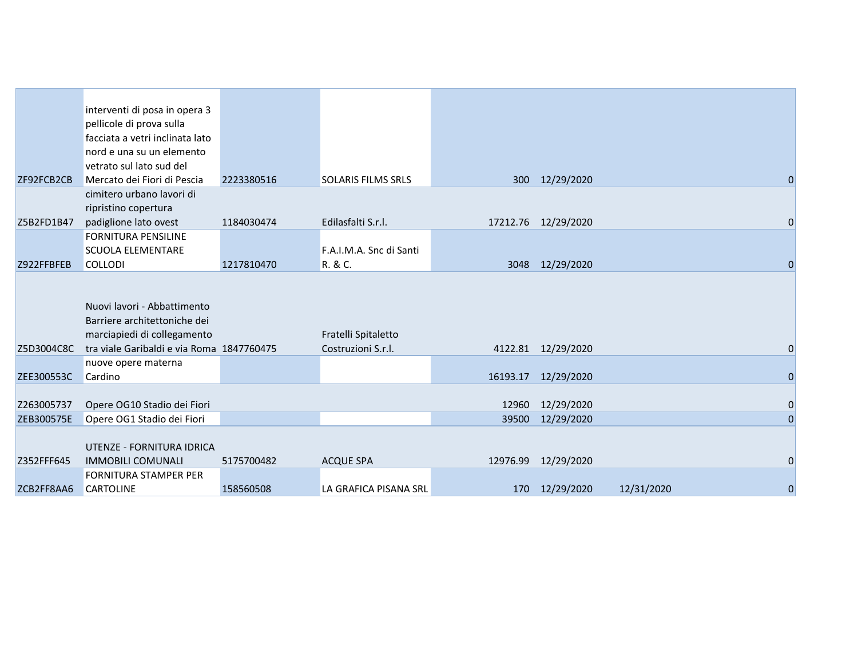|            | interventi di posa in opera 3             |            |                           |       |                     |            |                |
|------------|-------------------------------------------|------------|---------------------------|-------|---------------------|------------|----------------|
|            | pellicole di prova sulla                  |            |                           |       |                     |            |                |
|            | facciata a vetri inclinata lato           |            |                           |       |                     |            |                |
|            | nord e una su un elemento                 |            |                           |       |                     |            |                |
|            | vetrato sul lato sud del                  |            |                           |       |                     |            |                |
| ZF92FCB2CB | Mercato dei Fiori di Pescia               | 2223380516 | <b>SOLARIS FILMS SRLS</b> |       | 300 12/29/2020      |            | $\overline{0}$ |
|            | cimitero urbano lavori di                 |            |                           |       |                     |            |                |
|            | ripristino copertura                      |            |                           |       |                     |            |                |
| Z5B2FD1B47 | padiglione lato ovest                     | 1184030474 | Edilasfalti S.r.l.        |       | 17212.76 12/29/2020 |            | $\mathbf 0$    |
|            | <b>FORNITURA PENSILINE</b>                |            |                           |       |                     |            |                |
|            | <b>SCUOLA ELEMENTARE</b>                  |            | F.A.I.M.A. Snc di Santi   |       |                     |            |                |
| Z922FFBFEB | <b>COLLODI</b>                            | 1217810470 | R. & C.                   |       | 3048 12/29/2020     |            | $\Omega$       |
|            |                                           |            |                           |       |                     |            |                |
|            |                                           |            |                           |       |                     |            |                |
|            | Nuovi lavori - Abbattimento               |            |                           |       |                     |            |                |
|            | Barriere architettoniche dei              |            |                           |       |                     |            |                |
|            | marciapiedi di collegamento               |            | Fratelli Spitaletto       |       |                     |            |                |
| Z5D3004C8C | tra viale Garibaldi e via Roma 1847760475 |            | Costruzioni S.r.l.        |       | 4122.81 12/29/2020  |            | $\mathbf 0$    |
|            | nuove opere materna                       |            |                           |       |                     |            |                |
| ZEE300553C | Cardino                                   |            |                           |       | 16193.17 12/29/2020 |            | $\overline{0}$ |
|            |                                           |            |                           |       |                     |            |                |
| Z263005737 | Opere OG10 Stadio dei Fiori               |            |                           | 12960 | 12/29/2020          |            | $\mathbf 0$    |
| ZEB300575E | Opere OG1 Stadio dei Fiori                |            |                           | 39500 | 12/29/2020          |            | $\overline{0}$ |
|            |                                           |            |                           |       |                     |            |                |
|            | UTENZE - FORNITURA IDRICA                 |            |                           |       |                     |            |                |
| Z352FFF645 | <b>IMMOBILI COMUNALI</b>                  | 5175700482 | <b>ACQUE SPA</b>          |       | 12976.99 12/29/2020 |            | 0              |
|            | <b>FORNITURA STAMPER PER</b>              |            |                           |       |                     |            |                |
| ZCB2FF8AA6 | <b>CARTOLINE</b>                          | 158560508  | LA GRAFICA PISANA SRL     |       | 170 12/29/2020      | 12/31/2020 | $\mathbf 0$    |